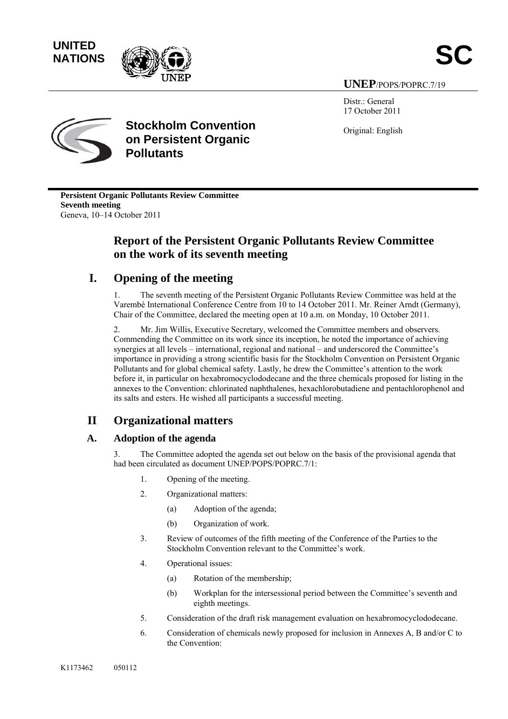**NATIONS**



**UNEP**/POPS/POPRC.7/19

Distr · General 17 October 2011

Original: English



**Stockholm Convention on Persistent Organic Pollutants** 

**Persistent Organic Pollutants Review Committee Seventh meeting**  Geneva, 10–14 October 2011

# **Report of the Persistent Organic Pollutants Review Committee on the work of its seventh meeting**

# **I. Opening of the meeting**

1. The seventh meeting of the Persistent Organic Pollutants Review Committee was held at the Varembé International Conference Centre from 10 to 14 October 2011. Mr. Reiner Arndt (Germany), Chair of the Committee, declared the meeting open at 10 a.m. on Monday, 10 October 2011.

2. Mr. Jim Willis, Executive Secretary, welcomed the Committee members and observers. Commending the Committee on its work since its inception, he noted the importance of achieving synergies at all levels – international, regional and national – and underscored the Committee's importance in providing a strong scientific basis for the Stockholm Convention on Persistent Organic Pollutants and for global chemical safety. Lastly, he drew the Committee's attention to the work before it, in particular on hexabromocyclododecane and the three chemicals proposed for listing in the annexes to the Convention: chlorinated naphthalenes, hexachlorobutadiene and pentachlorophenol and its salts and esters. He wished all participants a successful meeting.

# **II Organizational matters**

# **A. Adoption of the agenda**

3. The Committee adopted the agenda set out below on the basis of the provisional agenda that had been circulated as document UNEP/POPS/POPRC.7/1:

- 1. Opening of the meeting.
- 2. Organizational matters:
	- (a) Adoption of the agenda;
	- (b) Organization of work.
- 3. Review of outcomes of the fifth meeting of the Conference of the Parties to the Stockholm Convention relevant to the Committee's work.
- 4. Operational issues:
	- (a) Rotation of the membership;
	- (b) Workplan for the intersessional period between the Committee's seventh and eighth meetings.
- 5. Consideration of the draft risk management evaluation on hexabromocyclododecane.
- 6. Consideration of chemicals newly proposed for inclusion in Annexes A, B and/or C to the Convention: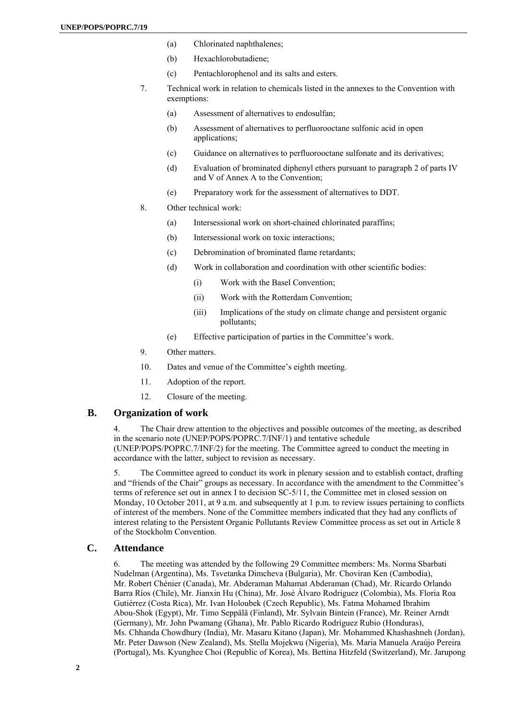- (a) Chlorinated naphthalenes;
- (b) Hexachlorobutadiene;
- (c) Pentachlorophenol and its salts and esters.
- 7. Technical work in relation to chemicals listed in the annexes to the Convention with exemptions:
	- (a) Assessment of alternatives to endosulfan;
	- (b) Assessment of alternatives to perfluorooctane sulfonic acid in open applications;
	- (c) Guidance on alternatives to perfluorooctane sulfonate and its derivatives;
	- (d) Evaluation of brominated diphenyl ethers pursuant to paragraph 2 of parts IV and V of Annex A to the Convention;
	- (e) Preparatory work for the assessment of alternatives to DDT.
- 8. Other technical work:
	- (a) Intersessional work on short-chained chlorinated paraffins;
	- (b) Intersessional work on toxic interactions;
	- (c) Debromination of brominated flame retardants;
	- (d) Work in collaboration and coordination with other scientific bodies:
		- (i) Work with the Basel Convention;
		- (ii) Work with the Rotterdam Convention;
		- (iii) Implications of the study on climate change and persistent organic pollutants;
	- (e) Effective participation of parties in the Committee's work.
- 9. Other matters.
- 10. Dates and venue of the Committee's eighth meeting.
- 11. Adoption of the report.
- 12. Closure of the meeting.

## **B. Organization of work**

4. The Chair drew attention to the objectives and possible outcomes of the meeting, as described in the scenario note (UNEP/POPS/POPRC.7/INF/1) and tentative schedule (UNEP/POPS/POPRC.7/INF/2) for the meeting. The Committee agreed to conduct the meeting in accordance with the latter, subject to revision as necessary.

5. The Committee agreed to conduct its work in plenary session and to establish contact, drafting and "friends of the Chair" groups as necessary. In accordance with the amendment to the Committee's terms of reference set out in annex I to decision SC-5/11, the Committee met in closed session on Monday, 10 October 2011, at 9 a.m. and subsequently at 1 p.m. to review issues pertaining to conflicts of interest of the members. None of the Committee members indicated that they had any conflicts of interest relating to the Persistent Organic Pollutants Review Committee process as set out in Article 8 of the Stockholm Convention.

# **C. Attendance**

6. The meeting was attended by the following 29 Committee members: Ms. Norma Sbarbati Nudelman (Argentina), Ms. Tsvetanka Dimcheva (Bulgaria), Mr. Choviran Ken (Cambodia), Mr. Robert Chénier (Canada), Mr. Abderaman Mahamat Abderaman (Chad), Mr. Ricardo Orlando Barra Ríos (Chile), Mr. Jianxin Hu (China), Mr. José Álvaro Rodriguez (Colombia), Ms. Floria Roa Gutiérrez (Costa Rica), Mr. Ivan Holoubek (Czech Republic), Ms. Fatma Mohamed Ibrahim Abou-Shok (Egypt), Mr. Timo Seppälä (Finland), Mr. Sylvain Bintein (France), Mr. Reiner Arndt (Germany), Mr. John Pwamang (Ghana), Mr. Pablo Ricardo Rodríguez Rubio (Honduras), Ms. Chhanda Chowdhury (India), Mr. Masaru Kitano (Japan), Mr. Mohammed Khashashneh (Jordan), Mr. Peter Dawson (New Zealand), Ms. Stella Mojekwu (Nigeria), Ms. Maria Manuela Araújo Pereira (Portugal), Ms. Kyunghee Choi (Republic of Korea), Ms. Bettina Hitzfeld (Switzerland), Mr. Jarupong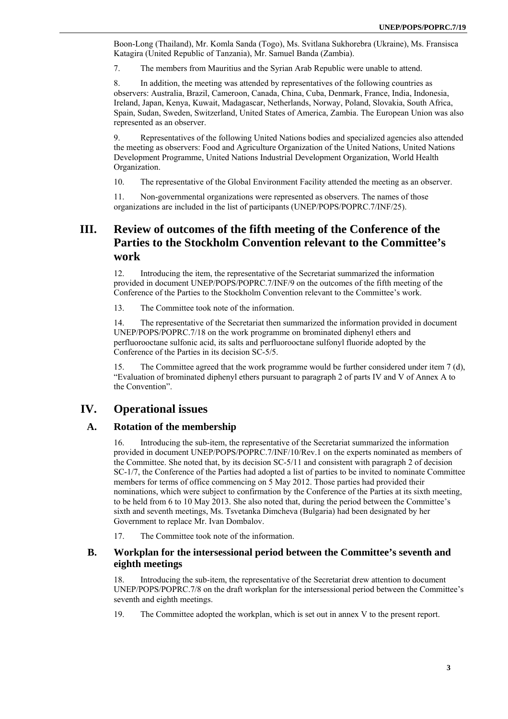Boon-Long (Thailand), Mr. Komla Sanda (Togo), Ms. Svitlana Sukhorebra (Ukraine), Ms. Fransisca Katagira (United Republic of Tanzania), Mr. Samuel Banda (Zambia).

7. The members from Mauritius and the Syrian Arab Republic were unable to attend.

8. In addition, the meeting was attended by representatives of the following countries as observers: Australia, Brazil, Cameroon, Canada, China, Cuba, Denmark, France, India, Indonesia, Ireland, Japan, Kenya, Kuwait, Madagascar, Netherlands, Norway, Poland, Slovakia, South Africa, Spain, Sudan, Sweden, Switzerland, United States of America, Zambia. The European Union was also represented as an observer.

9. Representatives of the following United Nations bodies and specialized agencies also attended the meeting as observers: Food and Agriculture Organization of the United Nations, United Nations Development Programme, United Nations Industrial Development Organization, World Health Organization.

10. The representative of the Global Environment Facility attended the meeting as an observer.

11. Non-governmental organizations were represented as observers. The names of those organizations are included in the list of participants (UNEP/POPS/POPRC.7/INF/25).

# **III. Review of outcomes of the fifth meeting of the Conference of the Parties to the Stockholm Convention relevant to the Committee's work**

12. Introducing the item, the representative of the Secretariat summarized the information provided in document UNEP/POPS/POPRC.7/INF/9 on the outcomes of the fifth meeting of the Conference of the Parties to the Stockholm Convention relevant to the Committee's work.

13. The Committee took note of the information.

14. The representative of the Secretariat then summarized the information provided in document UNEP/POPS/POPRC.7/18 on the work programme on brominated diphenyl ethers and perfluorooctane sulfonic acid, its salts and perfluorooctane sulfonyl fluoride adopted by the Conference of the Parties in its decision SC-5/5.

15. The Committee agreed that the work programme would be further considered under item 7 (d), "Evaluation of brominated diphenyl ethers pursuant to paragraph 2 of parts IV and V of Annex A to the Convention".

# **IV. Operational issues**

## **A. Rotation of the membership**

16. Introducing the sub-item, the representative of the Secretariat summarized the information provided in document UNEP/POPS/POPRC.7/INF/10/Rev.1 on the experts nominated as members of the Committee. She noted that, by its decision SC-5/11 and consistent with paragraph 2 of decision SC-1/7, the Conference of the Parties had adopted a list of parties to be invited to nominate Committee members for terms of office commencing on 5 May 2012. Those parties had provided their nominations, which were subject to confirmation by the Conference of the Parties at its sixth meeting, to be held from 6 to 10 May 2013. She also noted that, during the period between the Committee's sixth and seventh meetings, Ms. Tsvetanka Dimcheva (Bulgaria) had been designated by her Government to replace Mr. Ivan Dombalov.

17. The Committee took note of the information.

# **B. Workplan for the intersessional period between the Committee's seventh and eighth meetings**

18. Introducing the sub-item, the representative of the Secretariat drew attention to document UNEP/POPS/POPRC.7/8 on the draft workplan for the intersessional period between the Committee's seventh and eighth meetings.

19. The Committee adopted the workplan, which is set out in annex V to the present report.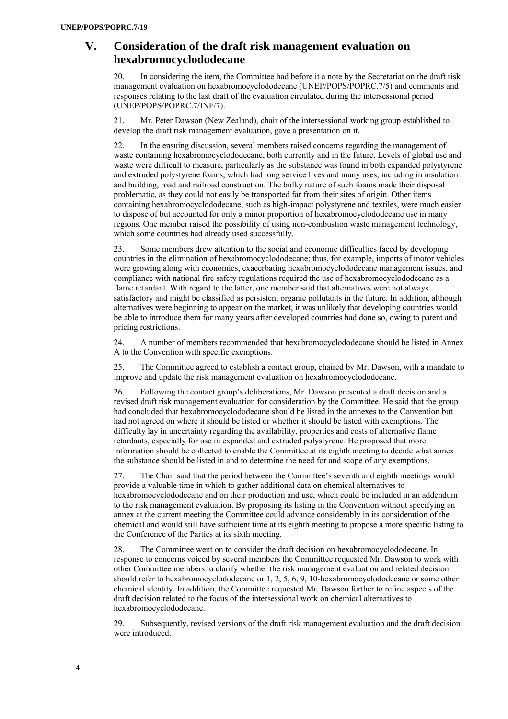# **V. Consideration of the draft risk management evaluation on hexabromocyclododecane**

In considering the item, the Committee had before it a note by the Secretariat on the draft risk management evaluation on hexabromocyclododecane (UNEP/POPS/POPRC.7/5) and comments and responses relating to the last draft of the evaluation circulated during the intersessional period (UNEP/POPS/POPRC.7/INF/7).

21. Mr. Peter Dawson (New Zealand), chair of the intersessional working group established to develop the draft risk management evaluation, gave a presentation on it.

22. In the ensuing discussion, several members raised concerns regarding the management of waste containing hexabromocyclododecane, both currently and in the future. Levels of global use and waste were difficult to measure, particularly as the substance was found in both expanded polystyrene and extruded polystyrene foams, which had long service lives and many uses, including in insulation and building, road and railroad construction. The bulky nature of such foams made their disposal problematic, as they could not easily be transported far from their sites of origin. Other items containing hexabromocyclododecane, such as high-impact polystyrene and textiles, were much easier to dispose of but accounted for only a minor proportion of hexabromocyclododecane use in many regions. One member raised the possibility of using non-combustion waste management technology, which some countries had already used successfully.

23. Some members drew attention to the social and economic difficulties faced by developing countries in the elimination of hexabromocyclododecane; thus, for example, imports of motor vehicles were growing along with economies, exacerbating hexabromocyclododecane management issues, and compliance with national fire safety regulations required the use of hexabromocyclododecane as a flame retardant. With regard to the latter, one member said that alternatives were not always satisfactory and might be classified as persistent organic pollutants in the future. In addition, although alternatives were beginning to appear on the market, it was unlikely that developing countries would be able to introduce them for many years after developed countries had done so, owing to patent and pricing restrictions.

24. A number of members recommended that hexabromocyclododecane should be listed in Annex A to the Convention with specific exemptions.

25. The Committee agreed to establish a contact group, chaired by Mr. Dawson, with a mandate to improve and update the risk management evaluation on hexabromocyclododecane.

26. Following the contact group's deliberations, Mr. Dawson presented a draft decision and a revised draft risk management evaluation for consideration by the Committee. He said that the group had concluded that hexabromocyclododecane should be listed in the annexes to the Convention but had not agreed on where it should be listed or whether it should be listed with exemptions. The difficulty lay in uncertainty regarding the availability, properties and costs of alternative flame retardants, especially for use in expanded and extruded polystyrene. He proposed that more information should be collected to enable the Committee at its eighth meeting to decide what annex the substance should be listed in and to determine the need for and scope of any exemptions.

27. The Chair said that the period between the Committee's seventh and eighth meetings would provide a valuable time in which to gather additional data on chemical alternatives to hexabromocyclododecane and on their production and use, which could be included in an addendum to the risk management evaluation. By proposing its listing in the Convention without specifying an annex at the current meeting the Committee could advance considerably in its consideration of the chemical and would still have sufficient time at its eighth meeting to propose a more specific listing to the Conference of the Parties at its sixth meeting.

28. The Committee went on to consider the draft decision on hexabromocyclododecane. In response to concerns voiced by several members the Committee requested Mr. Dawson to work with other Committee members to clarify whether the risk management evaluation and related decision should refer to hexabromocyclododecane or 1, 2, 5, 6, 9, 10-hexabromocyclododecane or some other chemical identity. In addition, the Committee requested Mr. Dawson further to refine aspects of the draft decision related to the focus of the intersessional work on chemical alternatives to hexabromocyclododecane.

29. Subsequently, revised versions of the draft risk management evaluation and the draft decision were introduced.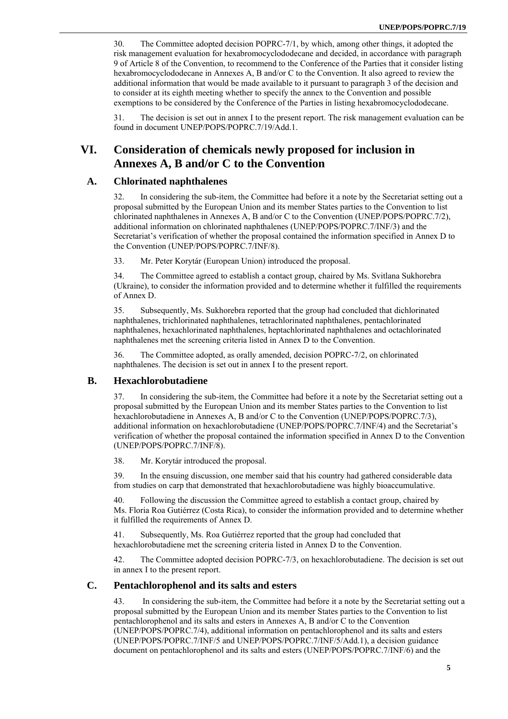30. The Committee adopted decision POPRC-7/1, by which, among other things, it adopted the risk management evaluation for hexabromocyclododecane and decided, in accordance with paragraph 9 of Article 8 of the Convention, to recommend to the Conference of the Parties that it consider listing hexabromocyclododecane in Annexes A, B and/or C to the Convention. It also agreed to review the additional information that would be made available to it pursuant to paragraph 3 of the decision and to consider at its eighth meeting whether to specify the annex to the Convention and possible exemptions to be considered by the Conference of the Parties in listing hexabromocyclododecane.

31. The decision is set out in annex I to the present report. The risk management evaluation can be found in document UNEP/POPS/POPRC.7/19/Add.1.

# **VI. Consideration of chemicals newly proposed for inclusion in Annexes A, B and/or C to the Convention**

# **A. Chlorinated naphthalenes**

32. In considering the sub-item, the Committee had before it a note by the Secretariat setting out a proposal submitted by the European Union and its member States parties to the Convention to list chlorinated naphthalenes in Annexes A, B and/or C to the Convention (UNEP/POPS/POPRC.7/2), additional information on chlorinated naphthalenes (UNEP/POPS/POPRC.7/INF/3) and the Secretariat's verification of whether the proposal contained the information specified in Annex D to the Convention (UNEP/POPS/POPRC.7/INF/8).

33. Mr. Peter Korytár (European Union) introduced the proposal.

34. The Committee agreed to establish a contact group, chaired by Ms. Svitlana Sukhorebra (Ukraine), to consider the information provided and to determine whether it fulfilled the requirements of Annex D.

35. Subsequently, Ms. Sukhorebra reported that the group had concluded that dichlorinated naphthalenes, trichlorinated naphthalenes, tetrachlorinated naphthalenes, pentachlorinated naphthalenes, hexachlorinated naphthalenes, heptachlorinated naphthalenes and octachlorinated naphthalenes met the screening criteria listed in Annex D to the Convention.

36. The Committee adopted, as orally amended, decision POPRC-7/2, on chlorinated naphthalenes. The decision is set out in annex I to the present report.

## **B. Hexachlorobutadiene**

37. In considering the sub-item, the Committee had before it a note by the Secretariat setting out a proposal submitted by the European Union and its member States parties to the Convention to list hexachlorobutadiene in Annexes A, B and/or C to the Convention (UNEP/POPS/POPRC.7/3), additional information on hexachlorobutadiene (UNEP/POPS/POPRC.7/INF/4) and the Secretariat's verification of whether the proposal contained the information specified in Annex D to the Convention (UNEP/POPS/POPRC.7/INF/8).

38. Mr. Korytár introduced the proposal.

39. In the ensuing discussion, one member said that his country had gathered considerable data from studies on carp that demonstrated that hexachlorobutadiene was highly bioaccumulative.

40. Following the discussion the Committee agreed to establish a contact group, chaired by Ms. Floria Roa Gutiérrez (Costa Rica), to consider the information provided and to determine whether it fulfilled the requirements of Annex D.

41. Subsequently, Ms. Roa Gutiérrez reported that the group had concluded that hexachlorobutadiene met the screening criteria listed in Annex D to the Convention.

42. The Committee adopted decision POPRC-7/3, on hexachlorobutadiene. The decision is set out in annex I to the present report.

## **C. Pentachlorophenol and its salts and esters**

43. In considering the sub-item, the Committee had before it a note by the Secretariat setting out a proposal submitted by the European Union and its member States parties to the Convention to list pentachlorophenol and its salts and esters in Annexes A, B and/or C to the Convention (UNEP/POPS/POPRC.7/4), additional information on pentachlorophenol and its salts and esters (UNEP/POPS/POPRC.7/INF/5 and UNEP/POPS/POPRC.7/INF/5/Add.1), a decision guidance document on pentachlorophenol and its salts and esters (UNEP/POPS/POPRC.7/INF/6) and the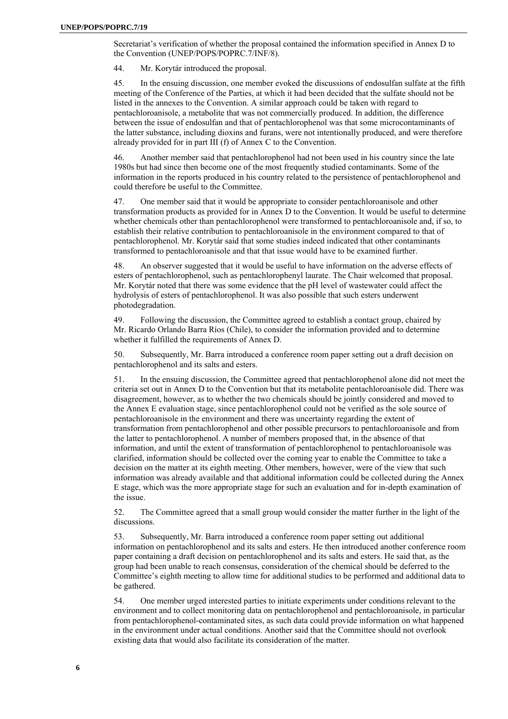Secretariat's verification of whether the proposal contained the information specified in Annex D to the Convention (UNEP/POPS/POPRC.7/INF/8).

44. Mr. Korytár introduced the proposal.

45. In the ensuing discussion, one member evoked the discussions of endosulfan sulfate at the fifth meeting of the Conference of the Parties, at which it had been decided that the sulfate should not be listed in the annexes to the Convention. A similar approach could be taken with regard to pentachloroanisole, a metabolite that was not commercially produced. In addition, the difference between the issue of endosulfan and that of pentachlorophenol was that some microcontaminants of the latter substance, including dioxins and furans, were not intentionally produced, and were therefore already provided for in part III (f) of Annex C to the Convention.

46. Another member said that pentachlorophenol had not been used in his country since the late 1980s but had since then become one of the most frequently studied contaminants. Some of the information in the reports produced in his country related to the persistence of pentachlorophenol and could therefore be useful to the Committee.

47. One member said that it would be appropriate to consider pentachloroanisole and other transformation products as provided for in Annex D to the Convention. It would be useful to determine whether chemicals other than pentachlorophenol were transformed to pentachloroanisole and, if so, to establish their relative contribution to pentachloroanisole in the environment compared to that of pentachlorophenol. Mr. Korytár said that some studies indeed indicated that other contaminants transformed to pentachloroanisole and that that issue would have to be examined further.

48. An observer suggested that it would be useful to have information on the adverse effects of esters of pentachlorophenol, such as pentachlorophenyl laurate. The Chair welcomed that proposal. Mr. Korytár noted that there was some evidence that the pH level of wastewater could affect the hydrolysis of esters of pentachlorophenol. It was also possible that such esters underwent photodegradation.

49. Following the discussion, the Committee agreed to establish a contact group, chaired by Mr. Ricardo Orlando Barra Ríos (Chile), to consider the information provided and to determine whether it fulfilled the requirements of Annex D.

50. Subsequently, Mr. Barra introduced a conference room paper setting out a draft decision on pentachlorophenol and its salts and esters.

51. In the ensuing discussion, the Committee agreed that pentachlorophenol alone did not meet the criteria set out in Annex D to the Convention but that its metabolite pentachloroanisole did. There was disagreement, however, as to whether the two chemicals should be jointly considered and moved to the Annex E evaluation stage, since pentachlorophenol could not be verified as the sole source of pentachloroanisole in the environment and there was uncertainty regarding the extent of transformation from pentachlorophenol and other possible precursors to pentachloroanisole and from the latter to pentachlorophenol. A number of members proposed that, in the absence of that information, and until the extent of transformation of pentachlorophenol to pentachloroanisole was clarified, information should be collected over the coming year to enable the Committee to take a decision on the matter at its eighth meeting. Other members, however, were of the view that such information was already available and that additional information could be collected during the Annex E stage, which was the more appropriate stage for such an evaluation and for in-depth examination of the issue.

52. The Committee agreed that a small group would consider the matter further in the light of the discussions.

53. Subsequently, Mr. Barra introduced a conference room paper setting out additional information on pentachlorophenol and its salts and esters. He then introduced another conference room paper containing a draft decision on pentachlorophenol and its salts and esters. He said that, as the group had been unable to reach consensus, consideration of the chemical should be deferred to the Committee's eighth meeting to allow time for additional studies to be performed and additional data to be gathered.

54. One member urged interested parties to initiate experiments under conditions relevant to the environment and to collect monitoring data on pentachlorophenol and pentachloroanisole, in particular from pentachlorophenol-contaminated sites, as such data could provide information on what happened in the environment under actual conditions. Another said that the Committee should not overlook existing data that would also facilitate its consideration of the matter.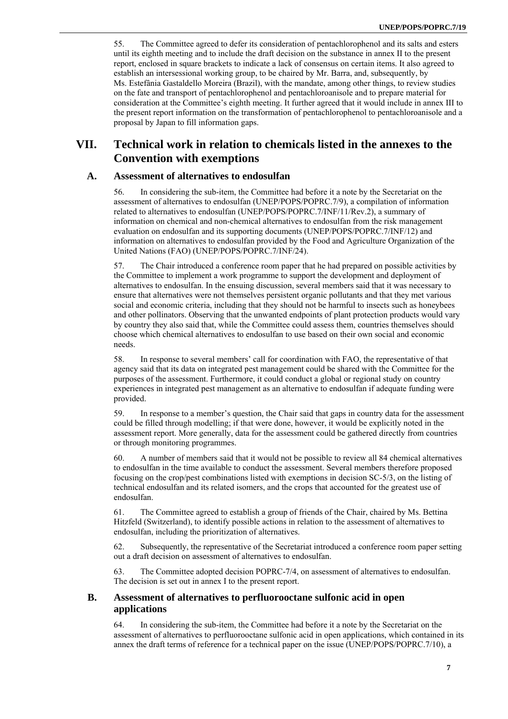55. The Committee agreed to defer its consideration of pentachlorophenol and its salts and esters until its eighth meeting and to include the draft decision on the substance in annex II to the present report, enclosed in square brackets to indicate a lack of consensus on certain items. It also agreed to establish an intersessional working group, to be chaired by Mr. Barra, and, subsequently, by Ms. Estefânia Gastaldello Moreira (Brazil), with the mandate, among other things, to review studies on the fate and transport of pentachlorophenol and pentachloroanisole and to prepare material for consideration at the Committee's eighth meeting. It further agreed that it would include in annex III to the present report information on the transformation of pentachlorophenol to pentachloroanisole and a proposal by Japan to fill information gaps.

# **VII. Technical work in relation to chemicals listed in the annexes to the Convention with exemptions**

## **A. Assessment of alternatives to endosulfan**

56. In considering the sub-item, the Committee had before it a note by the Secretariat on the assessment of alternatives to endosulfan (UNEP/POPS/POPRC.7/9), a compilation of information related to alternatives to endosulfan (UNEP/POPS/POPRC.7/INF/11/Rev.2), a summary of information on chemical and non-chemical alternatives to endosulfan from the risk management evaluation on endosulfan and its supporting documents (UNEP/POPS/POPRC.7/INF/12) and information on alternatives to endosulfan provided by the Food and Agriculture Organization of the United Nations (FAO) (UNEP/POPS/POPRC.7/INF/24).

57. The Chair introduced a conference room paper that he had prepared on possible activities by the Committee to implement a work programme to support the development and deployment of alternatives to endosulfan. In the ensuing discussion, several members said that it was necessary to ensure that alternatives were not themselves persistent organic pollutants and that they met various social and economic criteria, including that they should not be harmful to insects such as honeybees and other pollinators. Observing that the unwanted endpoints of plant protection products would vary by country they also said that, while the Committee could assess them, countries themselves should choose which chemical alternatives to endosulfan to use based on their own social and economic needs.

58. In response to several members' call for coordination with FAO, the representative of that agency said that its data on integrated pest management could be shared with the Committee for the purposes of the assessment. Furthermore, it could conduct a global or regional study on country experiences in integrated pest management as an alternative to endosulfan if adequate funding were provided.

59. In response to a member's question, the Chair said that gaps in country data for the assessment could be filled through modelling; if that were done, however, it would be explicitly noted in the assessment report. More generally, data for the assessment could be gathered directly from countries or through monitoring programmes.

60. A number of members said that it would not be possible to review all 84 chemical alternatives to endosulfan in the time available to conduct the assessment. Several members therefore proposed focusing on the crop/pest combinations listed with exemptions in decision SC-5/3, on the listing of technical endosulfan and its related isomers, and the crops that accounted for the greatest use of endosulfan.

61. The Committee agreed to establish a group of friends of the Chair, chaired by Ms. Bettina Hitzfeld (Switzerland), to identify possible actions in relation to the assessment of alternatives to endosulfan, including the prioritization of alternatives.

62. Subsequently, the representative of the Secretariat introduced a conference room paper setting out a draft decision on assessment of alternatives to endosulfan.

63. The Committee adopted decision POPRC-7/4, on assessment of alternatives to endosulfan. The decision is set out in annex I to the present report.

# **B. Assessment of alternatives to perfluorooctane sulfonic acid in open applications**

64. In considering the sub-item, the Committee had before it a note by the Secretariat on the assessment of alternatives to perfluorooctane sulfonic acid in open applications, which contained in its annex the draft terms of reference for a technical paper on the issue (UNEP/POPS/POPRC.7/10), a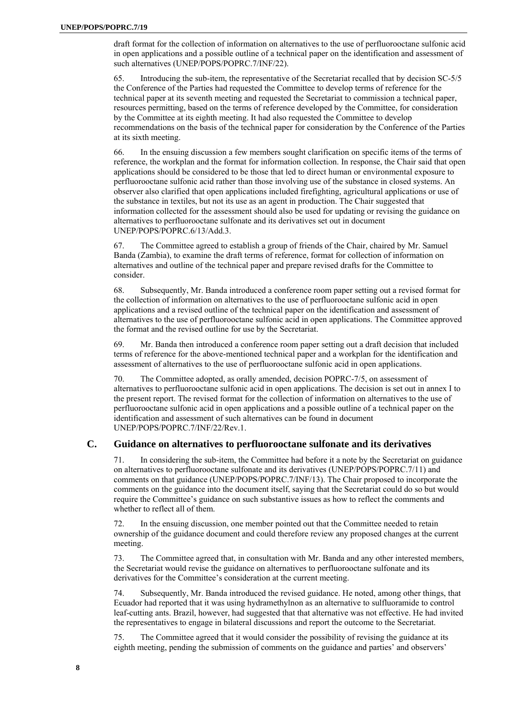draft format for the collection of information on alternatives to the use of perfluorooctane sulfonic acid in open applications and a possible outline of a technical paper on the identification and assessment of such alternatives (UNEP/POPS/POPRC.7/INF/22).

65. Introducing the sub-item, the representative of the Secretariat recalled that by decision SC-5/5 the Conference of the Parties had requested the Committee to develop terms of reference for the technical paper at its seventh meeting and requested the Secretariat to commission a technical paper, resources permitting, based on the terms of reference developed by the Committee, for consideration by the Committee at its eighth meeting. It had also requested the Committee to develop recommendations on the basis of the technical paper for consideration by the Conference of the Parties at its sixth meeting.

66. In the ensuing discussion a few members sought clarification on specific items of the terms of reference, the workplan and the format for information collection. In response, the Chair said that open applications should be considered to be those that led to direct human or environmental exposure to perfluorooctane sulfonic acid rather than those involving use of the substance in closed systems. An observer also clarified that open applications included firefighting, agricultural applications or use of the substance in textiles, but not its use as an agent in production. The Chair suggested that information collected for the assessment should also be used for updating or revising the guidance on alternatives to perfluorooctane sulfonate and its derivatives set out in document UNEP/POPS/POPRC.6/13/Add.3.

67. The Committee agreed to establish a group of friends of the Chair, chaired by Mr. Samuel Banda (Zambia), to examine the draft terms of reference, format for collection of information on alternatives and outline of the technical paper and prepare revised drafts for the Committee to consider.

68. Subsequently, Mr. Banda introduced a conference room paper setting out a revised format for the collection of information on alternatives to the use of perfluorooctane sulfonic acid in open applications and a revised outline of the technical paper on the identification and assessment of alternatives to the use of perfluorooctane sulfonic acid in open applications. The Committee approved the format and the revised outline for use by the Secretariat.

69. Mr. Banda then introduced a conference room paper setting out a draft decision that included terms of reference for the above-mentioned technical paper and a workplan for the identification and assessment of alternatives to the use of perfluorooctane sulfonic acid in open applications.

70. The Committee adopted, as orally amended, decision POPRC-7/5, on assessment of alternatives to perfluorooctane sulfonic acid in open applications. The decision is set out in annex I to the present report. The revised format for the collection of information on alternatives to the use of perfluorooctane sulfonic acid in open applications and a possible outline of a technical paper on the identification and assessment of such alternatives can be found in document UNEP/POPS/POPRC.7/INF/22/Rev.1.

# **C. Guidance on alternatives to perfluorooctane sulfonate and its derivatives**

71. In considering the sub-item, the Committee had before it a note by the Secretariat on guidance on alternatives to perfluorooctane sulfonate and its derivatives (UNEP/POPS/POPRC.7/11) and comments on that guidance (UNEP/POPS/POPRC.7/INF/13). The Chair proposed to incorporate the comments on the guidance into the document itself, saying that the Secretariat could do so but would require the Committee's guidance on such substantive issues as how to reflect the comments and whether to reflect all of them.

72. In the ensuing discussion, one member pointed out that the Committee needed to retain ownership of the guidance document and could therefore review any proposed changes at the current meeting.

73. The Committee agreed that, in consultation with Mr. Banda and any other interested members, the Secretariat would revise the guidance on alternatives to perfluorooctane sulfonate and its derivatives for the Committee's consideration at the current meeting.

74. Subsequently, Mr. Banda introduced the revised guidance. He noted, among other things, that Ecuador had reported that it was using hydramethylnon as an alternative to sulfluoramide to control leaf-cutting ants. Brazil, however, had suggested that that alternative was not effective. He had invited the representatives to engage in bilateral discussions and report the outcome to the Secretariat.

75. The Committee agreed that it would consider the possibility of revising the guidance at its eighth meeting, pending the submission of comments on the guidance and parties' and observers'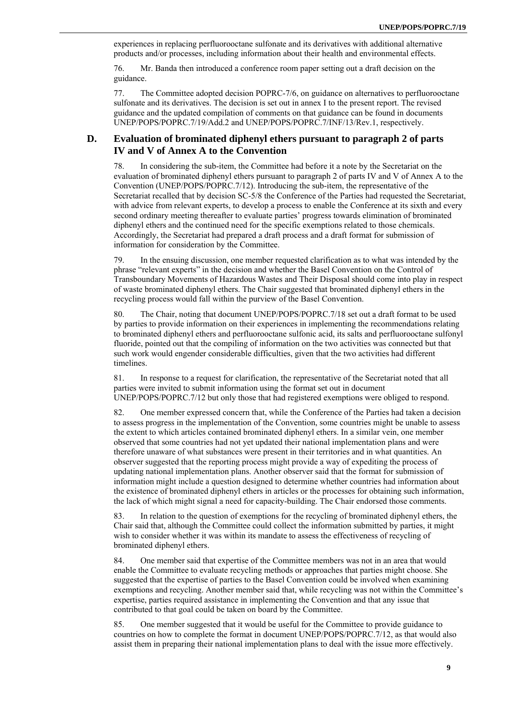experiences in replacing perfluorooctane sulfonate and its derivatives with additional alternative products and/or processes, including information about their health and environmental effects.

76. Mr. Banda then introduced a conference room paper setting out a draft decision on the guidance.

77. The Committee adopted decision POPRC-7/6, on guidance on alternatives to perfluorooctane sulfonate and its derivatives. The decision is set out in annex I to the present report. The revised guidance and the updated compilation of comments on that guidance can be found in documents UNEP/POPS/POPRC.7/19/Add.2 and UNEP/POPS/POPRC.7/INF/13/Rev.1, respectively.

# **D. Evaluation of brominated diphenyl ethers pursuant to paragraph 2 of parts IV and V of Annex A to the Convention**

78. In considering the sub-item, the Committee had before it a note by the Secretariat on the evaluation of brominated diphenyl ethers pursuant to paragraph 2 of parts IV and V of Annex A to the Convention (UNEP/POPS/POPRC.7/12). Introducing the sub-item, the representative of the Secretariat recalled that by decision SC-5/8 the Conference of the Parties had requested the Secretariat, with advice from relevant experts, to develop a process to enable the Conference at its sixth and every second ordinary meeting thereafter to evaluate parties' progress towards elimination of brominated diphenyl ethers and the continued need for the specific exemptions related to those chemicals. Accordingly, the Secretariat had prepared a draft process and a draft format for submission of information for consideration by the Committee.

79. In the ensuing discussion, one member requested clarification as to what was intended by the phrase "relevant experts" in the decision and whether the Basel Convention on the Control of Transboundary Movements of Hazardous Wastes and Their Disposal should come into play in respect of waste brominated diphenyl ethers. The Chair suggested that brominated diphenyl ethers in the recycling process would fall within the purview of the Basel Convention.

80. The Chair, noting that document UNEP/POPS/POPRC.7/18 set out a draft format to be used by parties to provide information on their experiences in implementing the recommendations relating to brominated diphenyl ethers and perfluorooctane sulfonic acid, its salts and perfluorooctane sulfonyl fluoride, pointed out that the compiling of information on the two activities was connected but that such work would engender considerable difficulties, given that the two activities had different timelines.

81. In response to a request for clarification, the representative of the Secretariat noted that all parties were invited to submit information using the format set out in document UNEP/POPS/POPRC.7/12 but only those that had registered exemptions were obliged to respond.

82. One member expressed concern that, while the Conference of the Parties had taken a decision to assess progress in the implementation of the Convention, some countries might be unable to assess the extent to which articles contained brominated diphenyl ethers. In a similar vein, one member observed that some countries had not yet updated their national implementation plans and were therefore unaware of what substances were present in their territories and in what quantities. An observer suggested that the reporting process might provide a way of expediting the process of updating national implementation plans. Another observer said that the format for submission of information might include a question designed to determine whether countries had information about the existence of brominated diphenyl ethers in articles or the processes for obtaining such information, the lack of which might signal a need for capacity-building. The Chair endorsed those comments.

83. In relation to the question of exemptions for the recycling of brominated diphenyl ethers, the Chair said that, although the Committee could collect the information submitted by parties, it might wish to consider whether it was within its mandate to assess the effectiveness of recycling of brominated diphenyl ethers.

84. One member said that expertise of the Committee members was not in an area that would enable the Committee to evaluate recycling methods or approaches that parties might choose. She suggested that the expertise of parties to the Basel Convention could be involved when examining exemptions and recycling. Another member said that, while recycling was not within the Committee's expertise, parties required assistance in implementing the Convention and that any issue that contributed to that goal could be taken on board by the Committee.

85. One member suggested that it would be useful for the Committee to provide guidance to countries on how to complete the format in document UNEP/POPS/POPRC.7/12, as that would also assist them in preparing their national implementation plans to deal with the issue more effectively.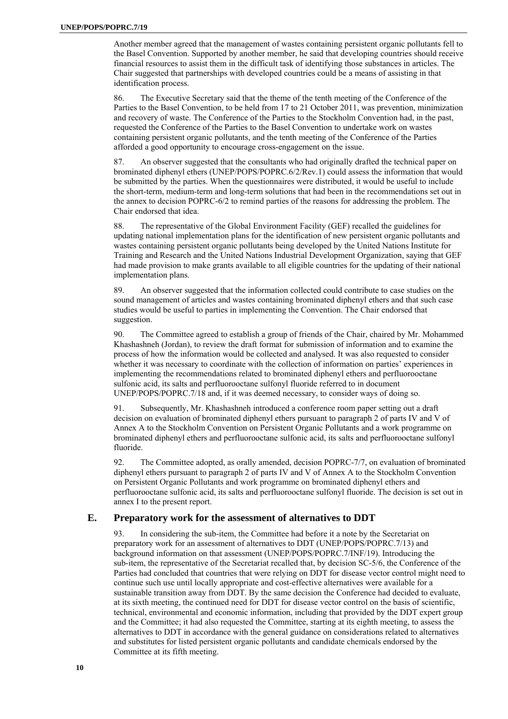Another member agreed that the management of wastes containing persistent organic pollutants fell to the Basel Convention. Supported by another member, he said that developing countries should receive financial resources to assist them in the difficult task of identifying those substances in articles. The Chair suggested that partnerships with developed countries could be a means of assisting in that identification process.

86. The Executive Secretary said that the theme of the tenth meeting of the Conference of the Parties to the Basel Convention, to be held from 17 to 21 October 2011, was prevention, minimization and recovery of waste. The Conference of the Parties to the Stockholm Convention had, in the past, requested the Conference of the Parties to the Basel Convention to undertake work on wastes containing persistent organic pollutants, and the tenth meeting of the Conference of the Parties afforded a good opportunity to encourage cross-engagement on the issue.

87. An observer suggested that the consultants who had originally drafted the technical paper on brominated diphenyl ethers (UNEP/POPS/POPRC.6/2/Rev.1) could assess the information that would be submitted by the parties. When the questionnaires were distributed, it would be useful to include the short-term, medium-term and long-term solutions that had been in the recommendations set out in the annex to decision POPRC-6/2 to remind parties of the reasons for addressing the problem. The Chair endorsed that idea.

88. The representative of the Global Environment Facility (GEF) recalled the guidelines for updating national implementation plans for the identification of new persistent organic pollutants and wastes containing persistent organic pollutants being developed by the United Nations Institute for Training and Research and the United Nations Industrial Development Organization, saying that GEF had made provision to make grants available to all eligible countries for the updating of their national implementation plans.

89. An observer suggested that the information collected could contribute to case studies on the sound management of articles and wastes containing brominated diphenyl ethers and that such case studies would be useful to parties in implementing the Convention. The Chair endorsed that suggestion.

90. The Committee agreed to establish a group of friends of the Chair, chaired by Mr. Mohammed Khashashneh (Jordan), to review the draft format for submission of information and to examine the process of how the information would be collected and analysed. It was also requested to consider whether it was necessary to coordinate with the collection of information on parties' experiences in implementing the recommendations related to brominated diphenyl ethers and perfluorooctane sulfonic acid, its salts and perfluorooctane sulfonyl fluoride referred to in document UNEP/POPS/POPRC.7/18 and, if it was deemed necessary, to consider ways of doing so.

91. Subsequently, Mr. Khashashneh introduced a conference room paper setting out a draft decision on evaluation of brominated diphenyl ethers pursuant to paragraph 2 of parts IV and V of Annex A to the Stockholm Convention on Persistent Organic Pollutants and a work programme on brominated diphenyl ethers and perfluorooctane sulfonic acid, its salts and perfluorooctane sulfonyl fluoride.

92. The Committee adopted, as orally amended, decision POPRC-7/7, on evaluation of brominated diphenyl ethers pursuant to paragraph 2 of parts IV and V of Annex A to the Stockholm Convention on Persistent Organic Pollutants and work programme on brominated diphenyl ethers and perfluorooctane sulfonic acid, its salts and perfluorooctane sulfonyl fluoride. The decision is set out in annex I to the present report.

## **E. Preparatory work for the assessment of alternatives to DDT**

93. In considering the sub-item, the Committee had before it a note by the Secretariat on preparatory work for an assessment of alternatives to DDT (UNEP/POPS/POPRC.7/13) and background information on that assessment (UNEP/POPS/POPRC.7/INF/19). Introducing the sub-item, the representative of the Secretariat recalled that, by decision SC-5/6, the Conference of the Parties had concluded that countries that were relying on DDT for disease vector control might need to continue such use until locally appropriate and cost-effective alternatives were available for a sustainable transition away from DDT. By the same decision the Conference had decided to evaluate, at its sixth meeting, the continued need for DDT for disease vector control on the basis of scientific, technical, environmental and economic information, including that provided by the DDT expert group and the Committee; it had also requested the Committee, starting at its eighth meeting, to assess the alternatives to DDT in accordance with the general guidance on considerations related to alternatives and substitutes for listed persistent organic pollutants and candidate chemicals endorsed by the Committee at its fifth meeting.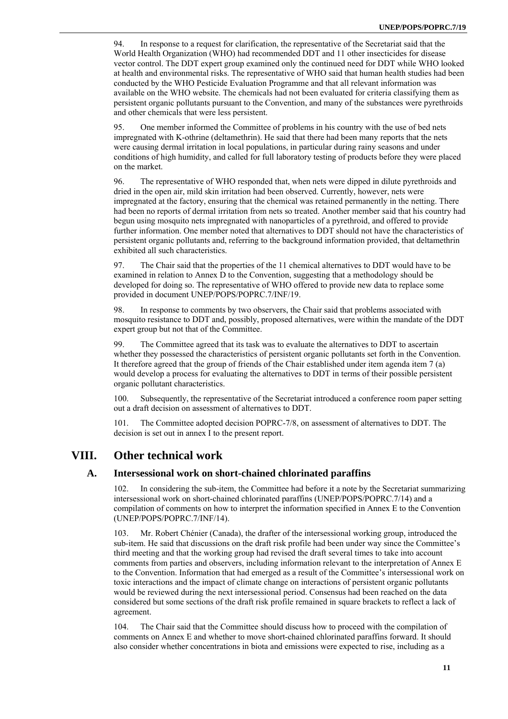94. In response to a request for clarification, the representative of the Secretariat said that the World Health Organization (WHO) had recommended DDT and 11 other insecticides for disease vector control. The DDT expert group examined only the continued need for DDT while WHO looked at health and environmental risks. The representative of WHO said that human health studies had been conducted by the WHO Pesticide Evaluation Programme and that all relevant information was available on the WHO website. The chemicals had not been evaluated for criteria classifying them as persistent organic pollutants pursuant to the Convention, and many of the substances were pyrethroids and other chemicals that were less persistent.

95. One member informed the Committee of problems in his country with the use of bed nets impregnated with K-othrine (deltamethrin). He said that there had been many reports that the nets were causing dermal irritation in local populations, in particular during rainy seasons and under conditions of high humidity, and called for full laboratory testing of products before they were placed on the market.

96. The representative of WHO responded that, when nets were dipped in dilute pyrethroids and dried in the open air, mild skin irritation had been observed. Currently, however, nets were impregnated at the factory, ensuring that the chemical was retained permanently in the netting. There had been no reports of dermal irritation from nets so treated. Another member said that his country had begun using mosquito nets impregnated with nanoparticles of a pyrethroid, and offered to provide further information. One member noted that alternatives to DDT should not have the characteristics of persistent organic pollutants and, referring to the background information provided, that deltamethrin exhibited all such characteristics.

97. The Chair said that the properties of the 11 chemical alternatives to DDT would have to be examined in relation to Annex D to the Convention, suggesting that a methodology should be developed for doing so. The representative of WHO offered to provide new data to replace some provided in document UNEP/POPS/POPRC.7/INF/19.

98. In response to comments by two observers, the Chair said that problems associated with mosquito resistance to DDT and, possibly, proposed alternatives, were within the mandate of the DDT expert group but not that of the Committee.

99. The Committee agreed that its task was to evaluate the alternatives to DDT to ascertain whether they possessed the characteristics of persistent organic pollutants set forth in the Convention. It therefore agreed that the group of friends of the Chair established under item agenda item 7 (a) would develop a process for evaluating the alternatives to DDT in terms of their possible persistent organic pollutant characteristics.

100. Subsequently, the representative of the Secretariat introduced a conference room paper setting out a draft decision on assessment of alternatives to DDT.

101. The Committee adopted decision POPRC-7/8, on assessment of alternatives to DDT. The decision is set out in annex I to the present report.

# **VIII. Other technical work**

## **A. Intersessional work on short-chained chlorinated paraffins**

In considering the sub-item, the Committee had before it a note by the Secretariat summarizing intersessional work on short-chained chlorinated paraffins (UNEP/POPS/POPRC.7/14) and a compilation of comments on how to interpret the information specified in Annex E to the Convention (UNEP/POPS/POPRC.7/INF/14).

103. Mr. Robert Chénier (Canada), the drafter of the intersessional working group, introduced the sub-item. He said that discussions on the draft risk profile had been under way since the Committee's third meeting and that the working group had revised the draft several times to take into account comments from parties and observers, including information relevant to the interpretation of Annex E to the Convention. Information that had emerged as a result of the Committee's intersessional work on toxic interactions and the impact of climate change on interactions of persistent organic pollutants would be reviewed during the next intersessional period. Consensus had been reached on the data considered but some sections of the draft risk profile remained in square brackets to reflect a lack of agreement.

104. The Chair said that the Committee should discuss how to proceed with the compilation of comments on Annex E and whether to move short-chained chlorinated paraffins forward. It should also consider whether concentrations in biota and emissions were expected to rise, including as a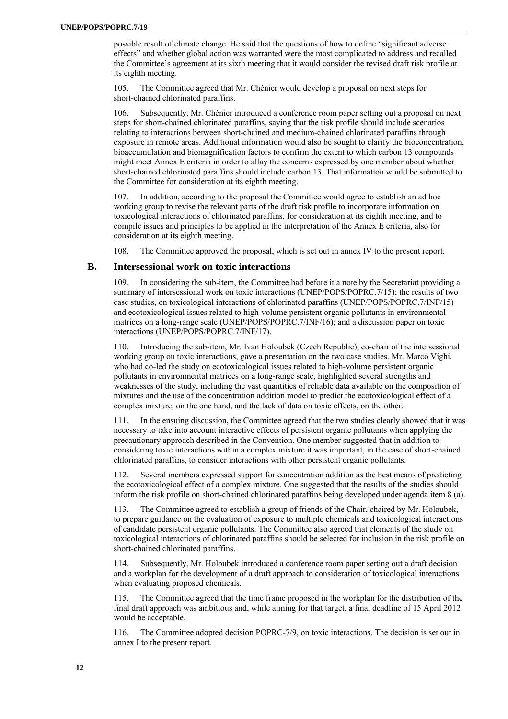possible result of climate change. He said that the questions of how to define "significant adverse effects" and whether global action was warranted were the most complicated to address and recalled the Committee's agreement at its sixth meeting that it would consider the revised draft risk profile at its eighth meeting.

105. The Committee agreed that Mr. Chénier would develop a proposal on next steps for short-chained chlorinated paraffins.

106. Subsequently, Mr. Chénier introduced a conference room paper setting out a proposal on next steps for short-chained chlorinated paraffins, saying that the risk profile should include scenarios relating to interactions between short-chained and medium-chained chlorinated paraffins through exposure in remote areas. Additional information would also be sought to clarify the bioconcentration, bioaccumulation and biomagnification factors to confirm the extent to which carbon 13 compounds might meet Annex E criteria in order to allay the concerns expressed by one member about whether short-chained chlorinated paraffins should include carbon 13. That information would be submitted to the Committee for consideration at its eighth meeting.

107. In addition, according to the proposal the Committee would agree to establish an ad hoc working group to revise the relevant parts of the draft risk profile to incorporate information on toxicological interactions of chlorinated paraffins, for consideration at its eighth meeting, and to compile issues and principles to be applied in the interpretation of the Annex E criteria, also for consideration at its eighth meeting.

108. The Committee approved the proposal, which is set out in annex IV to the present report.

## **B. Intersessional work on toxic interactions**

In considering the sub-item, the Committee had before it a note by the Secretariat providing a summary of intersessional work on toxic interactions (UNEP/POPS/POPRC.7/15); the results of two case studies, on toxicological interactions of chlorinated paraffins (UNEP/POPS/POPRC.7/INF/15) and ecotoxicological issues related to high-volume persistent organic pollutants in environmental matrices on a long-range scale (UNEP/POPS/POPRC.7/INF/16); and a discussion paper on toxic interactions (UNEP/POPS/POPRC.7/INF/17).

110. Introducing the sub-item, Mr. Ivan Holoubek (Czech Republic), co-chair of the intersessional working group on toxic interactions, gave a presentation on the two case studies. Mr. Marco Vighi, who had co-led the study on ecotoxicological issues related to high-volume persistent organic pollutants in environmental matrices on a long-range scale, highlighted several strengths and weaknesses of the study, including the vast quantities of reliable data available on the composition of mixtures and the use of the concentration addition model to predict the ecotoxicological effect of a complex mixture, on the one hand, and the lack of data on toxic effects, on the other.

111. In the ensuing discussion, the Committee agreed that the two studies clearly showed that it was necessary to take into account interactive effects of persistent organic pollutants when applying the precautionary approach described in the Convention. One member suggested that in addition to considering toxic interactions within a complex mixture it was important, in the case of short-chained chlorinated paraffins, to consider interactions with other persistent organic pollutants.

112. Several members expressed support for concentration addition as the best means of predicting the ecotoxicological effect of a complex mixture. One suggested that the results of the studies should inform the risk profile on short-chained chlorinated paraffins being developed under agenda item 8 (a).

113. The Committee agreed to establish a group of friends of the Chair, chaired by Mr. Holoubek, to prepare guidance on the evaluation of exposure to multiple chemicals and toxicological interactions of candidate persistent organic pollutants. The Committee also agreed that elements of the study on toxicological interactions of chlorinated paraffins should be selected for inclusion in the risk profile on short-chained chlorinated paraffins.

114. Subsequently, Mr. Holoubek introduced a conference room paper setting out a draft decision and a workplan for the development of a draft approach to consideration of toxicological interactions when evaluating proposed chemicals.

115. The Committee agreed that the time frame proposed in the workplan for the distribution of the final draft approach was ambitious and, while aiming for that target, a final deadline of 15 April 2012 would be acceptable.

116. The Committee adopted decision POPRC-7/9, on toxic interactions. The decision is set out in annex I to the present report.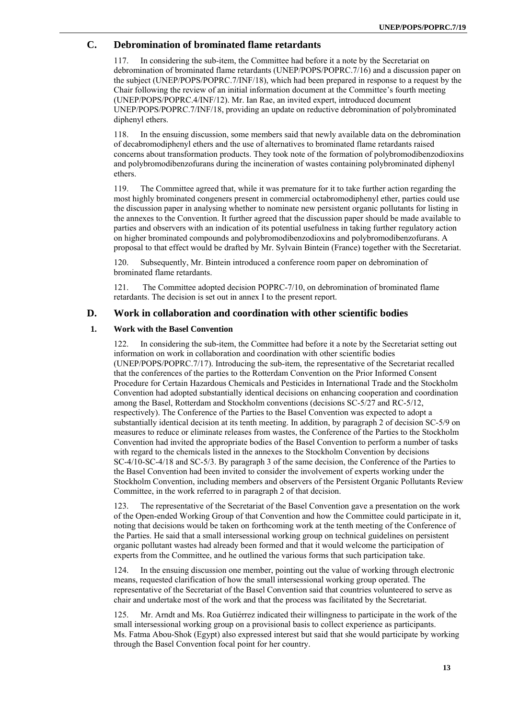# **C. Debromination of brominated flame retardants**

117. In considering the sub-item, the Committee had before it a note by the Secretariat on debromination of brominated flame retardants (UNEP/POPS/POPRC.7/16) and a discussion paper on the subject (UNEP/POPS/POPRC.7/INF/18), which had been prepared in response to a request by the Chair following the review of an initial information document at the Committee's fourth meeting (UNEP/POPS/POPRC.4/INF/12). Mr. Ian Rae, an invited expert, introduced document UNEP/POPS/POPRC.7/INF/18, providing an update on reductive debromination of polybrominated diphenyl ethers.

118. In the ensuing discussion, some members said that newly available data on the debromination of decabromodiphenyl ethers and the use of alternatives to brominated flame retardants raised concerns about transformation products. They took note of the formation of polybromodibenzodioxins and polybromodibenzofurans during the incineration of wastes containing polybrominated diphenyl ethers.

119. The Committee agreed that, while it was premature for it to take further action regarding the most highly brominated congeners present in commercial octabromodiphenyl ether, parties could use the discussion paper in analysing whether to nominate new persistent organic pollutants for listing in the annexes to the Convention. It further agreed that the discussion paper should be made available to parties and observers with an indication of its potential usefulness in taking further regulatory action on higher brominated compounds and polybromodibenzodioxins and polybromodibenzofurans. A proposal to that effect would be drafted by Mr. Sylvain Bintein (France) together with the Secretariat.

120. Subsequently, Mr. Bintein introduced a conference room paper on debromination of brominated flame retardants.

121. The Committee adopted decision POPRC-7/10, on debromination of brominated flame retardants. The decision is set out in annex I to the present report.

## **D. Work in collaboration and coordination with other scientific bodies**

## **1. Work with the Basel Convention**

122. In considering the sub-item, the Committee had before it a note by the Secretariat setting out information on work in collaboration and coordination with other scientific bodies (UNEP/POPS/POPRC.7/17). Introducing the sub-item, the representative of the Secretariat recalled that the conferences of the parties to the Rotterdam Convention on the Prior Informed Consent Procedure for Certain Hazardous Chemicals and Pesticides in International Trade and the Stockholm Convention had adopted substantially identical decisions on enhancing cooperation and coordination among the Basel, Rotterdam and Stockholm conventions (decisions SC-5/27 and RC-5/12, respectively). The Conference of the Parties to the Basel Convention was expected to adopt a substantially identical decision at its tenth meeting. In addition, by paragraph 2 of decision SC-5/9 on measures to reduce or eliminate releases from wastes, the Conference of the Parties to the Stockholm Convention had invited the appropriate bodies of the Basel Convention to perform a number of tasks with regard to the chemicals listed in the annexes to the Stockholm Convention by decisions SC-4/10-SC-4/18 and SC-5/3. By paragraph 3 of the same decision, the Conference of the Parties to the Basel Convention had been invited to consider the involvement of experts working under the Stockholm Convention, including members and observers of the Persistent Organic Pollutants Review Committee, in the work referred to in paragraph 2 of that decision.

123. The representative of the Secretariat of the Basel Convention gave a presentation on the work of the Open-ended Working Group of that Convention and how the Committee could participate in it, noting that decisions would be taken on forthcoming work at the tenth meeting of the Conference of the Parties. He said that a small intersessional working group on technical guidelines on persistent organic pollutant wastes had already been formed and that it would welcome the participation of experts from the Committee, and he outlined the various forms that such participation take.

124. In the ensuing discussion one member, pointing out the value of working through electronic means, requested clarification of how the small intersessional working group operated. The representative of the Secretariat of the Basel Convention said that countries volunteered to serve as chair and undertake most of the work and that the process was facilitated by the Secretariat.

125. Mr. Arndt and Ms. Roa Gutiérrez indicated their willingness to participate in the work of the small intersessional working group on a provisional basis to collect experience as participants. Ms. Fatma Abou-Shok (Egypt) also expressed interest but said that she would participate by working through the Basel Convention focal point for her country.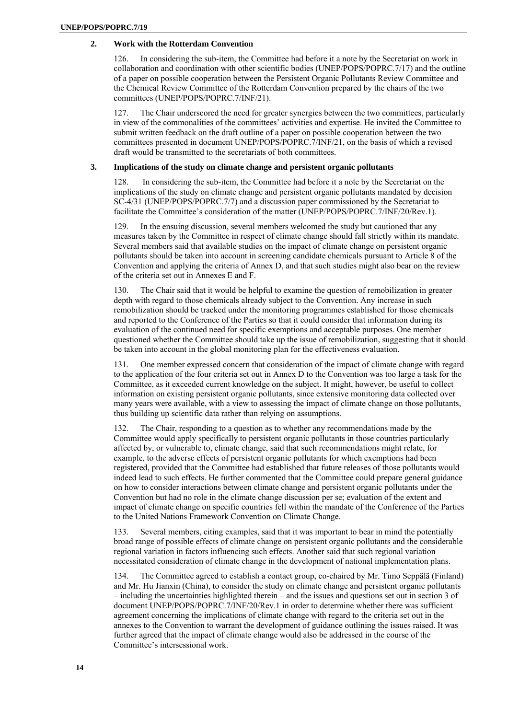## **2. Work with the Rotterdam Convention**

126. In considering the sub-item, the Committee had before it a note by the Secretariat on work in collaboration and coordination with other scientific bodies (UNEP/POPS/POPRC.7/17) and the outline of a paper on possible cooperation between the Persistent Organic Pollutants Review Committee and the Chemical Review Committee of the Rotterdam Convention prepared by the chairs of the two committees (UNEP/POPS/POPRC.7/INF/21).

127. The Chair underscored the need for greater synergies between the two committees, particularly in view of the commonalities of the committees' activities and expertise. He invited the Committee to submit written feedback on the draft outline of a paper on possible cooperation between the two committees presented in document UNEP/POPS/POPRC.7/INF/21, on the basis of which a revised draft would be transmitted to the secretariats of both committees.

#### **3. Implications of the study on climate change and persistent organic pollutants**

128. In considering the sub-item, the Committee had before it a note by the Secretariat on the implications of the study on climate change and persistent organic pollutants mandated by decision SC-4/31 (UNEP/POPS/POPRC.7/7) and a discussion paper commissioned by the Secretariat to facilitate the Committee's consideration of the matter (UNEP/POPS/POPRC.7/INF/20/Rev.1).

129. In the ensuing discussion, several members welcomed the study but cautioned that any measures taken by the Committee in respect of climate change should fall strictly within its mandate. Several members said that available studies on the impact of climate change on persistent organic pollutants should be taken into account in screening candidate chemicals pursuant to Article 8 of the Convention and applying the criteria of Annex D, and that such studies might also bear on the review of the criteria set out in Annexes E and F.

130. The Chair said that it would be helpful to examine the question of remobilization in greater depth with regard to those chemicals already subject to the Convention. Any increase in such remobilization should be tracked under the monitoring programmes established for those chemicals and reported to the Conference of the Parties so that it could consider that information during its evaluation of the continued need for specific exemptions and acceptable purposes. One member questioned whether the Committee should take up the issue of remobilization, suggesting that it should be taken into account in the global monitoring plan for the effectiveness evaluation.

131. One member expressed concern that consideration of the impact of climate change with regard to the application of the four criteria set out in Annex D to the Convention was too large a task for the Committee, as it exceeded current knowledge on the subject. It might, however, be useful to collect information on existing persistent organic pollutants, since extensive monitoring data collected over many years were available, with a view to assessing the impact of climate change on those pollutants, thus building up scientific data rather than relying on assumptions.

132. The Chair, responding to a question as to whether any recommendations made by the Committee would apply specifically to persistent organic pollutants in those countries particularly affected by, or vulnerable to, climate change, said that such recommendations might relate, for example, to the adverse effects of persistent organic pollutants for which exemptions had been registered, provided that the Committee had established that future releases of those pollutants would indeed lead to such effects. He further commented that the Committee could prepare general guidance on how to consider interactions between climate change and persistent organic pollutants under the Convention but had no role in the climate change discussion per se; evaluation of the extent and impact of climate change on specific countries fell within the mandate of the Conference of the Parties to the United Nations Framework Convention on Climate Change.

133. Several members, citing examples, said that it was important to bear in mind the potentially broad range of possible effects of climate change on persistent organic pollutants and the considerable regional variation in factors influencing such effects. Another said that such regional variation necessitated consideration of climate change in the development of national implementation plans.

134. The Committee agreed to establish a contact group, co-chaired by Mr. Timo Seppälä (Finland) and Mr. Hu Jianxin (China), to consider the study on climate change and persistent organic pollutants – including the uncertainties highlighted therein – and the issues and questions set out in section 3 of document UNEP/POPS/POPRC.7/INF/20/Rev.1 in order to determine whether there was sufficient agreement concerning the implications of climate change with regard to the criteria set out in the annexes to the Convention to warrant the development of guidance outlining the issues raised. It was further agreed that the impact of climate change would also be addressed in the course of the Committee's intersessional work.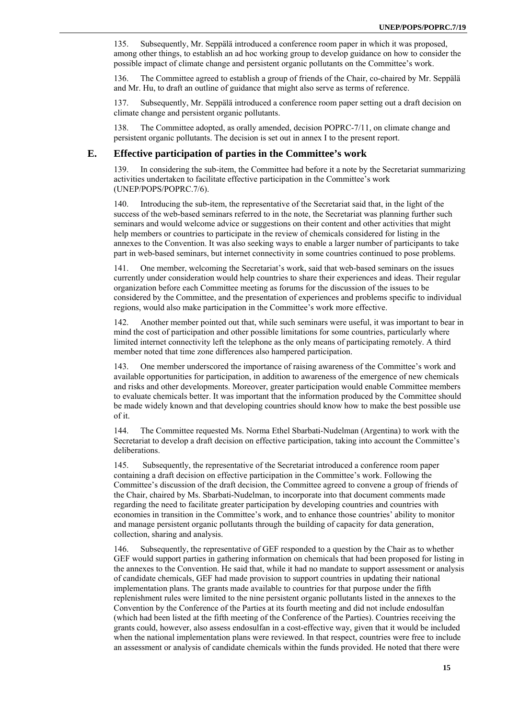135. Subsequently, Mr. Seppälä introduced a conference room paper in which it was proposed, among other things, to establish an ad hoc working group to develop guidance on how to consider the possible impact of climate change and persistent organic pollutants on the Committee's work.

136. The Committee agreed to establish a group of friends of the Chair, co-chaired by Mr. Seppälä and Mr. Hu, to draft an outline of guidance that might also serve as terms of reference.

137. Subsequently, Mr. Seppälä introduced a conference room paper setting out a draft decision on climate change and persistent organic pollutants.

138. The Committee adopted, as orally amended, decision POPRC-7/11, on climate change and persistent organic pollutants. The decision is set out in annex I to the present report.

## **E. Effective participation of parties in the Committee's work**

139. In considering the sub-item, the Committee had before it a note by the Secretariat summarizing activities undertaken to facilitate effective participation in the Committee's work (UNEP/POPS/POPRC.7/6).

140. Introducing the sub-item, the representative of the Secretariat said that, in the light of the success of the web-based seminars referred to in the note, the Secretariat was planning further such seminars and would welcome advice or suggestions on their content and other activities that might help members or countries to participate in the review of chemicals considered for listing in the annexes to the Convention. It was also seeking ways to enable a larger number of participants to take part in web-based seminars, but internet connectivity in some countries continued to pose problems.

141. One member, welcoming the Secretariat's work, said that web-based seminars on the issues currently under consideration would help countries to share their experiences and ideas. Their regular organization before each Committee meeting as forums for the discussion of the issues to be considered by the Committee, and the presentation of experiences and problems specific to individual regions, would also make participation in the Committee's work more effective.

142. Another member pointed out that, while such seminars were useful, it was important to bear in mind the cost of participation and other possible limitations for some countries, particularly where limited internet connectivity left the telephone as the only means of participating remotely. A third member noted that time zone differences also hampered participation.

143. One member underscored the importance of raising awareness of the Committee's work and available opportunities for participation, in addition to awareness of the emergence of new chemicals and risks and other developments. Moreover, greater participation would enable Committee members to evaluate chemicals better. It was important that the information produced by the Committee should be made widely known and that developing countries should know how to make the best possible use of it.

144. The Committee requested Ms. Norma Ethel Sbarbati-Nudelman (Argentina) to work with the Secretariat to develop a draft decision on effective participation, taking into account the Committee's deliberations.

145. Subsequently, the representative of the Secretariat introduced a conference room paper containing a draft decision on effective participation in the Committee's work. Following the Committee's discussion of the draft decision, the Committee agreed to convene a group of friends of the Chair, chaired by Ms. Sbarbati-Nudelman, to incorporate into that document comments made regarding the need to facilitate greater participation by developing countries and countries with economies in transition in the Committee's work, and to enhance those countries' ability to monitor and manage persistent organic pollutants through the building of capacity for data generation, collection, sharing and analysis.

146. Subsequently, the representative of GEF responded to a question by the Chair as to whether GEF would support parties in gathering information on chemicals that had been proposed for listing in the annexes to the Convention. He said that, while it had no mandate to support assessment or analysis of candidate chemicals, GEF had made provision to support countries in updating their national implementation plans. The grants made available to countries for that purpose under the fifth replenishment rules were limited to the nine persistent organic pollutants listed in the annexes to the Convention by the Conference of the Parties at its fourth meeting and did not include endosulfan (which had been listed at the fifth meeting of the Conference of the Parties). Countries receiving the grants could, however, also assess endosulfan in a cost-effective way, given that it would be included when the national implementation plans were reviewed. In that respect, countries were free to include an assessment or analysis of candidate chemicals within the funds provided. He noted that there were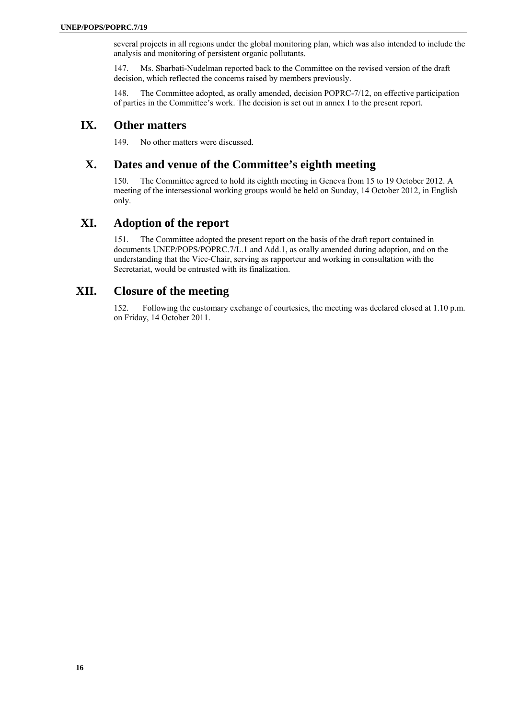several projects in all regions under the global monitoring plan, which was also intended to include the analysis and monitoring of persistent organic pollutants.

147. Ms. Sbarbati-Nudelman reported back to the Committee on the revised version of the draft decision, which reflected the concerns raised by members previously.

148. The Committee adopted, as orally amended, decision POPRC-7/12, on effective participation of parties in the Committee's work. The decision is set out in annex I to the present report.

# **IX. Other matters**

149. No other matters were discussed.

# **X. Dates and venue of the Committee's eighth meeting**

150. The Committee agreed to hold its eighth meeting in Geneva from 15 to 19 October 2012. A meeting of the intersessional working groups would be held on Sunday, 14 October 2012, in English only.

# **XI. Adoption of the report**

151. The Committee adopted the present report on the basis of the draft report contained in documents UNEP/POPS/POPRC.7/L.1 and Add.1, as orally amended during adoption, and on the understanding that the Vice-Chair, serving as rapporteur and working in consultation with the Secretariat, would be entrusted with its finalization.

# **XII. Closure of the meeting**

152. Following the customary exchange of courtesies, the meeting was declared closed at 1.10 p.m. on Friday, 14 October 2011.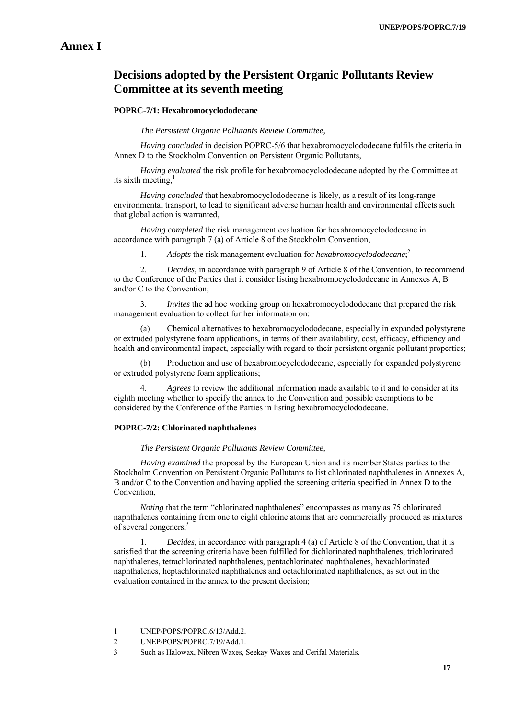# **Annex I**

# **Decisions adopted by the Persistent Organic Pollutants Review Committee at its seventh meeting**

## **POPRC-7/1: Hexabromocyclododecane**

*The Persistent Organic Pollutants Review Committee,* 

*Having concluded* in decision POPRC-5/6 that hexabromocyclododecane fulfils the criteria in Annex D to the Stockholm Convention on Persistent Organic Pollutants,

*Having evaluated* the risk profile for hexabromocyclododecane adopted by the Committee at its sixth meeting, $<sup>1</sup>$ </sup>

*Having concluded* that hexabromocyclododecane is likely, as a result of its long-range environmental transport, to lead to significant adverse human health and environmental effects such that global action is warranted,

 *Having completed* the risk management evaluation for hexabromocyclododecane in accordance with paragraph 7 (a) of Article 8 of the Stockholm Convention,

1. *Adopts* the risk management evaluation for *hexabromocyclododecane*; 2

2. *Decides*, in accordance with paragraph 9 of Article 8 of the Convention, to recommend to the Conference of the Parties that it consider listing hexabromocyclododecane in Annexes A, B and/or C to the Convention;

3. *Invites* the ad hoc working group on hexabromocyclododecane that prepared the risk management evaluation to collect further information on:

(a) Chemical alternatives to hexabromocyclododecane, especially in expanded polystyrene or extruded polystyrene foam applications, in terms of their availability, cost, efficacy, efficiency and health and environmental impact, especially with regard to their persistent organic pollutant properties;

(b) Production and use of hexabromocyclododecane, especially for expanded polystyrene or extruded polystyrene foam applications;

4. *Agrees* to review the additional information made available to it and to consider at its eighth meeting whether to specify the annex to the Convention and possible exemptions to be considered by the Conference of the Parties in listing hexabromocyclododecane.

## **POPRC-7/2: Chlorinated naphthalenes**

#### *The Persistent Organic Pollutants Review Committee,*

*Having examined* the proposal by the European Union and its member States parties to the Stockholm Convention on Persistent Organic Pollutants to list chlorinated naphthalenes in Annexes A, B and/or C to the Convention and having applied the screening criteria specified in Annex D to the **Convention** 

*Noting* that the term "chlorinated naphthalenes" encompasses as many as 75 chlorinated naphthalenes containing from one to eight chlorine atoms that are commercially produced as mixtures of several congeners,3

1. *Decides,* in accordance with paragraph 4 (a) of Article 8 of the Convention, that it is satisfied that the screening criteria have been fulfilled for dichlorinated naphthalenes, trichlorinated naphthalenes, tetrachlorinated naphthalenes, pentachlorinated naphthalenes, hexachlorinated naphthalenes, heptachlorinated naphthalenes and octachlorinated naphthalenes, as set out in the evaluation contained in the annex to the present decision;

<sup>1</sup> UNEP/POPS/POPRC.6/13/Add.2.

<sup>2</sup> UNEP/POPS/POPRC.7/19/Add.1.

<sup>3</sup> Such as Halowax, Nibren Waxes, Seekay Waxes and Cerifal Materials.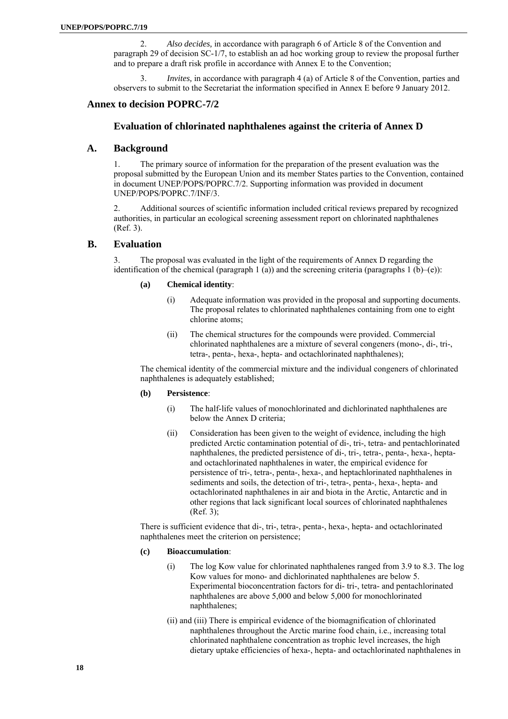2. *Also decides,* in accordance with paragraph 6 of Article 8 of the Convention and paragraph 29 of decision SC-1/7, to establish an ad hoc working group to review the proposal further and to prepare a draft risk profile in accordance with Annex E to the Convention;

3. *Invites,* in accordance with paragraph 4 (a) of Article 8 of the Convention, parties and observers to submit to the Secretariat the information specified in Annex E before 9 January 2012.

## **Annex to decision POPRC-7/2**

## **Evaluation of chlorinated naphthalenes against the criteria of Annex D**

## **A. Background**

1. The primary source of information for the preparation of the present evaluation was the proposal submitted by the European Union and its member States parties to the Convention, contained in document UNEP/POPS/POPRC.7/2. Supporting information was provided in document UNEP/POPS/POPRC.7/INF/3.

2. Additional sources of scientific information included critical reviews prepared by recognized authorities, in particular an ecological screening assessment report on chlorinated naphthalenes (Ref. 3).

# **B. Evaluation**

3. The proposal was evaluated in the light of the requirements of Annex D regarding the identification of the chemical (paragraph 1 (a)) and the screening criteria (paragraphs 1 (b)–(e)):

## **(a) Chemical identity**:

- (i) Adequate information was provided in the proposal and supporting documents. The proposal relates to chlorinated naphthalenes containing from one to eight chlorine atoms;
- (ii) The chemical structures for the compounds were provided. Commercial chlorinated naphthalenes are a mixture of several congeners (mono-, di-, tri-, tetra-, penta-, hexa-, hepta- and octachlorinated naphthalenes);

The chemical identity of the commercial mixture and the individual congeners of chlorinated naphthalenes is adequately established;

#### **(b) Persistence**:

- (i) The half-life values of monochlorinated and dichlorinated naphthalenes are below the Annex D criteria;
- (ii) Consideration has been given to the weight of evidence, including the high predicted Arctic contamination potential of di-, tri-, tetra- and pentachlorinated naphthalenes, the predicted persistence of di-, tri-, tetra-, penta-, hexa-, heptaand octachlorinated naphthalenes in water, the empirical evidence for persistence of tri-, tetra-, penta-, hexa-, and heptachlorinated naphthalenes in sediments and soils, the detection of tri-, tetra-, penta-, hexa-, hepta- and octachlorinated naphthalenes in air and biota in the Arctic, Antarctic and in other regions that lack significant local sources of chlorinated naphthalenes (Ref. 3);

There is sufficient evidence that di-, tri-, tetra-, penta-, hexa-, hepta- and octachlorinated naphthalenes meet the criterion on persistence;

### **(c) Bioaccumulation**:

- (i) The log Kow value for chlorinated naphthalenes ranged from 3.9 to 8.3. The log Kow values for mono- and dichlorinated naphthalenes are below 5. Experimental bioconcentration factors for di- tri-, tetra- and pentachlorinated naphthalenes are above 5,000 and below 5,000 for monochlorinated naphthalenes;
- (ii) and (iii) There is empirical evidence of the biomagnification of chlorinated naphthalenes throughout the Arctic marine food chain, i.e., increasing total chlorinated naphthalene concentration as trophic level increases, the high dietary uptake efficiencies of hexa-, hepta- and octachlorinated naphthalenes in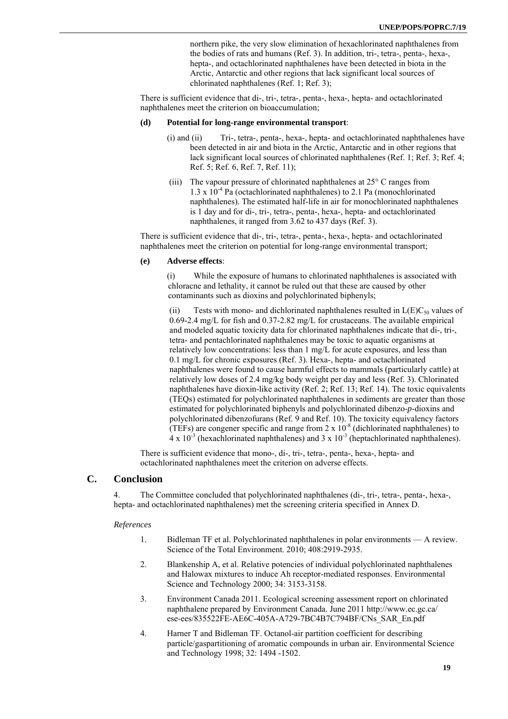northern pike, the very slow elimination of hexachlorinated naphthalenes from the bodies of rats and humans (Ref. 3). In addition, tri-, tetra-, penta-, hexa-, hepta-, and octachlorinated naphthalenes have been detected in biota in the Arctic, Antarctic and other regions that lack significant local sources of chlorinated naphthalenes (Ref. 1; Ref. 3);

There is sufficient evidence that di-, tri-, tetra-, penta-, hexa-, hepta- and octachlorinated naphthalenes meet the criterion on bioaccumulation;

### **(d) Potential for long-range environmental transport**:

- (i) and (ii) Tri-, tetra-, penta-, hexa-, hepta- and octachlorinated naphthalenes have been detected in air and biota in the Arctic, Antarctic and in other regions that lack significant local sources of chlorinated naphthalenes (Ref. 1; Ref. 3; Ref. 4; Ref. 5; Ref. 6, Ref. 7, Ref. 11);
- (iii) The vapour pressure of chlorinated naphthalenes at 25° C ranges from  $1.3 \times 10^{-4}$  Pa (octachlorinated naphthalenes) to 2.1 Pa (monochlorinated naphthalenes). The estimated half-life in air for monochlorinated naphthalenes is 1 day and for di-, tri-, tetra-, penta-, hexa-, hepta- and octachlorinated naphthalenes, it ranged from 3.62 to 437 days (Ref. 3).

There is sufficient evidence that di-, tri-, tetra-, penta-, hexa-, hepta- and octachlorinated naphthalenes meet the criterion on potential for long-range environmental transport;

#### **(e) Adverse effects**:

(i) While the exposure of humans to chlorinated naphthalenes is associated with chloracne and lethality, it cannot be ruled out that these are caused by other contaminants such as dioxins and polychlorinated biphenyls;

(ii) Tests with mono- and dichlorinated naphthalenes resulted in  $L(E)C_{50}$  values of 0.69-2.4 mg/L for fish and 0.37-2.82 mg/L for crustaceans. The available empirical and modeled aquatic toxicity data for chlorinated naphthalenes indicate that di-, tri-, tetra- and pentachlorinated naphthalenes may be toxic to aquatic organisms at relatively low concentrations: less than 1 mg/L for acute exposures, and less than 0.1 mg/L for chronic exposures (Ref. 3). Hexa-, hepta- and octachlorinated naphthalenes were found to cause harmful effects to mammals (particularly cattle) at relatively low doses of 2.4 mg/kg body weight per day and less (Ref. 3). Chlorinated naphthalenes have dioxin-like activity (Ref. 2; Ref. 13; Ref. 14). The toxic equivalents (TEQs) estimated for polychlorinated naphthalenes in sediments are greater than those estimated for polychlorinated biphenyls and polychlorinated dibenzo-*p*-dioxins and polychlorinated dibenzofurans (Ref. 9 and Ref. 10). The toxicity equivalency factors (TEFs) are congener specific and range from  $2 \times 10^{-8}$  (dichlorinated naphthalenes) to  $4 \times 10^{-3}$  (hexachlorinated naphthalenes) and 3 x  $10^{-3}$  (heptachlorinated naphthalenes).

There is sufficient evidence that mono-, di-, tri-, tetra-, penta-, hexa-, hepta- and octachlorinated naphthalenes meet the criterion on adverse effects.

# **C. Conclusion**

4. The Committee concluded that polychlorinated naphthalenes (di-, tri-, tetra-, penta-, hexa-, hepta- and octachlorinated naphthalenes) met the screening criteria specified in Annex D.

#### *References*

- 1. Bidleman TF et al. Polychlorinated naphthalenes in polar environments A review. Science of the Total Environment. 2010; 408:2919-2935.
- 2. Blankenship A, et al. Relative potencies of individual polychlorinated naphthalenes and Halowax mixtures to induce Ah receptor-mediated responses. Environmental Science and Technology 2000; 34: 3153-3158.
- 3. Environment Canada 2011. Ecological screening assessment report on chlorinated naphthalene prepared by Environment Canada. June 2011 http://www.ec.gc.ca/ ese-ees/835522FE-AE6C-405A-A729-7BC4B7C794BF/CNs\_SAR\_En.pdf
- 4. Harner T and Bidleman TF. Octanol-air partition coefficient for describing particle/gaspartitioning of aromatic compounds in urban air. Environmental Science and Technology 1998; 32: 1494 -1502.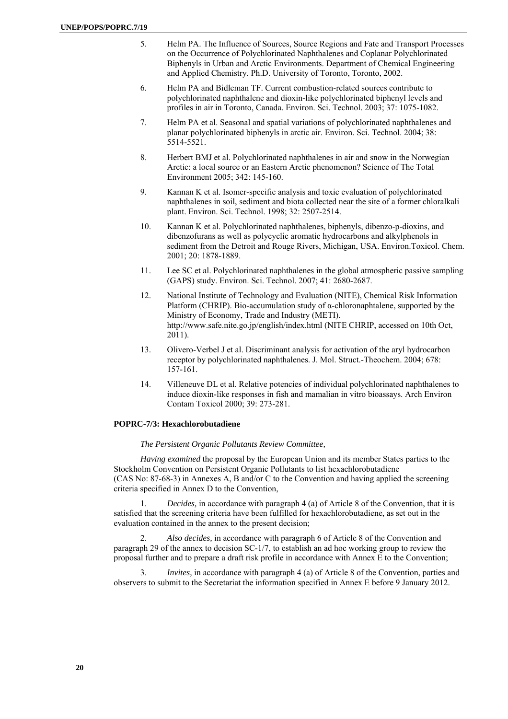- 5. Helm PA. The Influence of Sources, Source Regions and Fate and Transport Processes on the Occurrence of Polychlorinated Naphthalenes and Coplanar Polychlorinated Biphenyls in Urban and Arctic Environments. Department of Chemical Engineering and Applied Chemistry. Ph.D. University of Toronto, Toronto, 2002.
- 6. Helm PA and Bidleman TF. Current combustion-related sources contribute to polychlorinated naphthalene and dioxin-like polychlorinated biphenyl levels and profiles in air in Toronto, Canada. Environ. Sci. Technol. 2003; 37: 1075-1082.
- 7. Helm PA et al. Seasonal and spatial variations of polychlorinated naphthalenes and planar polychlorinated biphenyls in arctic air. Environ. Sci. Technol. 2004; 38: 5514-5521.
- 8. Herbert BMJ et al. Polychlorinated naphthalenes in air and snow in the Norwegian Arctic: a local source or an Eastern Arctic phenomenon? Science of The Total Environment 2005; 342: 145-160.
- 9. Kannan K et al. Isomer-specific analysis and toxic evaluation of polychlorinated naphthalenes in soil, sediment and biota collected near the site of a former chloralkali plant. Environ. Sci. Technol. 1998; 32: 2507-2514.
- 10. Kannan K et al. Polychlorinated naphthalenes, biphenyls, dibenzo-p-dioxins, and dibenzofurans as well as polycyclic aromatic hydrocarbons and alkylphenols in sediment from the Detroit and Rouge Rivers, Michigan, USA. Environ.Toxicol. Chem. 2001; 20: 1878-1889.
- 11. Lee SC et al. Polychlorinated naphthalenes in the global atmospheric passive sampling (GAPS) study. Environ. Sci. Technol. 2007; 41: 2680-2687.
- 12. National Institute of Technology and Evaluation (NITE), Chemical Risk Information Platform (CHRIP). Bio-accumulation study of  $\alpha$ -chloronaphtalene, supported by the Ministry of Economy, Trade and Industry (METI). http://www.safe.nite.go.jp/english/index.html (NITE CHRIP, accessed on 10th Oct, 2011).
- 13. Olivero-Verbel J et al. Discriminant analysis for activation of the aryl hydrocarbon receptor by polychlorinated naphthalenes. J. Mol. Struct.-Theochem. 2004; 678: 157-161.
- 14. Villeneuve DL et al. Relative potencies of individual polychlorinated naphthalenes to induce dioxin-like responses in fish and mamalian in vitro bioassays. Arch Environ Contam Toxicol 2000; 39: 273-281.

## **POPRC-7/3: Hexachlorobutadiene**

### *The Persistent Organic Pollutants Review Committee,*

*Having examined* the proposal by the European Union and its member States parties to the Stockholm Convention on Persistent Organic Pollutants to list hexachlorobutadiene (CAS No: 87-68-3) in Annexes A, B and/or C to the Convention and having applied the screening criteria specified in Annex D to the Convention,

1. *Decides,* in accordance with paragraph 4 (a) of Article 8 of the Convention, that it is satisfied that the screening criteria have been fulfilled for hexachlorobutadiene, as set out in the evaluation contained in the annex to the present decision;

2. *Also decides,* in accordance with paragraph 6 of Article 8 of the Convention and paragraph 29 of the annex to decision SC-1/7, to establish an ad hoc working group to review the proposal further and to prepare a draft risk profile in accordance with Annex E to the Convention;

*Invites,* in accordance with paragraph 4 (a) of Article 8 of the Convention, parties and observers to submit to the Secretariat the information specified in Annex E before 9 January 2012.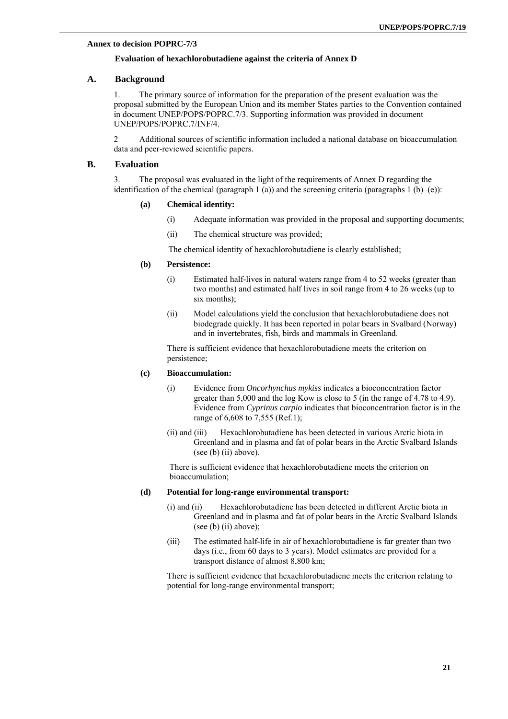## **Annex to decision POPRC-7/3**

#### **Evaluation of hexachlorobutadiene against the criteria of Annex D**

#### **A. Background**

1. The primary source of information for the preparation of the present evaluation was the proposal submitted by the European Union and its member States parties to the Convention contained in document UNEP/POPS/POPRC.7/3. Supporting information was provided in document UNEP/POPS/POPRC.7/INF/4.

2 Additional sources of scientific information included a national database on bioaccumulation data and peer-reviewed scientific papers.

### **B. Evaluation**

3. The proposal was evaluated in the light of the requirements of Annex D regarding the identification of the chemical (paragraph 1 (a)) and the screening criteria (paragraphs 1 (b)–(e)):

#### **(a) Chemical identity:**

- (i) Adequate information was provided in the proposal and supporting documents;
- (ii) The chemical structure was provided;

The chemical identity of hexachlorobutadiene is clearly established;

#### **(b) Persistence:**

- (i) Estimated half-lives in natural waters range from 4 to 52 weeks (greater than two months) and estimated half lives in soil range from 4 to 26 weeks (up to six months);
- (ii) Model calculations yield the conclusion that hexachlorobutadiene does not biodegrade quickly. It has been reported in polar bears in Svalbard (Norway) and in invertebrates, fish, birds and mammals in Greenland.

There is sufficient evidence that hexachlorobutadiene meets the criterion on persistence;

#### **(c) Bioaccumulation:**

- (i) Evidence from *Oncorhynchus mykiss* indicates a bioconcentration factor greater than 5,000 and the log Kow is close to 5 (in the range of 4.78 to 4.9). Evidence from *Cyprinus carpio* indicates that bioconcentration factor is in the range of 6,608 to 7,555 (Ref.1);
- (ii) and (iii) Hexachlorobutadiene has been detected in various Arctic biota in Greenland and in plasma and fat of polar bears in the Arctic Svalbard Islands (see (b) (ii) above).

There is sufficient evidence that hexachlorobutadiene meets the criterion on bioaccumulation;

## **(d) Potential for long-range environmental transport:**

- (i) and (ii) Hexachlorobutadiene has been detected in different Arctic biota in Greenland and in plasma and fat of polar bears in the Arctic Svalbard Islands (see  $(b)$  (ii) above);
- (iii) The estimated half-life in air of hexachlorobutadiene is far greater than two days (i.e., from 60 days to 3 years). Model estimates are provided for a transport distance of almost 8,800 km;

There is sufficient evidence that hexachlorobutadiene meets the criterion relating to potential for long-range environmental transport;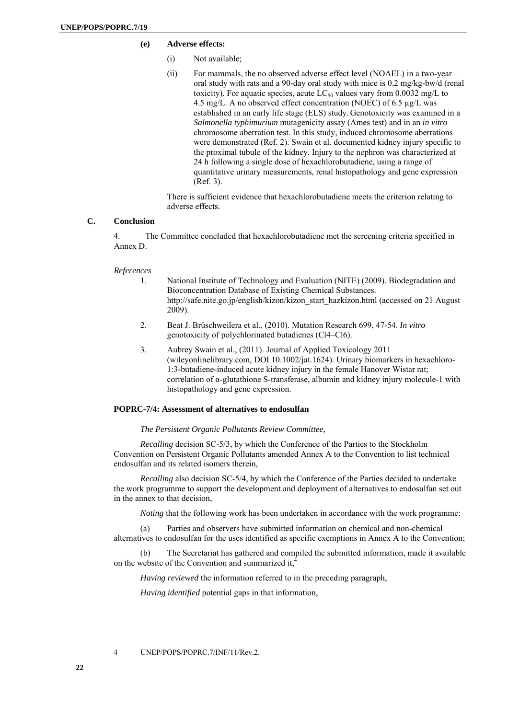### **(e) Adverse effects:**

- (i) Not available;
- (ii) For mammals, the no observed adverse effect level (NOAEL) in a two-year oral study with rats and a 90-day oral study with mice is 0.2 mg/kg-bw/d (renal toxicity). For aquatic species, acute  $LC_{50}$  values vary from 0.0032 mg/L to 4.5 mg/L. A no observed effect concentration (NOEC) of 6.5 µg/L was established in an early life stage (ELS) study. Genotoxicity was examined in a *Salmonella typhimurium* mutagenicity assay (Ames test) and in an *in vitro* chromosome aberration test. In this study, induced chromosome aberrations were demonstrated (Ref. 2). Swain et al. documented kidney injury specific to the proximal tubule of the kidney. Injury to the nephron was characterized at 24 h following a single dose of hexachlorobutadiene, using a range of quantitative urinary measurements, renal histopathology and gene expression (Ref. 3).

There is sufficient evidence that hexachlorobutadiene meets the criterion relating to adverse effects.

## **C. Conclusion**

4. The Committee concluded that hexachlorobutadiene met the screening criteria specified in Annex D.

#### *References*

- 1. National Institute of Technology and Evaluation (NITE) (2009). Biodegradation and Bioconcentration Database of Existing Chemical Substances. http://safe.nite.go.jp/english/kizon/kizon\_start\_hazkizon.html (accessed on 21 August 2009).
- 2. Beat J. Brüschweilera et al., (2010). Mutation Research 699, 47-54. *In vitro* genotoxicity of polychlorinated butadienes (Cl4–Cl6).
- 3. Aubrey Swain et al., (2011). Journal of Applied Toxicology 2011 (wileyonlinelibrary.com, DOI 10.1002/jat.1624). Urinary biomarkers in hexachloro-1:3-butadiene-induced acute kidney injury in the female Hanover Wistar rat; correlation of α-glutathione S-transferase, albumin and kidney injury molecule-1 with histopathology and gene expression.

#### **POPRC-7/4: Assessment of alternatives to endosulfan**

#### *The Persistent Organic Pollutants Review Committee,*

*Recalling* decision SC-5/3, by which the Conference of the Parties to the Stockholm Convention on Persistent Organic Pollutants amended Annex A to the Convention to list technical endosulfan and its related isomers therein,

*Recalling* also decision SC-5/4, by which the Conference of the Parties decided to undertake the work programme to support the development and deployment of alternatives to endosulfan set out in the annex to that decision,

*Noting* that the following work has been undertaken in accordance with the work programme:

(a) Parties and observers have submitted information on chemical and non-chemical alternatives to endosulfan for the uses identified as specific exemptions in Annex A to the Convention;

(b) The Secretariat has gathered and compiled the submitted information, made it available on the website of the Convention and summarized it,<sup>4</sup>

*Having reviewed* the information referred to in the preceding paragraph,

*Having identified* potential gaps in that information,

<sup>4</sup> UNEP/POPS/POPRC.7/INF/11/Rev.2.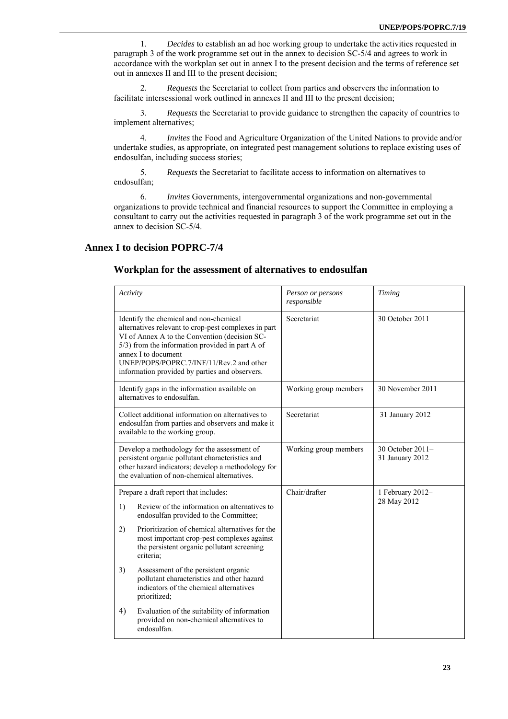1. *Decides* to establish an ad hoc working group to undertake the activities requested in paragraph 3 of the work programme set out in the annex to decision SC-5/4 and agrees to work in accordance with the workplan set out in annex I to the present decision and the terms of reference set out in annexes II and III to the present decision;

2. *Requests* the Secretariat to collect from parties and observers the information to facilitate intersessional work outlined in annexes II and III to the present decision;

3. *Requests* the Secretariat to provide guidance to strengthen the capacity of countries to implement alternatives;

4. *Invites* the Food and Agriculture Organization of the United Nations to provide and/or undertake studies, as appropriate, on integrated pest management solutions to replace existing uses of endosulfan, including success stories;

5. *Requests* the Secretariat to facilitate access to information on alternatives to endosulfan;

6. *Invites* Governments, intergovernmental organizations and non-governmental organizations to provide technical and financial resources to support the Committee in employing a consultant to carry out the activities requested in paragraph 3 of the work programme set out in the annex to decision SC-5/4.

# **Annex I to decision POPRC-7/4**

## **Workplan for the assessment of alternatives to endosulfan**

| Activity |                                                                                                                                                                                                                                                                                                                         | Person or persons<br>responsible | Timing                              |
|----------|-------------------------------------------------------------------------------------------------------------------------------------------------------------------------------------------------------------------------------------------------------------------------------------------------------------------------|----------------------------------|-------------------------------------|
|          | Identify the chemical and non-chemical<br>alternatives relevant to crop-pest complexes in part<br>VI of Annex A to the Convention (decision SC-<br>5/3) from the information provided in part A of<br>annex I to document<br>UNEP/POPS/POPRC.7/INF/11/Rev.2 and other<br>information provided by parties and observers. | Secretariat                      | 30 October 2011                     |
|          | Identify gaps in the information available on<br>alternatives to endosulfan.                                                                                                                                                                                                                                            | Working group members            | 30 November 2011                    |
|          | Collect additional information on alternatives to<br>endosulfan from parties and observers and make it<br>available to the working group.                                                                                                                                                                               | Secretariat                      | 31 January 2012                     |
|          | Develop a methodology for the assessment of<br>persistent organic pollutant characteristics and<br>other hazard indicators; develop a methodology for<br>the evaluation of non-chemical alternatives.                                                                                                                   | Working group members            | 30 October 2011-<br>31 January 2012 |
|          | Prepare a draft report that includes:                                                                                                                                                                                                                                                                                   | Chair/drafter                    | 1 February 2012-                    |
| 1)       | Review of the information on alternatives to<br>endosulfan provided to the Committee;                                                                                                                                                                                                                                   |                                  | 28 May 2012                         |
| 2)       | Prioritization of chemical alternatives for the<br>most important crop-pest complexes against<br>the persistent organic pollutant screening<br>criteria:                                                                                                                                                                |                                  |                                     |
| 3)       | Assessment of the persistent organic<br>pollutant characteristics and other hazard<br>indicators of the chemical alternatives<br>prioritized;                                                                                                                                                                           |                                  |                                     |
| 4)       | Evaluation of the suitability of information<br>provided on non-chemical alternatives to<br>endosulfan.                                                                                                                                                                                                                 |                                  |                                     |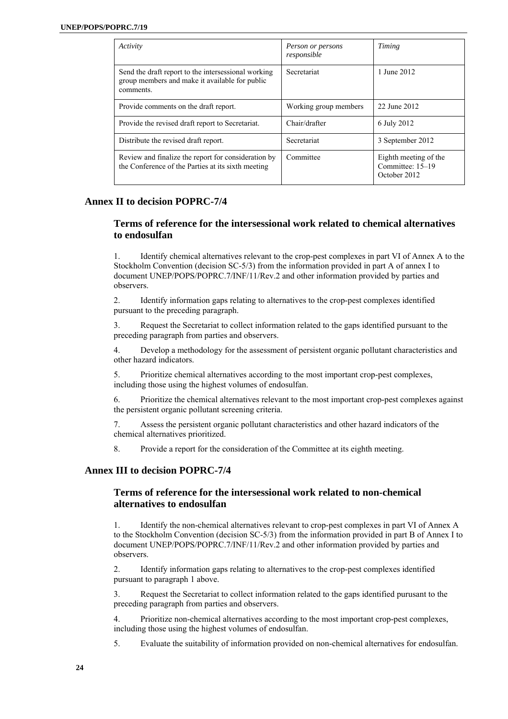| Activity                                                                                                           | Person or persons<br>responsible | Timing                                                    |
|--------------------------------------------------------------------------------------------------------------------|----------------------------------|-----------------------------------------------------------|
| Send the draft report to the intersessional working<br>group members and make it available for public<br>comments. | Secretariat                      | 1 June 2012                                               |
| Provide comments on the draft report.                                                                              | Working group members            | 22 June 2012                                              |
| Provide the revised draft report to Secretariat.                                                                   | Chair/drafter                    | 6 July 2012                                               |
| Distribute the revised draft report.                                                                               | Secretariat                      | 3 September 2012                                          |
| Review and finalize the report for consideration by<br>the Conference of the Parties at its sixth meeting          | Committee                        | Eighth meeting of the<br>Committee: 15-19<br>October 2012 |

# **Annex II to decision POPRC-7/4**

# **Terms of reference for the intersessional work related to chemical alternatives to endosulfan**

1. Identify chemical alternatives relevant to the crop-pest complexes in part VI of Annex A to the Stockholm Convention (decision SC-5/3) from the information provided in part A of annex I to document UNEP/POPS/POPRC.7/INF/11/Rev.2 and other information provided by parties and observers.

2. Identify information gaps relating to alternatives to the crop-pest complexes identified pursuant to the preceding paragraph.

3. Request the Secretariat to collect information related to the gaps identified pursuant to the preceding paragraph from parties and observers.

4. Develop a methodology for the assessment of persistent organic pollutant characteristics and other hazard indicators.

5. Prioritize chemical alternatives according to the most important crop-pest complexes, including those using the highest volumes of endosulfan.

6. Prioritize the chemical alternatives relevant to the most important crop-pest complexes against the persistent organic pollutant screening criteria.

7. Assess the persistent organic pollutant characteristics and other hazard indicators of the chemical alternatives prioritized.

8. Provide a report for the consideration of the Committee at its eighth meeting.

## **Annex III to decision POPRC-7/4**

# **Terms of reference for the intersessional work related to non-chemical alternatives to endosulfan**

1. Identify the non-chemical alternatives relevant to crop-pest complexes in part VI of Annex A to the Stockholm Convention (decision SC-5/3) from the information provided in part B of Annex I to document UNEP/POPS/POPRC.7/INF/11/Rev.2 and other information provided by parties and observers.

2. Identify information gaps relating to alternatives to the crop-pest complexes identified pursuant to paragraph 1 above.

3. Request the Secretariat to collect information related to the gaps identified purusant to the preceding paragraph from parties and observers.

4. Prioritize non-chemical alternatives according to the most important crop-pest complexes, including those using the highest volumes of endosulfan.

5. Evaluate the suitability of information provided on non-chemical alternatives for endosulfan.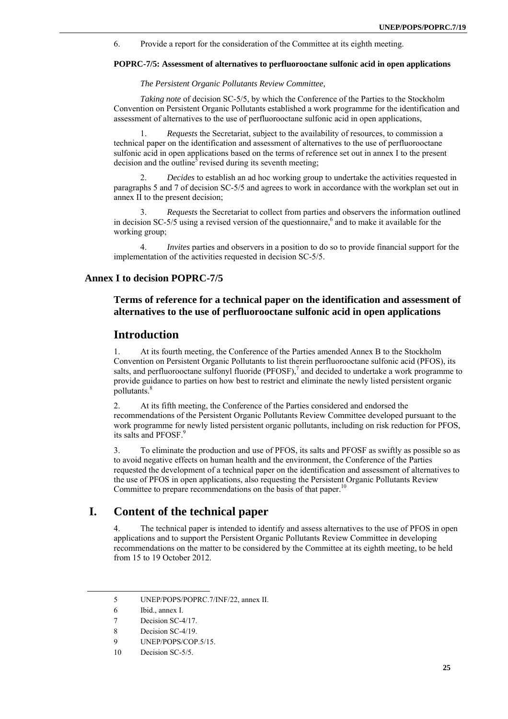6. Provide a report for the consideration of the Committee at its eighth meeting.

#### **POPRC-7/5: Assessment of alternatives to perfluorooctane sulfonic acid in open applications**

*The Persistent Organic Pollutants Review Committee,* 

*Taking note* of decision SC-5/5, by which the Conference of the Parties to the Stockholm Convention on Persistent Organic Pollutants established a work programme for the identification and assessment of alternatives to the use of perfluorooctane sulfonic acid in open applications,

1. *Requests* the Secretariat, subject to the availability of resources, to commission a technical paper on the identification and assessment of alternatives to the use of perfluorooctane sulfonic acid in open applications based on the terms of reference set out in annex I to the present decision and the outline<sup>5</sup> revised during its seventh meeting;

2. *Decides* to establish an ad hoc working group to undertake the activities requested in paragraphs 5 and 7 of decision SC-5/5 and agrees to work in accordance with the workplan set out in annex II to the present decision;

3. *Requests* the Secretariat to collect from parties and observers the information outlined in decision SC-5/5 using a revised version of the questionnaire,<sup>6</sup> and to make it available for the working group;

4. *Invites* parties and observers in a position to do so to provide financial support for the implementation of the activities requested in decision SC-5/5.

# **Annex I to decision POPRC-7/5**

# **Terms of reference for a technical paper on the identification and assessment of alternatives to the use of perfluorooctane sulfonic acid in open applications**

# **Introduction**

1. At its fourth meeting, the Conference of the Parties amended Annex B to the Stockholm Convention on Persistent Organic Pollutants to list therein perfluorooctane sulfonic acid (PFOS), its salts, and perfluorooctane sulfonyl fluoride (PFOSF), $^7$  and decided to undertake a work programme to provide guidance to parties on how best to restrict and eliminate the newly listed persistent organic pollutants.8

2. At its fifth meeting, the Conference of the Parties considered and endorsed the recommendations of the Persistent Organic Pollutants Review Committee developed pursuant to the work programme for newly listed persistent organic pollutants, including on risk reduction for PFOS, its salts and PFOSF.<sup>9</sup>

3. To eliminate the production and use of PFOS, its salts and PFOSF as swiftly as possible so as to avoid negative effects on human health and the environment, the Conference of the Parties requested the development of a technical paper on the identification and assessment of alternatives to the use of PFOS in open applications, also requesting the Persistent Organic Pollutants Review Committee to prepare recommendations on the basis of that paper.<sup>10</sup>

# **I. Content of the technical paper**

4. The technical paper is intended to identify and assess alternatives to the use of PFOS in open applications and to support the Persistent Organic Pollutants Review Committee in developing recommendations on the matter to be considered by the Committee at its eighth meeting, to be held from 15 to 19 October 2012.

<sup>5</sup> UNEP/POPS/POPRC.7/INF/22, annex II.

<sup>6</sup> Ibid., annex I.

<sup>7</sup> Decision SC-4/17.

<sup>8</sup> Decision SC-4/19.

<sup>9</sup> UNEP/POPS/COP 5/15

<sup>10</sup> Decision SC-5/5.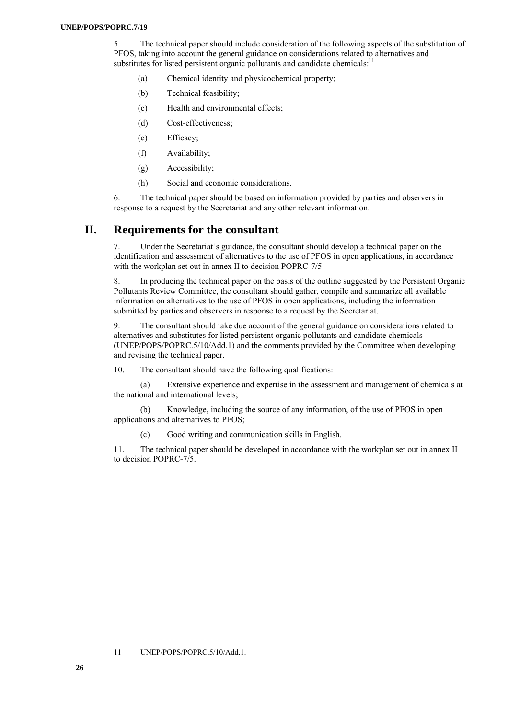5. The technical paper should include consideration of the following aspects of the substitution of PFOS, taking into account the general guidance on considerations related to alternatives and substitutes for listed persistent organic pollutants and candidate chemicals:<sup>1</sup>

- (a) Chemical identity and physicochemical property;
- (b) Technical feasibility;
- (c) Health and environmental effects;
- (d) Cost-effectiveness;
- (e) Efficacy;
- (f) Availability;
- (g) Accessibility;
- (h) Social and economic considerations.

6. The technical paper should be based on information provided by parties and observers in response to a request by the Secretariat and any other relevant information.

# **II. Requirements for the consultant**

Under the Secretariat's guidance, the consultant should develop a technical paper on the identification and assessment of alternatives to the use of PFOS in open applications, in accordance with the workplan set out in annex II to decision POPRC-7/5.

8. In producing the technical paper on the basis of the outline suggested by the Persistent Organic Pollutants Review Committee, the consultant should gather, compile and summarize all available information on alternatives to the use of PFOS in open applications, including the information submitted by parties and observers in response to a request by the Secretariat.

9. The consultant should take due account of the general guidance on considerations related to alternatives and substitutes for listed persistent organic pollutants and candidate chemicals (UNEP/POPS/POPRC.5/10/Add.1) and the comments provided by the Committee when developing and revising the technical paper.

10. The consultant should have the following qualifications:

(a) Extensive experience and expertise in the assessment and management of chemicals at the national and international levels;

(b) Knowledge, including the source of any information, of the use of PFOS in open applications and alternatives to PFOS;

(c) Good writing and communication skills in English.

11. The technical paper should be developed in accordance with the workplan set out in annex II to decision POPRC-7/5.

<sup>11</sup> UNEP/POPS/POPRC.5/10/Add.1.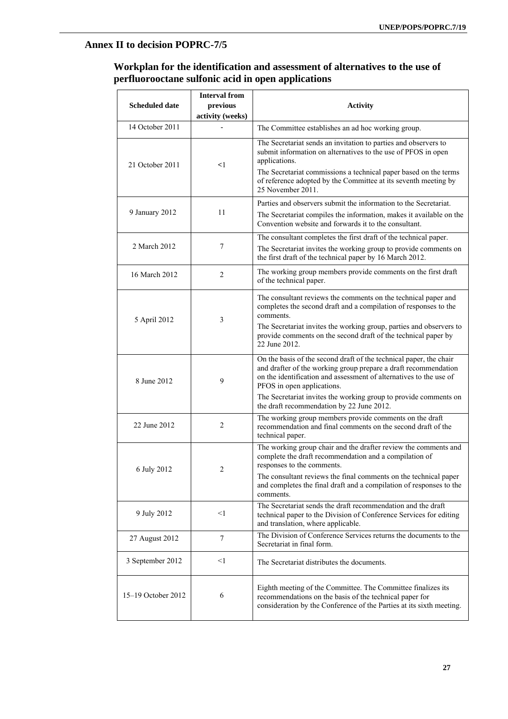# **Annex II to decision POPRC-7/5**

# **Workplan for the identification and assessment of alternatives to the use of perfluorooctane sulfonic acid in open applications**

|                       | <b>Interval from</b> |                                                                                                                                                                                                                                                                                                                 |  |  |
|-----------------------|----------------------|-----------------------------------------------------------------------------------------------------------------------------------------------------------------------------------------------------------------------------------------------------------------------------------------------------------------|--|--|
| <b>Scheduled date</b> | previous             | <b>Activity</b>                                                                                                                                                                                                                                                                                                 |  |  |
|                       | activity (weeks)     |                                                                                                                                                                                                                                                                                                                 |  |  |
| 14 October 2011       |                      | The Committee establishes an ad hoc working group.                                                                                                                                                                                                                                                              |  |  |
| 21 October 2011       | <1                   | The Secretariat sends an invitation to parties and observers to<br>submit information on alternatives to the use of PFOS in open<br>applications.<br>The Secretariat commissions a technical paper based on the terms<br>of reference adopted by the Committee at its seventh meeting by<br>25 November 2011.   |  |  |
| 9 January 2012        | 11                   | Parties and observers submit the information to the Secretariat.<br>The Secretariat compiles the information, makes it available on the<br>Convention website and forwards it to the consultant.                                                                                                                |  |  |
| 2 March 2012          | 7                    | The consultant completes the first draft of the technical paper.<br>The Secretariat invites the working group to provide comments on<br>the first draft of the technical paper by 16 March 2012.                                                                                                                |  |  |
| 16 March 2012         | $\overline{2}$       | The working group members provide comments on the first draft<br>of the technical paper.                                                                                                                                                                                                                        |  |  |
| 5 April 2012          | 3                    | The consultant reviews the comments on the technical paper and<br>completes the second draft and a compilation of responses to the<br>comments.<br>The Secretariat invites the working group, parties and observers to<br>provide comments on the second draft of the technical paper by<br>22 June 2012.       |  |  |
| 8 June 2012           | 9                    | On the basis of the second draft of the technical paper, the chair<br>and drafter of the working group prepare a draft recommendation<br>on the identification and assessment of alternatives to the use of<br>PFOS in open applications.<br>The Secretariat invites the working group to provide comments on   |  |  |
| 22 June 2012          | $\overline{2}$       | the draft recommendation by 22 June 2012.<br>The working group members provide comments on the draft<br>recommendation and final comments on the second draft of the<br>technical paper.                                                                                                                        |  |  |
| 6 July 2012           | 2                    | The working group chair and the drafter review the comments and<br>complete the draft recommendation and a compilation of<br>responses to the comments.<br>The consultant reviews the final comments on the technical paper<br>and completes the final draft and a compilation of responses to the<br>comments. |  |  |
| 9 July 2012           | $<$ 1                | The Secretariat sends the draft recommendation and the draft<br>technical paper to the Division of Conference Services for editing<br>and translation, where applicable.                                                                                                                                        |  |  |
| 27 August 2012        | 7                    | The Division of Conference Services returns the documents to the<br>Secretariat in final form.                                                                                                                                                                                                                  |  |  |
| 3 September 2012      | $<$ 1                | The Secretariat distributes the documents.                                                                                                                                                                                                                                                                      |  |  |
| 15-19 October 2012    | 6                    | Eighth meeting of the Committee. The Committee finalizes its<br>recommendations on the basis of the technical paper for<br>consideration by the Conference of the Parties at its sixth meeting.                                                                                                                 |  |  |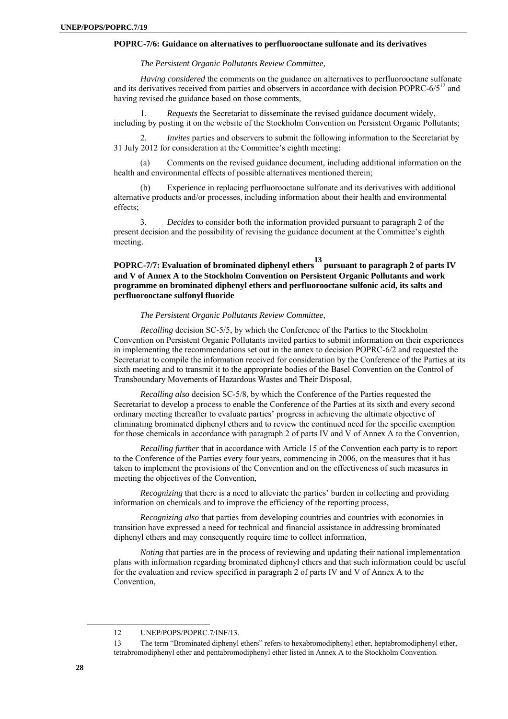## **POPRC-7/6: Guidance on alternatives to perfluorooctane sulfonate and its derivatives**

#### *The Persistent Organic Pollutants Review Committee,*

*Having considered* the comments on the guidance on alternatives to perfluorooctane sulfonate and its derivatives received from parties and observers in accordance with decision POPRC-6/ $5^{12}$  and having revised the guidance based on those comments,

1. *Requests* the Secretariat to disseminate the revised guidance document widely, including by posting it on the website of the Stockholm Convention on Persistent Organic Pollutants;

2. *Invites* parties and observers to submit the following information to the Secretariat by 31 July 2012 for consideration at the Committee's eighth meeting:

(a) Comments on the revised guidance document, including additional information on the health and environmental effects of possible alternatives mentioned therein;

(b) Experience in replacing perfluorooctane sulfonate and its derivatives with additional alternative products and/or processes, including information about their health and environmental effects;

3. *Decides* to consider both the information provided pursuant to paragraph 2 of the present decision and the possibility of revising the guidance document at the Committee's eighth meeting.

# **POPRC-7/7: Evaluation of brominated diphenyl ethers**<sup>13</sup> pursuant to paragraph 2 of parts **IV and V of Annex A to the Stockholm Convention on Persistent Organic Pollutants and work programme on brominated diphenyl ethers and perfluorooctane sulfonic acid, its salts and perfluorooctane sulfonyl fluoride**

#### *The Persistent Organic Pollutants Review Committee,*

*Recalling* decision SC-5/5, by which the Conference of the Parties to the Stockholm Convention on Persistent Organic Pollutants invited parties to submit information on their experiences in implementing the recommendations set out in the annex to decision POPRC-6/2 and requested the Secretariat to compile the information received for consideration by the Conference of the Parties at its sixth meeting and to transmit it to the appropriate bodies of the Basel Convention on the Control of Transboundary Movements of Hazardous Wastes and Their Disposal,

*Recalling also* decision SC-5/8, by which the Conference of the Parties requested the Secretariat to develop a process to enable the Conference of the Parties at its sixth and every second ordinary meeting thereafter to evaluate parties' progress in achieving the ultimate objective of eliminating brominated diphenyl ethers and to review the continued need for the specific exemption for those chemicals in accordance with paragraph 2 of parts IV and V of Annex A to the Convention,

*Recalling further* that in accordance with Article 15 of the Convention each party is to report to the Conference of the Parties every four years, commencing in 2006, on the measures that it has taken to implement the provisions of the Convention and on the effectiveness of such measures in meeting the objectives of the Convention,

*Recognizing* that there is a need to alleviate the parties' burden in collecting and providing information on chemicals and to improve the efficiency of the reporting process,

*Recognizing also* that parties from developing countries and countries with economies in transition have expressed a need for technical and financial assistance in addressing brominated diphenyl ethers and may consequently require time to collect information,

*Noting* that parties are in the process of reviewing and updating their national implementation plans with information regarding brominated diphenyl ethers and that such information could be useful for the evaluation and review specified in paragraph 2 of parts IV and V of Annex A to the Convention,

<sup>12</sup> UNEP/POPS/POPRC.7/INF/13.

<sup>13</sup> The term "Brominated diphenyl ethers" refers to hexabromodiphenyl ether, heptabromodiphenyl ether, tetrabromodiphenyl ether and pentabromodiphenyl ether listed in Annex A to the Stockholm Convention.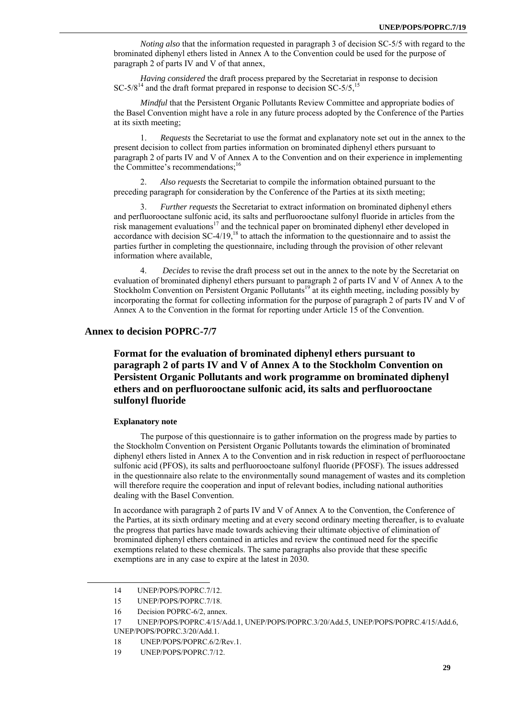*Noting also* that the information requested in paragraph 3 of decision SC-5/5 with regard to the brominated diphenyl ethers listed in Annex A to the Convention could be used for the purpose of paragraph 2 of parts IV and V of that annex,

*Having considered* the draft process prepared by the Secretariat in response to decision SC-5/8<sup>14</sup> and the draft format prepared in response to decision SC-5/5,<sup>15</sup>

*Mindful* that the Persistent Organic Pollutants Review Committee and appropriate bodies of the Basel Convention might have a role in any future process adopted by the Conference of the Parties at its sixth meeting;

1. *Requests* the Secretariat to use the format and explanatory note set out in the annex to the present decision to collect from parties information on brominated diphenyl ethers pursuant to paragraph 2 of parts IV and V of Annex A to the Convention and on their experience in implementing the Committee's recommendations;<sup>16</sup>

2. *Also requests* the Secretariat to compile the information obtained pursuant to the preceding paragraph for consideration by the Conference of the Parties at its sixth meeting;

3. *Further requests* the Secretariat to extract information on brominated diphenyl ethers and perfluorooctane sulfonic acid, its salts and perfluorooctane sulfonyl fluoride in articles from the risk management evaluations<sup>17</sup> and the technical paper on brominated diphenyl ether developed in accordance with decision  $SC-4/19$ ,<sup>18</sup> to attach the information to the questionnaire and to assist the parties further in completing the questionnaire, including through the provision of other relevant information where available,

4. *Decides* to revise the draft process set out in the annex to the note by the Secretariat on evaluation of brominated diphenyl ethers pursuant to paragraph 2 of parts IV and V of Annex A to the Stockholm Convention on Persistent Organic Pollutants<sup>19</sup> at its eighth meeting, including possibly by incorporating the format for collecting information for the purpose of paragraph 2 of parts IV and V of Annex A to the Convention in the format for reporting under Article 15 of the Convention.

## **Annex to decision POPRC-7/7**

**Format for the evaluation of brominated diphenyl ethers pursuant to paragraph 2 of parts IV and V of Annex A to the Stockholm Convention on Persistent Organic Pollutants and work programme on brominated diphenyl ethers and on perfluorooctane sulfonic acid, its salts and perfluorooctane sulfonyl fluoride** 

#### **Explanatory note**

 The purpose of this questionnaire is to gather information on the progress made by parties to the Stockholm Convention on Persistent Organic Pollutants towards the elimination of brominated diphenyl ethers listed in Annex A to the Convention and in risk reduction in respect of perfluorooctane sulfonic acid (PFOS), its salts and perfluorooctoane sulfonyl fluoride (PFOSF). The issues addressed in the questionnaire also relate to the environmentally sound management of wastes and its completion will therefore require the cooperation and input of relevant bodies, including national authorities dealing with the Basel Convention.

In accordance with paragraph 2 of parts IV and V of Annex A to the Convention, the Conference of the Parties, at its sixth ordinary meeting and at every second ordinary meeting thereafter, is to evaluate the progress that parties have made towards achieving their ultimate objective of elimination of brominated diphenyl ethers contained in articles and review the continued need for the specific exemptions related to these chemicals. The same paragraphs also provide that these specific exemptions are in any case to expire at the latest in 2030.

<sup>14</sup> UNEP/POPS/POPRC.7/12.

<sup>15</sup> UNEP/POPS/POPRC.7/18.

<sup>16</sup> Decision POPRC-6/2, annex.

<sup>17</sup> UNEP/POPS/POPRC.4/15/Add.1, UNEP/POPS/POPRC.3/20/Add.5, UNEP/POPS/POPRC.4/15/Add.6, UNEP/POPS/POPRC.3/20/Add.1.

<sup>18</sup> UNEP/POPS/POPRC.6/2/Rev.1.

<sup>19</sup> UNEP/POPS/POPRC.7/12.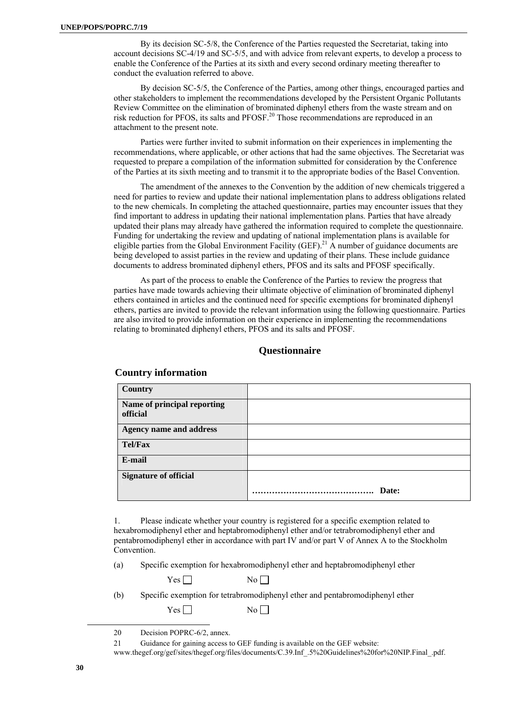By its decision SC-5/8, the Conference of the Parties requested the Secretariat, taking into account decisions SC-4/19 and SC-5/5, and with advice from relevant experts, to develop a process to enable the Conference of the Parties at its sixth and every second ordinary meeting thereafter to conduct the evaluation referred to above.

 By decision SC-5/5, the Conference of the Parties, among other things, encouraged parties and other stakeholders to implement the recommendations developed by the Persistent Organic Pollutants Review Committee on the elimination of brominated diphenyl ethers from the waste stream and on risk reduction for PFOS, its salts and PFOSF.<sup>20</sup> Those recommendations are reproduced in an attachment to the present note.

 Parties were further invited to submit information on their experiences in implementing the recommendations, where applicable, or other actions that had the same objectives. The Secretariat was requested to prepare a compilation of the information submitted for consideration by the Conference of the Parties at its sixth meeting and to transmit it to the appropriate bodies of the Basel Convention.

 The amendment of the annexes to the Convention by the addition of new chemicals triggered a need for parties to review and update their national implementation plans to address obligations related to the new chemicals. In completing the attached questionnaire, parties may encounter issues that they find important to address in updating their national implementation plans. Parties that have already updated their plans may already have gathered the information required to complete the questionnaire. Funding for undertaking the review and updating of national implementation plans is available for eligible parties from the Global Environment Facility (GEF).<sup>21</sup> A number of guidance documents are being developed to assist parties in the review and updating of their plans. These include guidance documents to address brominated diphenyl ethers, PFOS and its salts and PFOSF specifically.

 As part of the process to enable the Conference of the Parties to review the progress that parties have made towards achieving their ultimate objective of elimination of brominated diphenyl ethers contained in articles and the continued need for specific exemptions for brominated diphenyl ethers, parties are invited to provide the relevant information using the following questionnaire. Parties are also invited to provide information on their experience in implementing the recommendations relating to brominated diphenyl ethers, PFOS and its salts and PFOSF.

## **Questionnaire**

| Country                                 |       |
|-----------------------------------------|-------|
| Name of principal reporting<br>official |       |
| <b>Agency name and address</b>          |       |
| <b>Tel/Fax</b>                          |       |
| E-mail                                  |       |
| <b>Signature of official</b>            |       |
|                                         | Date: |

### **Country information**

1. Please indicate whether your country is registered for a specific exemption related to hexabromodiphenyl ether and heptabromodiphenyl ether and/or tetrabromodiphenyl ether and pentabromodiphenyl ether in accordance with part IV and/or part V of Annex A to the Stockholm Convention.

(a) Specific exemption for hexabromodiphenyl ether and heptabromodiphenyl ether

(b) Specific exemption for tetrabromodiphenyl ether and pentabromodiphenyl ether

 $Yes \Box$  No  $\Box$ 

 $Yes \Box$  No  $\Box$ 

<sup>20</sup> Decision POPRC-6/2, annex.

<sup>21</sup> Guidance for gaining access to GEF funding is available on the GEF website:

www.thegef.org/gef/sites/thegef.org/files/documents/C.39.Inf\_.5%20Guidelines%20for%20NIP.Final\_.pdf.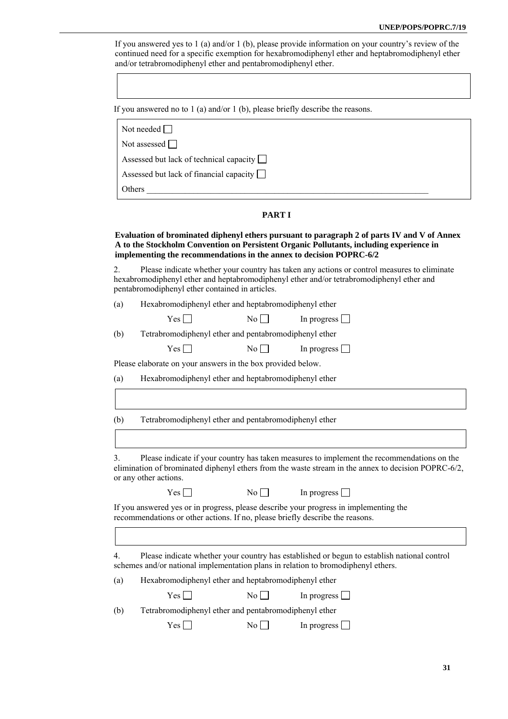If you answered yes to 1 (a) and/or 1 (b), please provide information on your country's review of the continued need for a specific exemption for hexabromodiphenyl ether and heptabromodiphenyl ether and/or tetrabromodiphenyl ether and pentabromodiphenyl ether.

If you answered no to 1 (a) and/or 1 (b), please briefly describe the reasons.

| Not needed $\Box$                              |  |
|------------------------------------------------|--|
| Not assessed                                   |  |
| Assessed but lack of technical capacity $\Box$ |  |
| Assessed but lack of financial capacity $\Box$ |  |
| Others                                         |  |

## **PART I**

### **Evaluation of brominated diphenyl ethers pursuant to paragraph 2 of parts IV and V of Annex A to the Stockholm Convention on Persistent Organic Pollutants, including experience in implementing the recommendations in the annex to decision POPRC-6/2**

2. Please indicate whether your country has taken any actions or control measures to eliminate hexabromodiphenyl ether and heptabromodiphenyl ether and/or tetrabromodiphenyl ether and pentabromodiphenyl ether contained in articles.

(a) Hexabromodiphenyl ether and heptabromodiphenyl ether

| Yes |  | No |  | In progress [ |  |
|-----|--|----|--|---------------|--|
|-----|--|----|--|---------------|--|

(b) Tetrabromodiphenyl ether and pentabromodiphenyl ether

| Y es | No. | In progress |
|------|-----|-------------|
|------|-----|-------------|

Please elaborate on your answers in the box provided below.

(a) Hexabromodiphenyl ether and heptabromodiphenyl ether

(b) Tetrabromodiphenyl ether and pentabromodiphenyl ether

3. Please indicate if your country has taken measures to implement the recommendations on the elimination of brominated diphenyl ethers from the waste stream in the annex to decision POPRC-6/2, or any other actions.

|--|--|--|

 $\overline{N_0}$  In progress  $\overline{\phantom{a}}$ 

If you answered yes or in progress, please describe your progress in implementing the recommendations or other actions. If no, please briefly describe the reasons.

4. Please indicate whether your country has established or begun to establish national control schemes and/or national implementation plans in relation to bromodiphenyl ethers.

(a) Hexabromodiphenyl ether and heptabromodiphenyl ether

|     | $Yes \Box$                                            | $\overline{N_0}$ | In progress $\Box$ |
|-----|-------------------------------------------------------|------------------|--------------------|
| (b) | Tetrabromodiphenyl ether and pentabromodiphenyl ether |                  |                    |

| es | $\overline{N}$ | In progress |
|----|----------------|-------------|
|----|----------------|-------------|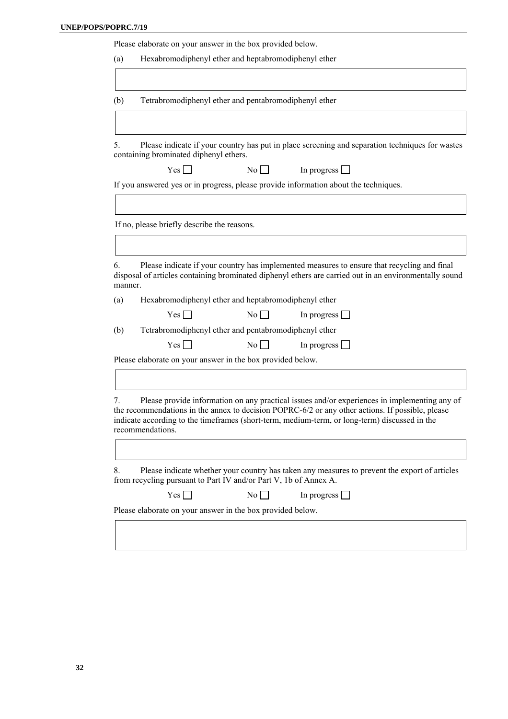Please elaborate on your answer in the box provided below.

| (a) | Hexabromodiphenyl ether and heptabromodiphenyl ether |  |  |
|-----|------------------------------------------------------|--|--|
|     |                                                      |  |  |

(b) Tetrabromodiphenyl ether and pentabromodiphenyl ether

5. Please indicate if your country has put in place screening and separation techniques for wastes containing brominated diphenyl ethers.

 $Yes \t\t No \t\t No \t\t In progress \t\t$ 

If you answered yes or in progress, please provide information about the techniques.

If no, please briefly describe the reasons.

6. Please indicate if your country has implemented measures to ensure that recycling and final disposal of articles containing brominated diphenyl ethers are carried out in an environmentally sound manner.

| (a) | Hexabromodiphenyl ether and heptabromodiphenyl ether  |                  |                    |
|-----|-------------------------------------------------------|------------------|--------------------|
|     | Yes II                                                | No               | In progress        |
| (b) | Tetrabromodiphenyl ether and pentabromodiphenyl ether |                  |                    |
|     | Yes I                                                 | $\overline{N_0}$ | In progress $\Box$ |

Please elaborate on your answer in the box provided below.

7. Please provide information on any practical issues and/or experiences in implementing any of the recommendations in the annex to decision POPRC-6/2 or any other actions. If possible, please indicate according to the timeframes (short-term, medium-term, or long-term) discussed in the recommendations.

8. Please indicate whether your country has taken any measures to prevent the export of articles from recycling pursuant to Part IV and/or Part V, 1b of Annex A.

| $\sim$<br>×<br>۰. |  |  |  |
|-------------------|--|--|--|
|-------------------|--|--|--|

| $\rm No$ | In progress L |  |
|----------|---------------|--|
|----------|---------------|--|

Please elaborate on your answer in the box provided below.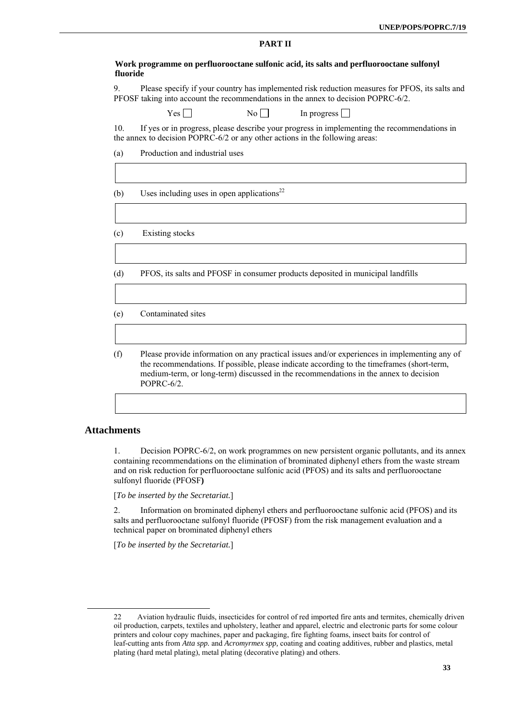# **PART II**

**Work programme on perfluorooctane sulfonic acid, its salts and perfluorooctane sulfonyl fluoride** 

9. Please specify if your country has implemented risk reduction measures for PFOS, its salts and PFOSF taking into account the recommendations in the annex to decision POPRC-6/2.

 $Yes \Box$  No  $\Box$  In progress  $\Box$ 

10. If yes or in progress, please describe your progress in implementing the recommendations in the annex to decision POPRC-6/2 or any other actions in the following areas:

(a) Production and industrial uses

(b) Uses including uses in open applications<sup>22</sup>

(c) Existing stocks

(d) PFOS, its salts and PFOSF in consumer products deposited in municipal landfills

(e) Contaminated sites

(f) Please provide information on any practical issues and/or experiences in implementing any of the recommendations. If possible, please indicate according to the timeframes (short-term, medium-term, or long-term) discussed in the recommendations in the annex to decision POPRC-6/2.

## **Attachments**

l

1. Decision POPRC-6/2, on work programmes on new persistent organic pollutants, and its annex containing recommendations on the elimination of brominated diphenyl ethers from the waste stream and on risk reduction for perfluorooctane sulfonic acid (PFOS) and its salts and perfluorooctane sulfonyl fluoride (PFOSF**)** 

[*To be inserted by the Secretariat.*]

2. Information on brominated diphenyl ethers and perfluorooctane sulfonic acid (PFOS) and its salts and perfluorooctane sulfonyl fluoride (PFOSF) from the risk management evaluation and a technical paper on brominated diphenyl ethers

[*To be inserted by the Secretariat.*]

<sup>22</sup> Aviation hydraulic fluids, insecticides for control of red imported fire ants and termites, chemically driven oil production, carpets, textiles and upholstery, leather and apparel, electric and electronic parts for some colour printers and colour copy machines, paper and packaging, fire fighting foams, insect baits for control of leaf-cutting ants from *Atta spp.* and *Acromyrmex spp,* coating and coating additives, rubber and plastics, metal plating (hard metal plating), metal plating (decorative plating) and others.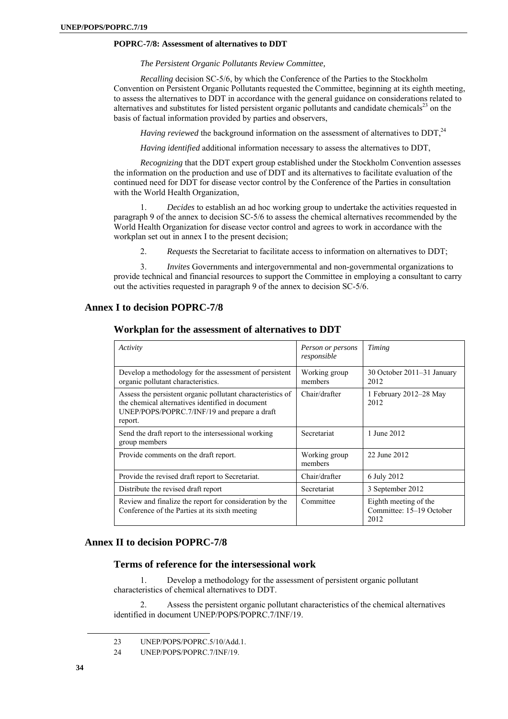## **POPRC-7/8: Assessment of alternatives to DDT**

#### *The Persistent Organic Pollutants Review Committee,*

*Recalling* decision SC-5/6, by which the Conference of the Parties to the Stockholm Convention on Persistent Organic Pollutants requested the Committee, beginning at its eighth meeting, to assess the alternatives to DDT in accordance with the general guidance on considerations related to alternatives and substitutes for listed persistent organic pollutants and candidate chemicals $2<sup>3</sup>$  on the basis of factual information provided by parties and observers,

*Having reviewed* the background information on the assessment of alternatives to DDT,<sup>24</sup>

*Having identified* additional information necessary to assess the alternatives to DDT,

*Recognizing* that the DDT expert group established under the Stockholm Convention assesses the information on the production and use of DDT and its alternatives to facilitate evaluation of the continued need for DDT for disease vector control by the Conference of the Parties in consultation with the World Health Organization,

1. *Decides* to establish an ad hoc working group to undertake the activities requested in paragraph 9 of the annex to decision SC-5/6 to assess the chemical alternatives recommended by the World Health Organization for disease vector control and agrees to work in accordance with the workplan set out in annex I to the present decision;

2. *Requests* the Secretariat to facilitate access to information on alternatives to DDT;

3. *Invites* Governments and intergovernmental and non-governmental organizations to provide technical and financial resources to support the Committee in employing a consultant to carry out the activities requested in paragraph 9 of the annex to decision SC-5/6.

## **Annex I to decision POPRC-7/8**

## **Workplan for the assessment of alternatives to DDT**

| Activity                                                                                                                                                                  | Person or persons<br>responsible | Timing                                                    |
|---------------------------------------------------------------------------------------------------------------------------------------------------------------------------|----------------------------------|-----------------------------------------------------------|
| Develop a methodology for the assessment of persistent<br>organic pollutant characteristics.                                                                              | Working group<br>members         | 30 October 2011-31 January<br>2012                        |
| Assess the persistent organic pollutant characteristics of<br>the chemical alternatives identified in document<br>UNEP/POPS/POPRC.7/INF/19 and prepare a draft<br>report. | Chair/drafter                    | 1 February 2012–28 May<br>2012                            |
| Send the draft report to the intersessional working<br>group members                                                                                                      | Secretariat                      | 1 June 2012                                               |
| Provide comments on the draft report.                                                                                                                                     | Working group<br>members         | 22 June 2012                                              |
| Provide the revised draft report to Secretariat.                                                                                                                          | Chair/drafter                    | 6 July 2012                                               |
| Distribute the revised draft report                                                                                                                                       | Secretariat                      | 3 September 2012                                          |
| Review and finalize the report for consideration by the<br>Conference of the Parties at its sixth meeting                                                                 | Committee                        | Eighth meeting of the<br>Committee: 15-19 October<br>2012 |

# **Annex II to decision POPRC-7/8**

## **Terms of reference for the intersessional work**

1. Develop a methodology for the assessment of persistent organic pollutant characteristics of chemical alternatives to DDT.

Assess the persistent organic pollutant characteristics of the chemical alternatives identified in document UNEP/POPS/POPRC.7/INF/19.

<sup>23</sup> UNEP/POPS/POPRC 5/10/Add 1

<sup>24</sup> UNEP/POPS/POPRC.7/INF/19.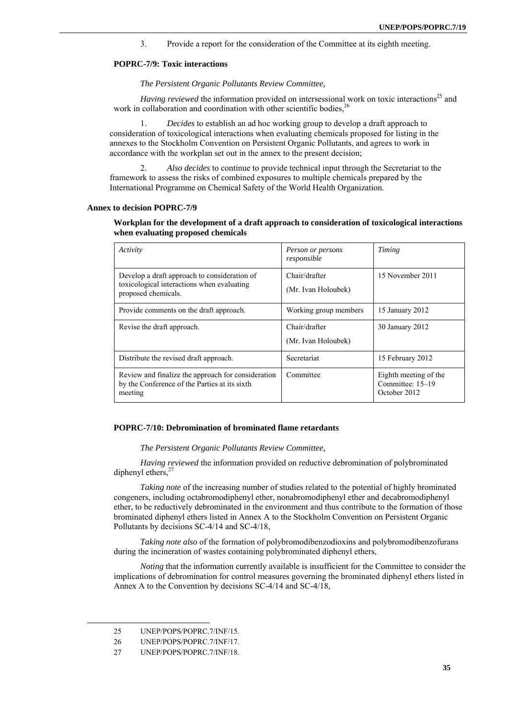3. Provide a report for the consideration of the Committee at its eighth meeting.

### **POPRC-7/9: Toxic interactions**

*The Persistent Organic Pollutants Review Committee,* 

*Having reviewed* the information provided on intersessional work on toxic interactions<sup>25</sup> and work in collaboration and coordination with other scientific bodies.<sup>26</sup>

1. *Decides* to establish an ad hoc working group to develop a draft approach to consideration of toxicological interactions when evaluating chemicals proposed for listing in the annexes to the Stockholm Convention on Persistent Organic Pollutants, and agrees to work in accordance with the workplan set out in the annex to the present decision;

2. *Also decides* to continue to provide technical input through the Secretariat to the framework to assess the risks of combined exposures to multiple chemicals prepared by the International Programme on Chemical Safety of the World Health Organization.

### **Annex to decision POPRC-7/9**

### **Workplan for the development of a draft approach to consideration of toxicological interactions when evaluating proposed chemicals**

| Activity                                                                                                          | Person or persons<br>responsible     | Timing                                                    |
|-------------------------------------------------------------------------------------------------------------------|--------------------------------------|-----------------------------------------------------------|
| Develop a draft approach to consideration of<br>toxicological interactions when evaluating<br>proposed chemicals. | Chair/drafter<br>(Mr. Ivan Holoubek) | 15 November 2011                                          |
| Provide comments on the draft approach.                                                                           | Working group members                | 15 January 2012                                           |
| Revise the draft approach.                                                                                        | Chair/drafter<br>(Mr. Ivan Holoubek) | 30 January 2012                                           |
| Distribute the revised draft approach.                                                                            | Secretariat                          | 15 February 2012                                          |
| Review and finalize the approach for consideration<br>by the Conference of the Parties at its sixth<br>meeting    | Committee                            | Eighth meeting of the<br>Committee: 15–19<br>October 2012 |

#### **POPRC-7/10: Debromination of brominated flame retardants**

#### *The Persistent Organic Pollutants Review Committee,*

*Having reviewed* the information provided on reductive debromination of polybrominated diphenyl ethers, $27$ 

*Taking note* of the increasing number of studies related to the potential of highly brominated congeners, including octabromodiphenyl ether, nonabromodiphenyl ether and decabromodiphenyl ether, to be reductively debrominated in the environment and thus contribute to the formation of those brominated diphenyl ethers listed in Annex A to the Stockholm Convention on Persistent Organic Pollutants by decisions SC-4/14 and SC-4/18,

*Taking note also* of the formation of polybromodibenzodioxins and polybromodibenzofurans during the incineration of wastes containing polybrominated diphenyl ethers,

*Noting* that the information currently available is insufficient for the Committee to consider the implications of debromination for control measures governing the brominated diphenyl ethers listed in Annex A to the Convention by decisions SC-4/14 and SC-4/18,

<sup>25</sup> UNEP/POPS/POPRC.7/INF/15.

<sup>26</sup> UNEP/POPS/POPRC.7/INF/17.

<sup>27</sup> UNEP/POPS/POPRC.7/INF/18.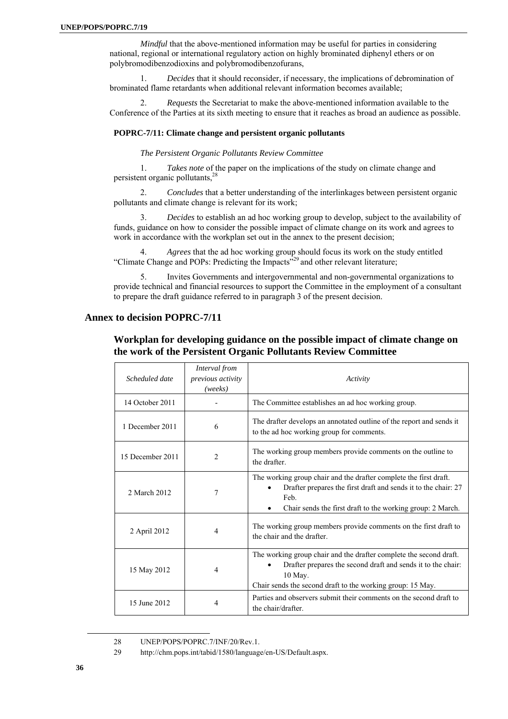*Mindful* that the above-mentioned information may be useful for parties in considering national, regional or international regulatory action on highly brominated diphenyl ethers or on polybromodibenzodioxins and polybromodibenzofurans,

1. *Decides* that it should reconsider, if necessary, the implications of debromination of brominated flame retardants when additional relevant information becomes available;

2. *Requests* the Secretariat to make the above-mentioned information available to the Conference of the Parties at its sixth meeting to ensure that it reaches as broad an audience as possible.

## **POPRC-7/11: Climate change and persistent organic pollutants**

*The Persistent Organic Pollutants Review Committee* 

1. *Takes note* of the paper on the implications of the study on climate change and persistent organic pollutants,28

2. *Concludes* that a better understanding of the interlinkages between persistent organic pollutants and climate change is relevant for its work;

3. *Decides* to establish an ad hoc working group to develop, subject to the availability of funds, guidance on how to consider the possible impact of climate change on its work and agrees to work in accordance with the workplan set out in the annex to the present decision;

4. *Agrees* that the ad hoc working group should focus its work on the study entitled "Climate Change and POPs: Predicting the Impacts<sup> $529$ </sup> and other relevant literature;

5. Invites Governments and intergovernmental and non-governmental organizations to provide technical and financial resources to support the Committee in the employment of a consultant to prepare the draft guidance referred to in paragraph 3 of the present decision.

# **Annex to decision POPRC-7/11**

# **Workplan for developing guidance on the possible impact of climate change on the work of the Persistent Organic Pollutants Review Committee**

| Scheduled date   | Interval from<br>previous activity<br>(weeks) | Activity                                                                                                                                                                                                    |
|------------------|-----------------------------------------------|-------------------------------------------------------------------------------------------------------------------------------------------------------------------------------------------------------------|
| 14 October 2011  |                                               | The Committee establishes an ad hoc working group.                                                                                                                                                          |
| 1 December 2011  | 6                                             | The drafter develops an annotated outline of the report and sends it<br>to the ad hoc working group for comments.                                                                                           |
| 15 December 2011 | $\overline{2}$                                | The working group members provide comments on the outline to<br>the drafter.                                                                                                                                |
| 2. March 2012    | 7                                             | The working group chair and the drafter complete the first draft.<br>Drafter prepares the first draft and sends it to the chair: 27<br>Feb.<br>Chair sends the first draft to the working group: 2 March.   |
| 2 April 2012     | 4                                             | The working group members provide comments on the first draft to<br>the chair and the drafter.                                                                                                              |
| 15 May 2012      | 4                                             | The working group chair and the drafter complete the second draft.<br>Drafter prepares the second draft and sends it to the chair:<br>10 May.<br>Chair sends the second draft to the working group: 15 May. |
| 15 June 2012     | 4                                             | Parties and observers submit their comments on the second draft to<br>the chair/drafter.                                                                                                                    |

<sup>28</sup> UNEP/POPS/POPRC.7/INF/20/Rev.1.

<sup>29</sup> http://chm.pops.int/tabid/1580/language/en-US/Default.aspx.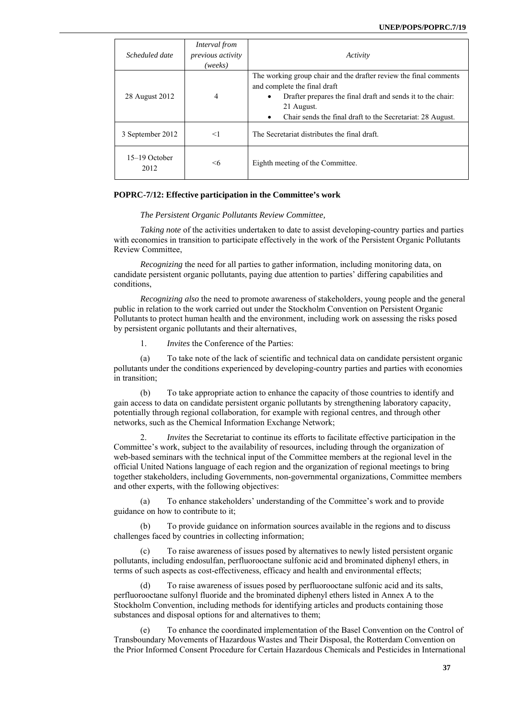| Scheduled date        | Interval from<br><i>previous activity</i><br>(weeks) | Activity                                                                                                                                                                                                                                                               |  |  |
|-----------------------|------------------------------------------------------|------------------------------------------------------------------------------------------------------------------------------------------------------------------------------------------------------------------------------------------------------------------------|--|--|
| 28 August 2012        | 4                                                    | The working group chair and the drafter review the final comments<br>and complete the final draft<br>Drafter prepares the final draft and sends it to the chair:<br>$\bullet$<br>21 August.<br>Chair sends the final draft to the Secretariat: 28 August.<br>$\bullet$ |  |  |
| 3 September 2012      | $\leq$ 1                                             | The Secretariat distributes the final draft.                                                                                                                                                                                                                           |  |  |
| 15–19 October<br>2012 | <6                                                   | Eighth meeting of the Committee.                                                                                                                                                                                                                                       |  |  |

### **POPRC-7/12: Effective participation in the Committee's work**

#### *The Persistent Organic Pollutants Review Committee,*

*Taking note* of the activities undertaken to date to assist developing-country parties and parties with economies in transition to participate effectively in the work of the Persistent Organic Pollutants Review Committee,

*Recognizing* the need for all parties to gather information, including monitoring data, on candidate persistent organic pollutants, paying due attention to parties' differing capabilities and conditions,

*Recognizing also* the need to promote awareness of stakeholders, young people and the general public in relation to the work carried out under the Stockholm Convention on Persistent Organic Pollutants to protect human health and the environment, including work on assessing the risks posed by persistent organic pollutants and their alternatives,

1. *Invites* the Conference of the Parties:

(a) To take note of the lack of scientific and technical data on candidate persistent organic pollutants under the conditions experienced by developing-country parties and parties with economies in transition;

(b) To take appropriate action to enhance the capacity of those countries to identify and gain access to data on candidate persistent organic pollutants by strengthening laboratory capacity, potentially through regional collaboration, for example with regional centres, and through other networks, such as the Chemical Information Exchange Network;

2. *Invites* the Secretariat to continue its efforts to facilitate effective participation in the Committee's work, subject to the availability of resources, including through the organization of web-based seminars with the technical input of the Committee members at the regional level in the official United Nations language of each region and the organization of regional meetings to bring together stakeholders, including Governments, non-governmental organizations, Committee members and other experts, with the following objectives:

(a) To enhance stakeholders' understanding of the Committee's work and to provide guidance on how to contribute to it;

(b) To provide guidance on information sources available in the regions and to discuss challenges faced by countries in collecting information;

To raise awareness of issues posed by alternatives to newly listed persistent organic pollutants, including endosulfan, perfluorooctane sulfonic acid and brominated diphenyl ethers, in terms of such aspects as cost-effectiveness, efficacy and health and environmental effects;

(d) To raise awareness of issues posed by perfluorooctane sulfonic acid and its salts, perfluorooctane sulfonyl fluoride and the brominated diphenyl ethers listed in Annex A to the Stockholm Convention, including methods for identifying articles and products containing those substances and disposal options for and alternatives to them;

To enhance the coordinated implementation of the Basel Convention on the Control of Transboundary Movements of Hazardous Wastes and Their Disposal, the Rotterdam Convention on the Prior Informed Consent Procedure for Certain Hazardous Chemicals and Pesticides in International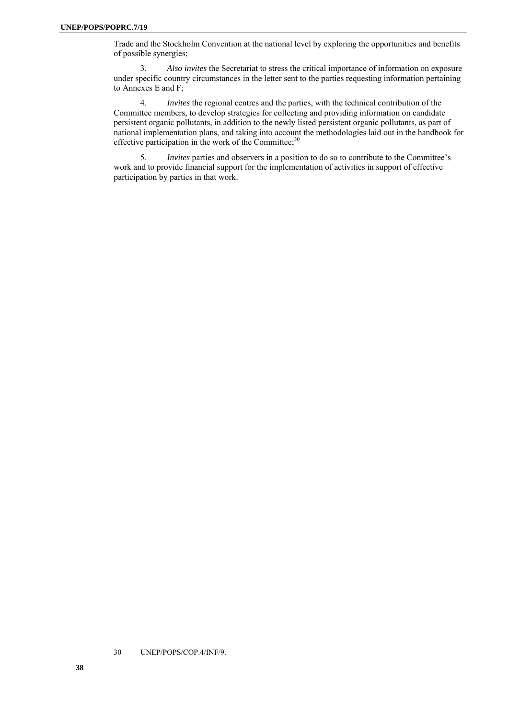Trade and the Stockholm Convention at the national level by exploring the opportunities and benefits of possible synergies;

3. *Also invites* the Secretariat to stress the critical importance of information on exposure under specific country circumstances in the letter sent to the parties requesting information pertaining to Annexes E and F;

4. *Invites* the regional centres and the parties, with the technical contribution of the Committee members, to develop strategies for collecting and providing information on candidate persistent organic pollutants, in addition to the newly listed persistent organic pollutants, as part of national implementation plans, and taking into account the methodologies laid out in the handbook for effective participation in the work of the Committee; $30$ 

5. *Invites* parties and observers in a position to do so to contribute to the Committee's work and to provide financial support for the implementation of activities in support of effective participation by parties in that work.

<sup>30</sup> UNEP/POPS/COP.4/INF/9.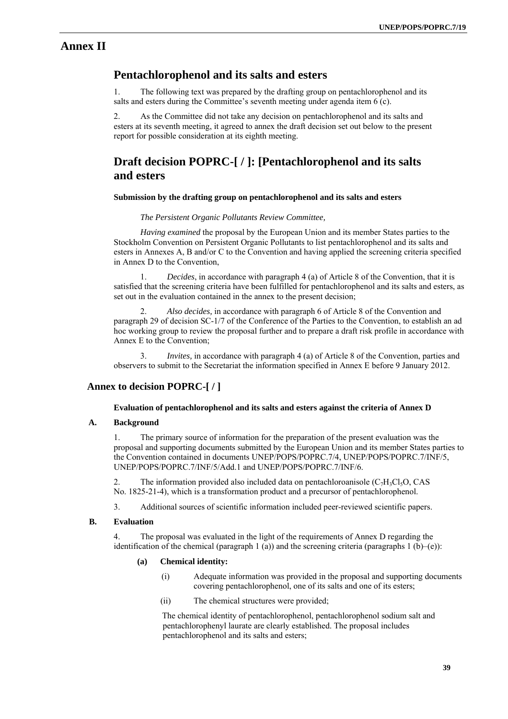# **Annex II**

# **Pentachlorophenol and its salts and esters**

1. The following text was prepared by the drafting group on pentachlorophenol and its salts and esters during the Committee's seventh meeting under agenda item 6 (c).

2. As the Committee did not take any decision on pentachlorophenol and its salts and esters at its seventh meeting, it agreed to annex the draft decision set out below to the present report for possible consideration at its eighth meeting.

# **Draft decision POPRC-[ / ]: [Pentachlorophenol and its salts and esters**

### **Submission by the drafting group on pentachlorophenol and its salts and esters**

### *The Persistent Organic Pollutants Review Committee,*

*Having examined* the proposal by the European Union and its member States parties to the Stockholm Convention on Persistent Organic Pollutants to list pentachlorophenol and its salts and esters in Annexes A, B and/or C to the Convention and having applied the screening criteria specified in Annex D to the Convention,

1. *Decides*, in accordance with paragraph 4 (a) of Article 8 of the Convention, that it is satisfied that the screening criteria have been fulfilled for pentachlorophenol and its salts and esters, as set out in the evaluation contained in the annex to the present decision;

2. *Also decides,* in accordance with paragraph 6 of Article 8 of the Convention and paragraph 29 of decision SC-1/7 of the Conference of the Parties to the Convention, to establish an ad hoc working group to review the proposal further and to prepare a draft risk profile in accordance with Annex E to the Convention;

3. *Invites,* in accordance with paragraph 4 (a) of Article 8 of the Convention, parties and observers to submit to the Secretariat the information specified in Annex E before 9 January 2012.

## **Annex to decision POPRC-[ / ]**

## **Evaluation of pentachlorophenol and its salts and esters against the criteria of Annex D**

## **A. Background**

1. The primary source of information for the preparation of the present evaluation was the proposal and supporting documents submitted by the European Union and its member States parties to the Convention contained in documents UNEP/POPS/POPRC.7/4, UNEP/POPS/POPRC.7/INF/5, UNEP/POPS/POPRC.7/INF/5/Add.1 and UNEP/POPS/POPRC.7/INF/6.

2. The information provided also included data on pentachloroanisole  $(C_7H_3Cl_5O, CAS)$ No. 1825-21-4), which is a transformation product and a precursor of pentachlorophenol.

3. Additional sources of scientific information included peer-reviewed scientific papers.

## **B. Evaluation**

4. The proposal was evaluated in the light of the requirements of Annex D regarding the identification of the chemical (paragraph 1 (a)) and the screening criteria (paragraphs 1 (b)–(e)):

## **(a) Chemical identity:**

- (i) Adequate information was provided in the proposal and supporting documents covering pentachlorophenol, one of its salts and one of its esters;
- (ii) The chemical structures were provided;

The chemical identity of pentachlorophenol, pentachlorophenol sodium salt and pentachlorophenyl laurate are clearly established. The proposal includes pentachlorophenol and its salts and esters;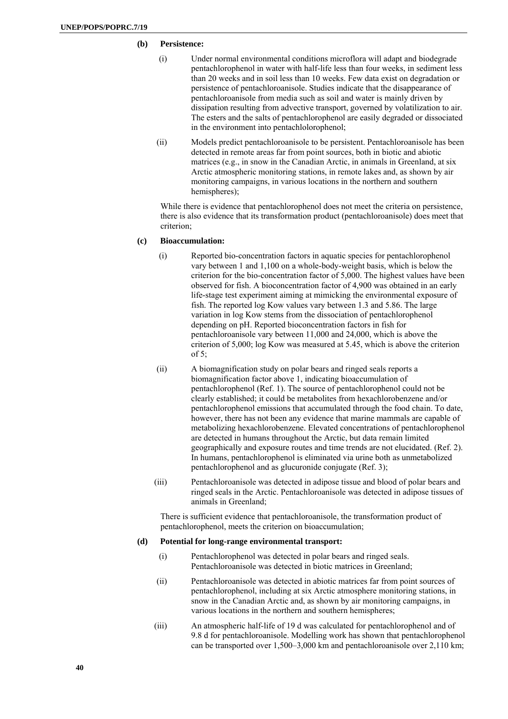### **(b) Persistence:**

- (i) Under normal environmental conditions microflora will adapt and biodegrade pentachlorophenol in water with half-life less than four weeks, in sediment less than 20 weeks and in soil less than 10 weeks. Few data exist on degradation or persistence of pentachloroanisole. Studies indicate that the disappearance of pentachloroanisole from media such as soil and water is mainly driven by dissipation resulting from advective transport, governed by volatilization to air. The esters and the salts of pentachlorophenol are easily degraded or dissociated in the environment into pentachlolorophenol;
- (ii) Models predict pentachloroanisole to be persistent. Pentachloroanisole has been detected in remote areas far from point sources, both in biotic and abiotic matrices (e.g., in snow in the Canadian Arctic, in animals in Greenland, at six Arctic atmospheric monitoring stations, in remote lakes and, as shown by air monitoring campaigns, in various locations in the northern and southern hemispheres);

While there is evidence that pentachlorophenol does not meet the criteria on persistence, there is also evidence that its transformation product (pentachloroanisole) does meet that criterion;

### **(c) Bioaccumulation:**

- (i) Reported bio-concentration factors in aquatic species for pentachlorophenol vary between 1 and 1,100 on a whole-body-weight basis, which is below the criterion for the bio-concentration factor of 5,000. The highest values have been observed for fish. A bioconcentration factor of 4,900 was obtained in an early life-stage test experiment aiming at mimicking the environmental exposure of fish. The reported log Kow values vary between 1.3 and 5.86. The large variation in log Kow stems from the dissociation of pentachlorophenol depending on pH. Reported bioconcentration factors in fish for pentachloroanisole vary between 11,000 and 24,000, which is above the criterion of 5,000; log Kow was measured at 5.45, which is above the criterion of 5;
- (ii) A biomagnification study on polar bears and ringed seals reports a biomagnification factor above 1, indicating bioaccumulation of pentachlorophenol (Ref. 1). The source of pentachlorophenol could not be clearly established; it could be metabolites from hexachlorobenzene and/or pentachlorophenol emissions that accumulated through the food chain. To date, however, there has not been any evidence that marine mammals are capable of metabolizing hexachlorobenzene. Elevated concentrations of pentachlorophenol are detected in humans throughout the Arctic, but data remain limited geographically and exposure routes and time trends are not elucidated. (Ref. 2). In humans, pentachlorophenol is eliminated via urine both as unmetabolized pentachlorophenol and as glucuronide conjugate (Ref. 3);
- (iii) Pentachloroanisole was detected in adipose tissue and blood of polar bears and ringed seals in the Arctic. Pentachloroanisole was detected in adipose tissues of animals in Greenland;

There is sufficient evidence that pentachloroanisole, the transformation product of pentachlorophenol, meets the criterion on bioaccumulation;

#### **(d) Potential for long-range environmental transport:**

- (i) Pentachlorophenol was detected in polar bears and ringed seals. Pentachloroanisole was detected in biotic matrices in Greenland;
- (ii) Pentachloroanisole was detected in abiotic matrices far from point sources of pentachlorophenol, including at six Arctic atmosphere monitoring stations, in snow in the Canadian Arctic and, as shown by air monitoring campaigns, in various locations in the northern and southern hemispheres;
- (iii) An atmospheric half-life of 19 d was calculated for pentachlorophenol and of 9.8 d for pentachloroanisole. Modelling work has shown that pentachlorophenol can be transported over 1,500–3,000 km and pentachloroanisole over 2,110 km;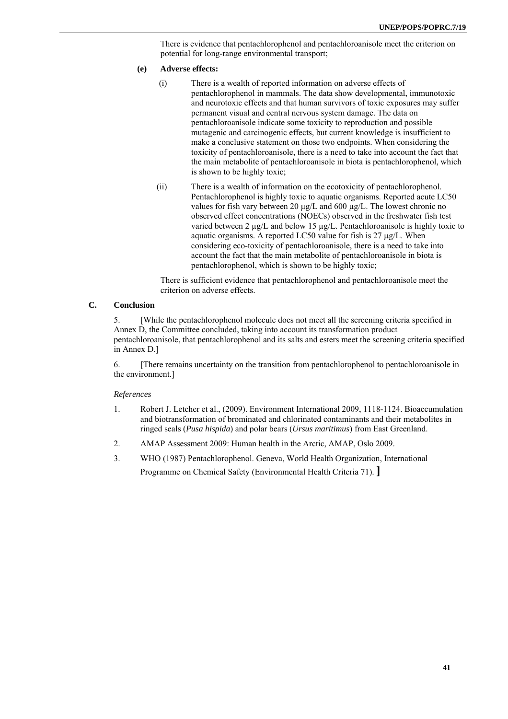There is evidence that pentachlorophenol and pentachloroanisole meet the criterion on potential for long-range environmental transport;

- **(e) Adverse effects:** 
	- (i) There is a wealth of reported information on adverse effects of pentachlorophenol in mammals. The data show developmental, immunotoxic and neurotoxic effects and that human survivors of toxic exposures may suffer permanent visual and central nervous system damage. The data on pentachloroanisole indicate some toxicity to reproduction and possible mutagenic and carcinogenic effects, but current knowledge is insufficient to make a conclusive statement on those two endpoints. When considering the toxicity of pentachloroanisole, there is a need to take into account the fact that the main metabolite of pentachloroanisole in biota is pentachlorophenol, which is shown to be highly toxic;
	- (ii) There is a wealth of information on the ecotoxicity of pentachlorophenol. Pentachlorophenol is highly toxic to aquatic organisms. Reported acute LC50 values for fish vary between 20  $\mu$ g/L and 600  $\mu$ g/L. The lowest chronic no observed effect concentrations (NOECs) observed in the freshwater fish test varied between 2  $\mu$ g/L and below 15  $\mu$ g/L. Pentachloroanisole is highly toxic to aquatic organisms. A reported LC50 value for fish is 27 µg/L. When considering eco-toxicity of pentachloroanisole, there is a need to take into account the fact that the main metabolite of pentachloroanisole in biota is pentachlorophenol, which is shown to be highly toxic;

There is sufficient evidence that pentachlorophenol and pentachloroanisole meet the criterion on adverse effects.

## **C. Conclusion**

5. [While the pentachlorophenol molecule does not meet all the screening criteria specified in Annex D, the Committee concluded, taking into account its transformation product pentachloroanisole, that pentachlorophenol and its salts and esters meet the screening criteria specified in Annex D.]

6. [There remains uncertainty on the transition from pentachlorophenol to pentachloroanisole in the environment.]

#### *References*

- 1. Robert J. Letcher et al., (2009). Environment International 2009, 1118-1124. Bioaccumulation and biotransformation of brominated and chlorinated contaminants and their metabolites in ringed seals (*Pusa hispida*) and polar bears (*Ursus maritimus*) from East Greenland.
- 2. AMAP Assessment 2009: Human health in the Arctic, AMAP, Oslo 2009.
- 3. WHO (1987) Pentachlorophenol. Geneva, World Health Organization, International Programme on Chemical Safety (Environmental Health Criteria 71). **]**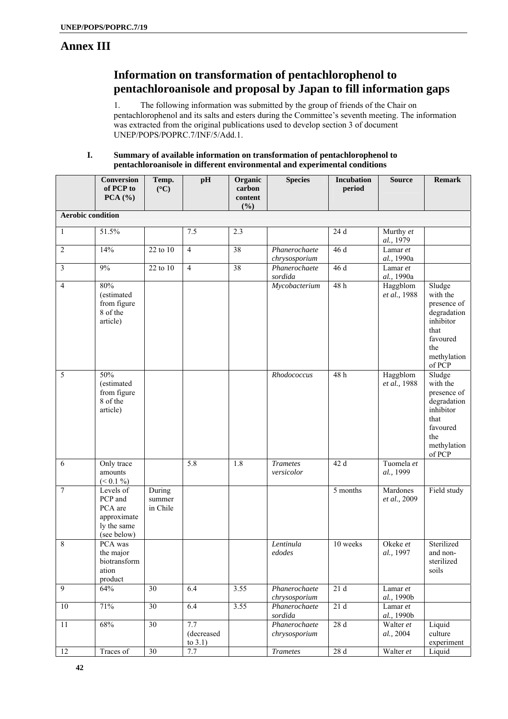# **Annex III**

# **Information on transformation of pentachlorophenol to pentachloroanisole and proposal by Japan to fill information gaps**

 1. The following information was submitted by the group of friends of the Chair on pentachlorophenol and its salts and esters during the Committee's seventh meeting. The information was extracted from the original publications used to develop section 3 of document UNEP/POPS/POPRC.7/INF/5/Add.1.

## **I. Summary of available information on transformation of pentachlorophenol to pentachloroanisole in different environmental and experimental conditions**

|                          | <b>Conversion</b><br>of PCP to<br>PCA $(\% )$                                | Temp.<br>$(^{\circ}C)$       | pH                              | Organic<br>carbon<br>content<br>(%) | <b>Species</b>                 | Incubation<br>period | <b>Source</b>            | <b>Remark</b>                                                                                                     |
|--------------------------|------------------------------------------------------------------------------|------------------------------|---------------------------------|-------------------------------------|--------------------------------|----------------------|--------------------------|-------------------------------------------------------------------------------------------------------------------|
| <b>Aerobic condition</b> |                                                                              |                              |                                 |                                     |                                |                      |                          |                                                                                                                   |
| 1                        | 51.5%                                                                        |                              | 7.5                             | 2.3                                 |                                | 24d                  | Murthy et<br>al., 1979   |                                                                                                                   |
| $\overline{2}$           | 14%                                                                          | 22 to 10                     | $\overline{4}$                  | $\overline{38}$                     | Phanerochaete<br>chrysosporium | 46d                  | Lamar et<br>al., 1990a   |                                                                                                                   |
| $\mathfrak{Z}$           | 9%                                                                           | 22 to 10                     | $\overline{4}$                  | $\overline{38}$                     | Phanerochaete<br>sordida       | 46d                  | Lamar et<br>al., 1990a   |                                                                                                                   |
| 4                        | 80%<br>(estimated<br>from figure<br>8 of the<br>article)                     |                              |                                 |                                     | Mycobacterium                  | 48h                  | Haggblom<br>et al., 1988 | Sludge<br>with the<br>presence of<br>degradation<br>inhibitor<br>that<br>favoured<br>the<br>methylation<br>of PCP |
| $\overline{5}$           | 50%<br>(estimated<br>from figure<br>8 of the<br>article)                     |                              |                                 |                                     | Rhodococcus                    | 48h                  | Haggblom<br>et al., 1988 | Sludge<br>with the<br>presence of<br>degradation<br>inhibitor<br>that<br>favoured<br>the<br>methylation<br>of PCP |
| 6                        | Only trace<br>amounts<br>(< 0.1 %)                                           |                              | 5.8                             | 1.8                                 | <b>Trametes</b><br>versicolor  | 42d                  | Tuomela et<br>al., 1999  |                                                                                                                   |
| $\tau$                   | Levels of<br>PCP and<br>PCA are<br>approximate<br>ly the same<br>(see below) | During<br>summer<br>in Chile |                                 |                                     |                                | 5 months             | Mardones<br>et al., 2009 | Field study                                                                                                       |
| 8                        | PCA was<br>the major<br>biotransform<br>ation<br>product                     |                              |                                 |                                     | Lentinula<br>edodes            | 10 weeks             | Okeke et<br>al., 1997    | Sterilized<br>and non-<br>sterilized<br>soils                                                                     |
| $\overline{9}$           | 64%                                                                          | $\overline{30}$              | 6.4                             | 3.55                                | Phanerochaete<br>chrysosporium | 21d                  | Lamar et<br>al., 1990b   |                                                                                                                   |
| $\overline{10}$          | 71%                                                                          | $\overline{30}$              | 6.4                             | 3.55                                | Phanerochaete<br>sordida       | 21d                  | Lamar et<br>al., 1990b   |                                                                                                                   |
| 11                       | 68%                                                                          | 30                           | 7.7<br>(decreased<br>to $3.1$ ) |                                     | Phanerochaete<br>chrysosporium | 28d                  | Walter et<br>al., 2004   | Liquid<br>culture<br>experiment                                                                                   |
| $12\,$                   | Traces of                                                                    | $30\,$                       | 7.7                             |                                     | <b>Trametes</b>                | 28d                  | Walter et                | Liquid                                                                                                            |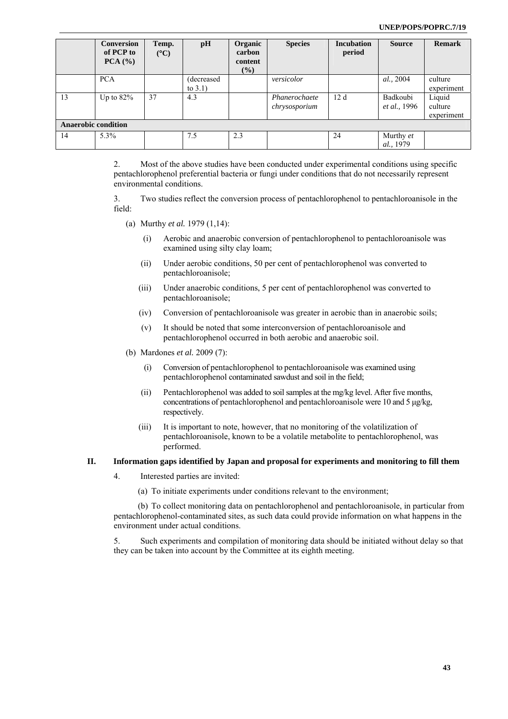|                            | Conversion<br>of PCP to<br>PCA (%) | Temp.<br>$(C^{\circ}C)$ | pН                        | Organic<br>carbon<br>content<br>$($ %) | <b>Species</b>                 | <b>Incubation</b><br>period | <b>Source</b>                   | <b>Remark</b>                   |
|----------------------------|------------------------------------|-------------------------|---------------------------|----------------------------------------|--------------------------------|-----------------------------|---------------------------------|---------------------------------|
|                            | <b>PCA</b>                         |                         | (decreased)<br>to $3.1$ ) |                                        | versicolor                     |                             | al., 2004                       | culture<br>experiment           |
| 13                         | Up to $82\%$                       | 37                      | 4.3                       |                                        | Phanerochaete<br>chrysosporium | 12d                         | Badkoubi<br><i>et al.,</i> 1996 | Liquid<br>culture<br>experiment |
| <b>Anaerobic condition</b> |                                    |                         |                           |                                        |                                |                             |                                 |                                 |
| 14                         | $5.3\%$                            |                         | 7.5                       | 2.3                                    |                                | 24                          | Murthy et<br>al., 1979          |                                 |

2. Most of the above studies have been conducted under experimental conditions using specific pentachlorophenol preferential bacteria or fungi under conditions that do not necessarily represent environmental conditions.

3. Two studies reflect the conversion process of pentachlorophenol to pentachloroanisole in the field:

- (a) Murthy *et al.* 1979 (1,14):
	- (i) Aerobic and anaerobic conversion of pentachlorophenol to pentachloroanisole was examined using silty clay loam;
	- (ii) Under aerobic conditions, 50 per cent of pentachlorophenol was converted to pentachloroanisole;
	- (iii) Under anaerobic conditions, 5 per cent of pentachlorophenol was converted to pentachloroanisole;
	- (iv) Conversion of pentachloroanisole was greater in aerobic than in anaerobic soils;
	- (v) It should be noted that some interconversion of pentachloroanisole and pentachlorophenol occurred in both aerobic and anaerobic soil.
- (b) Mardones *et al.* 2009 (7):
	- (i) Conversion of pentachlorophenol to pentachloroanisole was examined using pentachlorophenol contaminated sawdust and soil in the field;
	- (ii) Pentachlorophenol was added to soil samples at the mg/kg level. After five months, concentrations of pentachlorophenol and pentachloroanisole were 10 and 5 µg/kg, respectively.
	- (iii) It is important to note, however, that no monitoring of the volatilization of pentachloroanisole, known to be a volatile metabolite to pentachlorophenol, was performed.

## **II. Information gaps identified by Japan and proposal for experiments and monitoring to fill them**

- 4. Interested parties are invited:
	- (a) To initiate experiments under conditions relevant to the environment;

(b) To collect monitoring data on pentachlorophenol and pentachloroanisole, in particular from pentachlorophenol-contaminated sites, as such data could provide information on what happens in the environment under actual conditions.

5. Such experiments and compilation of monitoring data should be initiated without delay so that they can be taken into account by the Committee at its eighth meeting.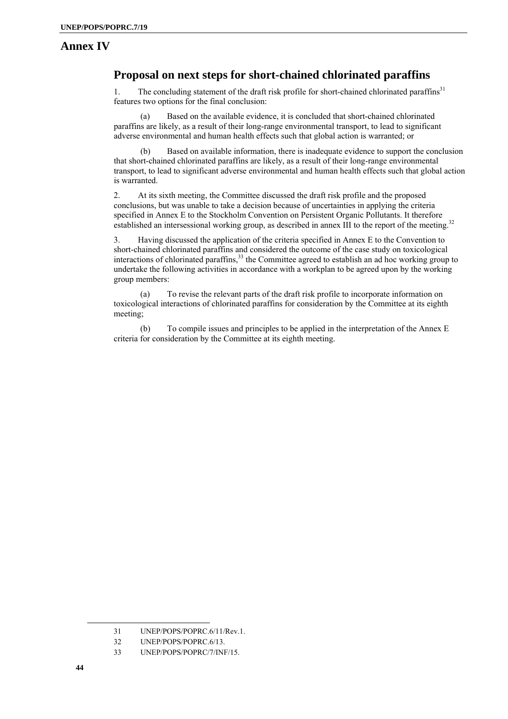# **Annex IV**

# **Proposal on next steps for short-chained chlorinated paraffins**

1. The concluding statement of the draft risk profile for short-chained chlorinated paraffins<sup>31</sup> features two options for the final conclusion:

(a) Based on the available evidence, it is concluded that short-chained chlorinated paraffins are likely, as a result of their long-range environmental transport, to lead to significant adverse environmental and human health effects such that global action is warranted; or

Based on available information, there is inadequate evidence to support the conclusion that short-chained chlorinated paraffins are likely, as a result of their long-range environmental transport, to lead to significant adverse environmental and human health effects such that global action is warranted.

2. At its sixth meeting, the Committee discussed the draft risk profile and the proposed conclusions, but was unable to take a decision because of uncertainties in applying the criteria specified in Annex E to the Stockholm Convention on Persistent Organic Pollutants. It therefore established an intersessional working group, as described in annex III to the report of the meeting.<sup>32</sup>

3. Having discussed the application of the criteria specified in Annex E to the Convention to short-chained chlorinated paraffins and considered the outcome of the case study on toxicological interactions of chlorinated paraffins,<sup>33</sup> the Committee agreed to establish an ad hoc working group to undertake the following activities in accordance with a workplan to be agreed upon by the working group members:

(a) To revise the relevant parts of the draft risk profile to incorporate information on toxicological interactions of chlorinated paraffins for consideration by the Committee at its eighth meeting;

(b) To compile issues and principles to be applied in the interpretation of the Annex E criteria for consideration by the Committee at its eighth meeting.

<sup>31</sup> UNEP/POPS/POPRC.6/11/Rev.1.

<sup>32</sup> UNEP/POPS/POPRC.6/13.

<sup>33</sup> UNEP/POPS/POPRC/7/INF/15.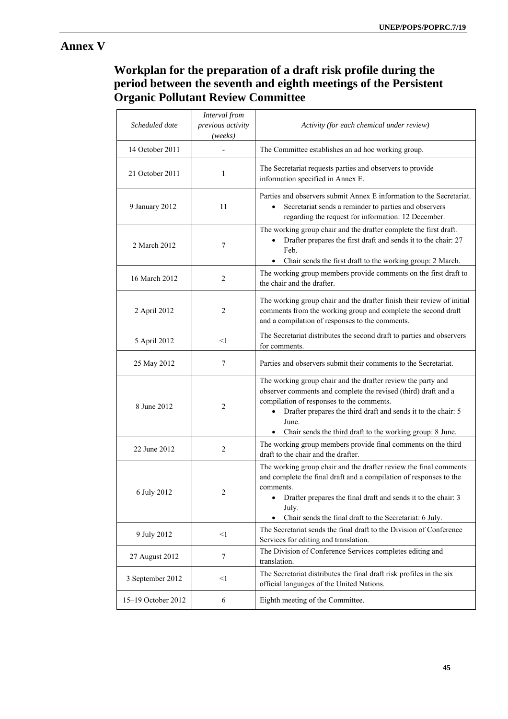# **Annex V**

# **Workplan for the preparation of a draft risk profile during the period between the seventh and eighth meetings of the Persistent Organic Pollutant Review Committee**

|                    | Interval from     | Activity (for each chemical under review)                                                                                                                                                                                                                                                                                       |  |  |
|--------------------|-------------------|---------------------------------------------------------------------------------------------------------------------------------------------------------------------------------------------------------------------------------------------------------------------------------------------------------------------------------|--|--|
| Scheduled date     | previous activity |                                                                                                                                                                                                                                                                                                                                 |  |  |
|                    | (weeks)           |                                                                                                                                                                                                                                                                                                                                 |  |  |
| 14 October 2011    |                   | The Committee establishes an ad hoc working group.                                                                                                                                                                                                                                                                              |  |  |
| 21 October 2011    | 1                 | The Secretariat requests parties and observers to provide<br>information specified in Annex E.                                                                                                                                                                                                                                  |  |  |
| 9 January 2012     | 11                | Parties and observers submit Annex E information to the Secretariat.<br>Secretariat sends a reminder to parties and observers<br>$\bullet$<br>regarding the request for information: 12 December.                                                                                                                               |  |  |
| 2 March 2012       | 7                 | The working group chair and the drafter complete the first draft.<br>Drafter prepares the first draft and sends it to the chair: 27<br>Feb.<br>Chair sends the first draft to the working group: 2 March.                                                                                                                       |  |  |
| 16 March 2012      | $\overline{2}$    | The working group members provide comments on the first draft to<br>the chair and the drafter.                                                                                                                                                                                                                                  |  |  |
| 2 April 2012       | $\overline{2}$    | The working group chair and the drafter finish their review of initial<br>comments from the working group and complete the second draft<br>and a compilation of responses to the comments.                                                                                                                                      |  |  |
| 5 April 2012       | $<$ 1             | The Secretariat distributes the second draft to parties and observers<br>for comments.                                                                                                                                                                                                                                          |  |  |
| 25 May 2012        | $\tau$            | Parties and observers submit their comments to the Secretariat.                                                                                                                                                                                                                                                                 |  |  |
| 8 June 2012        | $\overline{2}$    | The working group chair and the drafter review the party and<br>observer comments and complete the revised (third) draft and a<br>compilation of responses to the comments.<br>Drafter prepares the third draft and sends it to the chair: 5<br>$\bullet$<br>June.<br>Chair sends the third draft to the working group: 8 June. |  |  |
| 22 June 2012       | $\overline{2}$    | The working group members provide final comments on the third<br>draft to the chair and the drafter.                                                                                                                                                                                                                            |  |  |
| 6 July 2012        | 2                 | The working group chair and the drafter review the final comments<br>and complete the final draft and a compilation of responses to the<br>comments.<br>Drafter prepares the final draft and sends it to the chair: 3<br>July.<br>Chair sends the final draft to the Secretariat: 6 July.                                       |  |  |
| 9 July 2012        | $<$ 1             | The Secretariat sends the final draft to the Division of Conference<br>Services for editing and translation.                                                                                                                                                                                                                    |  |  |
| 27 August 2012     | $\overline{7}$    | The Division of Conference Services completes editing and<br>translation.                                                                                                                                                                                                                                                       |  |  |
| 3 September 2012   | $<$ 1             | The Secretariat distributes the final draft risk profiles in the six<br>official languages of the United Nations.                                                                                                                                                                                                               |  |  |
| 15-19 October 2012 | 6                 | Eighth meeting of the Committee.                                                                                                                                                                                                                                                                                                |  |  |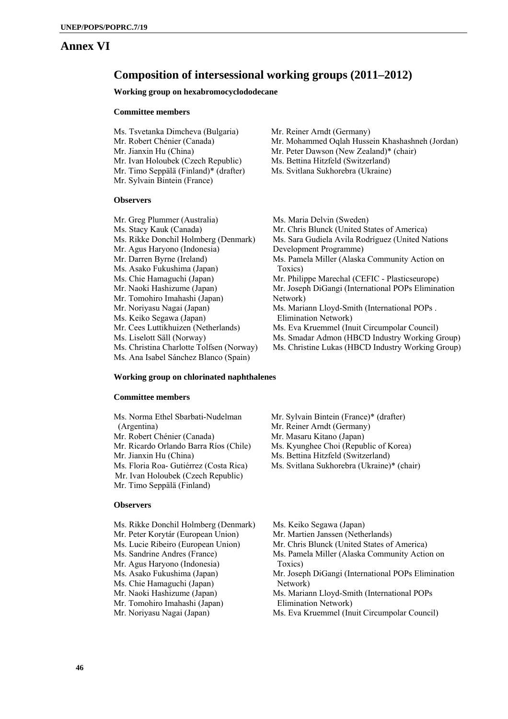# **Annex VI**

# **Composition of intersessional working groups (2011–2012)**

#### **Working group on hexabromocyclododecane**

#### **Committee members**

- Ms. Tsvetanka Dimcheva (Bulgaria)
- Mr. Robert Chénier (Canada)
- Mr. Jianxin Hu (China)
- Mr. Ivan Holoubek (Czech Republic)
- Mr. Timo Seppälä (Finland)\* (drafter) Mr. Sylvain Bintein (France)

#### **Observers**

- Mr. Greg Plummer (Australia)
- Ms. Stacy Kauk (Canada)
- Ms. Rikke Donchil Holmberg (Denmark)
- Mr. Agus Haryono (Indonesia)
- Mr. Darren Byrne (Ireland)
- Ms. Asako Fukushima (Japan)
- Ms. Chie Hamaguchi (Japan)
- Mr. Naoki Hashizume (Japan)
- Mr. Tomohiro Imahashi (Japan)
- Mr. Noriyasu Nagai (Japan)
- Ms. Keiko Segawa (Japan)
- Mr. Cees Luttikhuizen (Netherlands)
- Ms. Liselott Säll (Norway)
- Ms. Christina Charlotte Tolfsen (Norway)
- Ms. Ana Isabel Sánchez Blanco (Spain)
- Mr. Reiner Arndt (Germany)
- Mr. Mohammed Oqlah Hussein Khashashneh (Jordan)
- Mr. Peter Dawson (New Zealand)\* (chair)
- Ms. Bettina Hitzfeld (Switzerland)
- Ms. Svitlana Sukhorebra (Ukraine)
- Ms. Maria Delvin (Sweden) Mr. Chris Blunck (United States of America) Ms. Sara Gudiela Avila Rodríguez (United Nations Development Programme) Ms. Pamela Miller (Alaska Community Action on Toxics) Mr. Philippe Marechal (CEFIC - Plasticseurope) Mr. Joseph DiGangi (International POPs Elimination Network) Ms. Mariann Lloyd-Smith (International POPs . Elimination Network) Ms. Eva Kruemmel (Inuit Circumpolar Council) Ms. Smadar Admon (HBCD Industry Working Group) Ms. Christine Lukas (HBCD Industry Working Group)

#### **Working group on chlorinated naphthalenes**

#### **Committee members**

- Ms. Norma Ethel Sbarbati-Nudelman (Argentina)
- Mr. Robert Chénier (Canada)
- Mr. Ricardo Orlando Barra Ríos (Chile)
- Mr. Jianxin Hu (China)
- Ms. Floria Roa- Gutiérrez (Costa Rica)
- Mr. Ivan Holoubek (Czech Republic)
- Mr. Timo Seppälä (Finland)

#### **Observers**

- Ms. Rikke Donchil Holmberg (Denmark)
- Mr. Peter Korytár (European Union)
- Ms. Lucie Ribeiro (European Union)
- Ms. Sandrine Andres (France)
- Mr. Agus Haryono (Indonesia)
- Ms. Asako Fukushima (Japan)
- Ms. Chie Hamaguchi (Japan)
- Mr. Naoki Hashizume (Japan)
- Mr. Tomohiro Imahashi (Japan)
- Mr. Noriyasu Nagai (Japan)
- Mr. Sylvain Bintein (France)\* (drafter)
- Mr. Reiner Arndt (Germany)
- Mr. Masaru Kitano (Japan)
- Ms. Kyunghee Choi (Republic of Korea)
- Ms. Bettina Hitzfeld (Switzerland)
- Ms. Svitlana Sukhorebra (Ukraine)\* (chair)
- Ms. Keiko Segawa (Japan)
- Mr. Martien Janssen (Netherlands)
- Mr. Chris Blunck (United States of America)
- Ms. Pamela Miller (Alaska Community Action on Toxics)
- Mr. Joseph DiGangi (International POPs Elimination Network)
- Ms. Mariann Lloyd-Smith (International POPs Elimination Network)
- Ms. Eva Kruemmel (Inuit Circumpolar Council)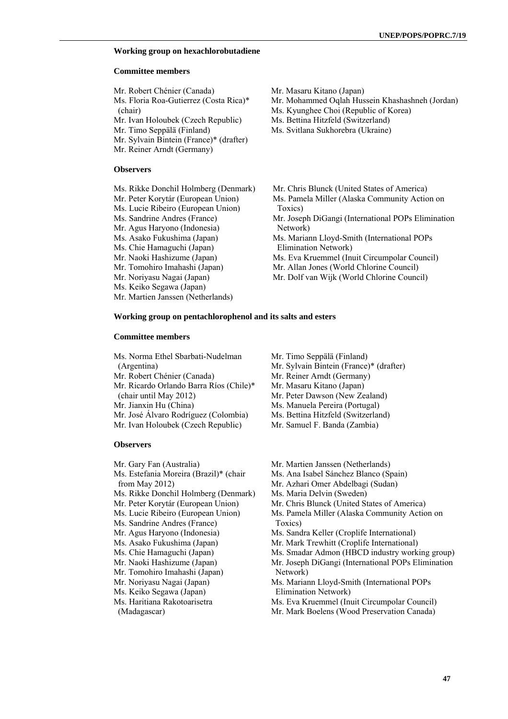## **Working group on hexachlorobutadiene**

#### **Committee members**

- Mr. Robert Chénier (Canada)
- Ms. Floria Roa-Gutierrez (Costa Rica)\* (chair)
- Mr. Ivan Holoubek (Czech Republic)
- Mr. Timo Seppälä (Finland)
- Mr. Sylvain Bintein (France)\* (drafter)
- Mr. Reiner Arndt (Germany)

#### **Observers**

- Ms. Rikke Donchil Holmberg (Denmark)
- Mr. Peter Korytár (European Union)
- Ms. Lucie Ribeiro (European Union)
- Ms. Sandrine Andres (France)
- Mr. Agus Haryono (Indonesia)
- Ms. Asako Fukushima (Japan)
- Ms. Chie Hamaguchi (Japan)
- Mr. Naoki Hashizume (Japan)
- Mr. Tomohiro Imahashi (Japan)
- Mr. Noriyasu Nagai (Japan)
- Ms. Keiko Segawa (Japan)
- Mr. Martien Janssen (Netherlands)

#### **Working group on pentachlorophenol and its salts and esters**

#### **Committee members**

- Ms. Norma Ethel Sbarbati-Nudelman (Argentina)
- Mr. Robert Chénier (Canada)
- Mr. Ricardo Orlando Barra Ríos (Chile)\* (chair until May 2012)
- Mr. Jianxin Hu (China)
- Mr. José Álvaro Rodríguez (Colombia)
- Mr. Ivan Holoubek (Czech Republic)

#### **Observers**

- Mr. Gary Fan (Australia)
- Ms. Estefania Moreira (Brazil)\* (chair from May 2012)
- Ms. Rikke Donchil Holmberg (Denmark)
- Mr. Peter Korytár (European Union)
- Ms. Lucie Ribeiro (European Union)
- Ms. Sandrine Andres (France)
- Mr. Agus Haryono (Indonesia)
- Ms. Asako Fukushima (Japan)
- Ms. Chie Hamaguchi (Japan)
- Mr. Naoki Hashizume (Japan)
- Mr. Tomohiro Imahashi (Japan)
- Mr. Noriyasu Nagai (Japan)
- Ms. Keiko Segawa (Japan)
- Ms. Haritiana Rakotoarisetra
- (Madagascar)
- Mr. Timo Seppälä (Finland)
- Mr. Sylvain Bintein (France)\* (drafter)
- Mr. Reiner Arndt (Germany)
- Mr. Masaru Kitano (Japan)
- Mr. Peter Dawson (New Zealand)
- Ms. Manuela Pereira (Portugal)
- Ms. Bettina Hitzfeld (Switzerland)
- Mr. Samuel F. Banda (Zambia)
- Mr. Martien Janssen (Netherlands)
- Ms. Ana Isabel Sánchez Blanco (Spain)
- Mr. Azhari Omer Abdelbagi (Sudan)
- Ms. Maria Delvin (Sweden)
- Mr. Chris Blunck (United States of America)
- Ms. Pamela Miller (Alaska Community Action on Toxics)
- Ms. Sandra Keller (Croplife International)
- Mr. Mark Trewhitt (Croplife International)
- Ms. Smadar Admon (HBCD industry working group)
- Mr. Joseph DiGangi (International POPs Elimination Network)
- Ms. Mariann Lloyd-Smith (International POPs Elimination Network)
- Ms. Eva Kruemmel (Inuit Circumpolar Council)
- Mr. Mark Boelens (Wood Preservation Canada)

Mr. Masaru Kitano (Japan)

Toxics)

Network)

Elimination Network)

- Mr. Mohammed Oqlah Hussein Khashashneh (Jordan)
- Ms. Kyunghee Choi (Republic of Korea) Ms. Bettina Hitzfeld (Switzerland)
- Ms. Svitlana Sukhorebra (Ukraine)
- 

Mr. Chris Blunck (United States of America) Ms. Pamela Miller (Alaska Community Action on

Ms. Mariann Lloyd-Smith (International POPs

Ms. Eva Kruemmel (Inuit Circumpolar Council) Mr. Allan Jones (World Chlorine Council) Mr. Dolf van Wijk (World Chlorine Council)

Mr. Joseph DiGangi (International POPs Elimination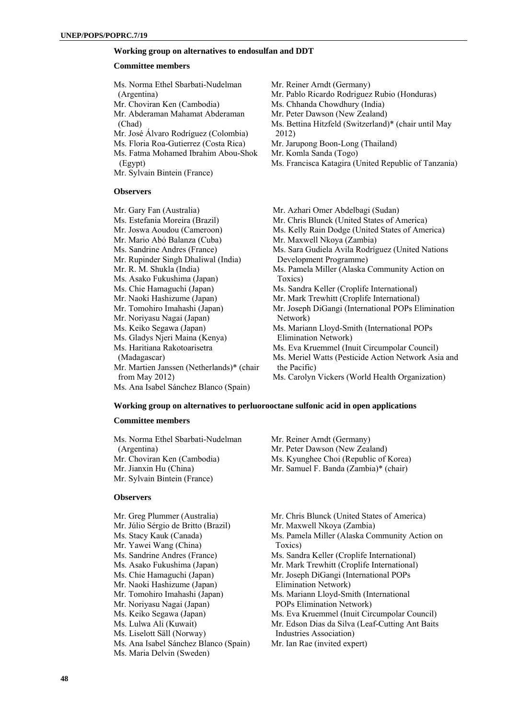#### **Working group on alternatives to endosulfan and DDT**

#### **Committee members**

- Ms. Norma Ethel Sbarbati-Nudelman (Argentina)
- Mr. Choviran Ken (Cambodia)
- Mr. Abderaman Mahamat Abderaman (Chad)
- Mr. José Álvaro Rodríguez (Colombia)
- Ms. Floria Roa-Gutierrez (Costa Rica)
- Ms. Fatma Mohamed Ibrahim Abou-Shok (Egypt)
- Mr. Sylvain Bintein (France)

### **Observers**

- Mr. Gary Fan (Australia)
- Ms. Estefania Moreira (Brazil)
- Mr. Joswa Aoudou (Cameroon)
- Mr. Mario Abó Balanza (Cuba)
- Ms. Sandrine Andres (France)
- Mr. Rupinder Singh Dhaliwal (India)
- Mr. R. M. Shukla (India)
- Ms. Asako Fukushima (Japan)
- Ms. Chie Hamaguchi (Japan)
- Mr. Naoki Hashizume (Japan)
- Mr. Tomohiro Imahashi (Japan)
- Mr. Noriyasu Nagai (Japan)
- Ms. Keiko Segawa (Japan)
- Ms. Gladys Njeri Maina (Kenya)
- Ms. Haritiana Rakotoarisetra

(Madagascar)

- Mr. Martien Janssen (Netherlands)\* (chair from May 2012)
- Ms. Ana Isabel Sánchez Blanco (Spain)
- Mr. Reiner Arndt (Germany)
- Mr. Pablo Ricardo Rodriguez Rubio (Honduras)
- Ms. Chhanda Chowdhury (India)
- Mr. Peter Dawson (New Zealand)
- Ms. Bettina Hitzfeld (Switzerland)\* (chair until May 2012)
- Mr. Jarupong Boon-Long (Thailand)
- Mr. Komla Sanda (Togo)
- Ms. Francisca Katagira (United Republic of Tanzania)
- Mr. Azhari Omer Abdelbagi (Sudan)
- Mr. Chris Blunck (United States of America)
- Ms. Kelly Rain Dodge (United States of America)
- Mr. Maxwell Nkoya (Zambia)
- Ms. Sara Gudiela Avila Rodríguez (United Nations Development Programme)
- Ms. Pamela Miller (Alaska Community Action on Toxics)
- Ms. Sandra Keller (Croplife International)
- Mr. Mark Trewhitt (Croplife International)
- Mr. Joseph DiGangi (International POPs Elimination Network)
- Ms. Mariann Lloyd-Smith (International POPs Elimination Network)
- Ms. Eva Kruemmel (Inuit Circumpolar Council)
- Ms. Meriel Watts (Pesticide Action Network Asia and the Pacific)
- Ms. Carolyn Vickers (World Health Organization)

## **Working group on alternatives to perluorooctane sulfonic acid in open applications**

#### **Committee members**

- Ms. Norma Ethel Sbarbati-Nudelman (Argentina)
- Mr. Choviran Ken (Cambodia)
- Mr. Jianxin Hu (China)
- Mr. Sylvain Bintein (France)

#### **Observers**

- Mr. Greg Plummer (Australia)
- Mr. Júlio Sérgio de Britto (Brazil)
- Ms. Stacy Kauk (Canada)
- Mr. Yawei Wang (China)
- Ms. Sandrine Andres (France)
- Ms. Asako Fukushima (Japan)
- Ms. Chie Hamaguchi (Japan)
- Mr. Naoki Hashizume (Japan)
- Mr. Tomohiro Imahashi (Japan)
- Mr. Noriyasu Nagai (Japan)
- Ms. Keiko Segawa (Japan)
- Ms. Lulwa Ali (Kuwait)
- Ms. Liselott Säll (Norway)
- Ms. Ana Isabel Sánchez Blanco (Spain)
- Ms. Maria Delvin (Sweden)
- Mr. Reiner Arndt (Germany)
- Mr. Peter Dawson (New Zealand)
- Ms. Kyunghee Choi (Republic of Korea)
- Mr. Samuel F. Banda (Zambia)\* (chair)
- Mr. Chris Blunck (United States of America)
- Mr. Maxwell Nkoya (Zambia)
- Ms. Pamela Miller (Alaska Community Action on Toxics)
- Ms. Sandra Keller (Croplife International)
- Mr. Mark Trewhitt (Croplife International)
- Mr. Joseph DiGangi (International POPs Elimination Network)
- Ms. Mariann Lloyd-Smith (International POPs Elimination Network)
- Ms. Eva Kruemmel (Inuit Circumpolar Council)
- Mr. Edson Dias da Silva (Leaf-Cutting Ant Baits
- Industries Association)
- Mr. Ian Rae (invited expert)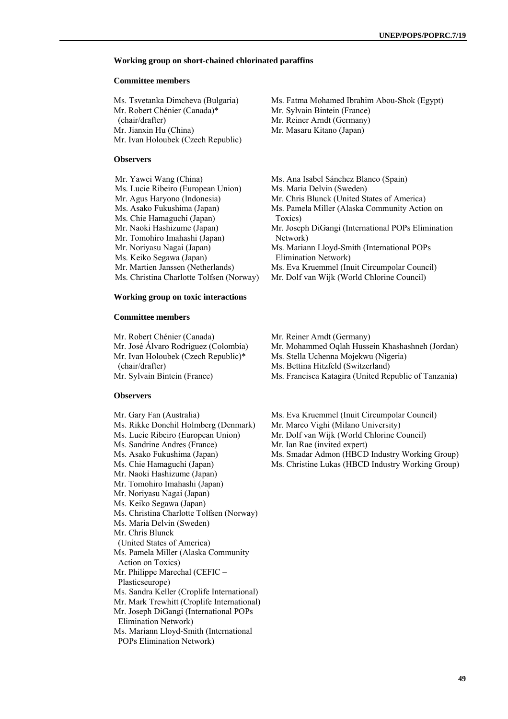#### **Working group on short-chained chlorinated paraffins**

#### **Committee members**

- Ms. Tsvetanka Dimcheva (Bulgaria) Mr. Robert Chénier (Canada)\* (chair/drafter) Mr. Jianxin Hu (China)
- Mr. Ivan Holoubek (Czech Republic)

#### **Observers**

- Mr. Yawei Wang (China)
- Ms. Lucie Ribeiro (European Union)
- Mr. Agus Haryono (Indonesia)
- Ms. Asako Fukushima (Japan)
- Ms. Chie Hamaguchi (Japan)
- Mr. Naoki Hashizume (Japan)
- Mr. Tomohiro Imahashi (Japan)
- Mr. Noriyasu Nagai (Japan)
- Ms. Keiko Segawa (Japan)
- Mr. Martien Janssen (Netherlands)
- Ms. Christina Charlotte Tolfsen (Norway)

#### **Working group on toxic interactions**

### **Committee members**

- Mr. Robert Chénier (Canada)
- Mr. José Álvaro Rodríguez (Colombia) Mr. Ivan Holoubek (Czech Republic)\*
- (chair/drafter)
- Mr. Sylvain Bintein (France)

#### **Observers**

- Mr. Gary Fan (Australia)
- Ms. Rikke Donchil Holmberg (Denmark)
- Ms. Lucie Ribeiro (European Union)
- Ms. Sandrine Andres (France)
- Ms. Asako Fukushima (Japan)
- Ms. Chie Hamaguchi (Japan)
- Mr. Naoki Hashizume (Japan)
- Mr. Tomohiro Imahashi (Japan)
- Mr. Noriyasu Nagai (Japan)
- Ms. Keiko Segawa (Japan)
- Ms. Christina Charlotte Tolfsen (Norway)
- Ms. Maria Delvin (Sweden)
- Mr. Chris Blunck
- (United States of America)
- Ms. Pamela Miller (Alaska Community Action on Toxics)
- Mr. Philippe Marechal (CEFIC Plasticseurope)
- Ms. Sandra Keller (Croplife International)
- Mr. Mark Trewhitt (Croplife International)
- Mr. Joseph DiGangi (International POPs Elimination Network)
- Ms. Mariann Lloyd-Smith (International POPs Elimination Network)
- Ms. Fatma Mohamed Ibrahim Abou-Shok (Egypt)
- Mr. Sylvain Bintein (France)
- Mr. Reiner Arndt (Germany)
- Mr. Masaru Kitano (Japan)
- Ms. Ana Isabel Sánchez Blanco (Spain)
- Ms. Maria Delvin (Sweden)
- Mr. Chris Blunck (United States of America)
- Ms. Pamela Miller (Alaska Community Action on Toxics)
- Mr. Joseph DiGangi (International POPs Elimination Network)
- Ms. Mariann Lloyd-Smith (International POPs Elimination Network)
- Ms. Eva Kruemmel (Inuit Circumpolar Council)
- Mr. Dolf van Wijk (World Chlorine Council)
- Mr. Reiner Arndt (Germany)
- Mr. Mohammed Oqlah Hussein Khashashneh (Jordan)
- Ms. Stella Uchenna Mojekwu (Nigeria)
- Ms. Bettina Hitzfeld (Switzerland)
- Ms. Francisca Katagira (United Republic of Tanzania)
- Ms. Eva Kruemmel (Inuit Circumpolar Council)
- Mr. Marco Vighi (Milano University)
- Mr. Dolf van Wijk (World Chlorine Council)
- Mr. Ian Rae (invited expert)
- Ms. Smadar Admon (HBCD Industry Working Group)
- Ms. Christine Lukas (HBCD Industry Working Group)